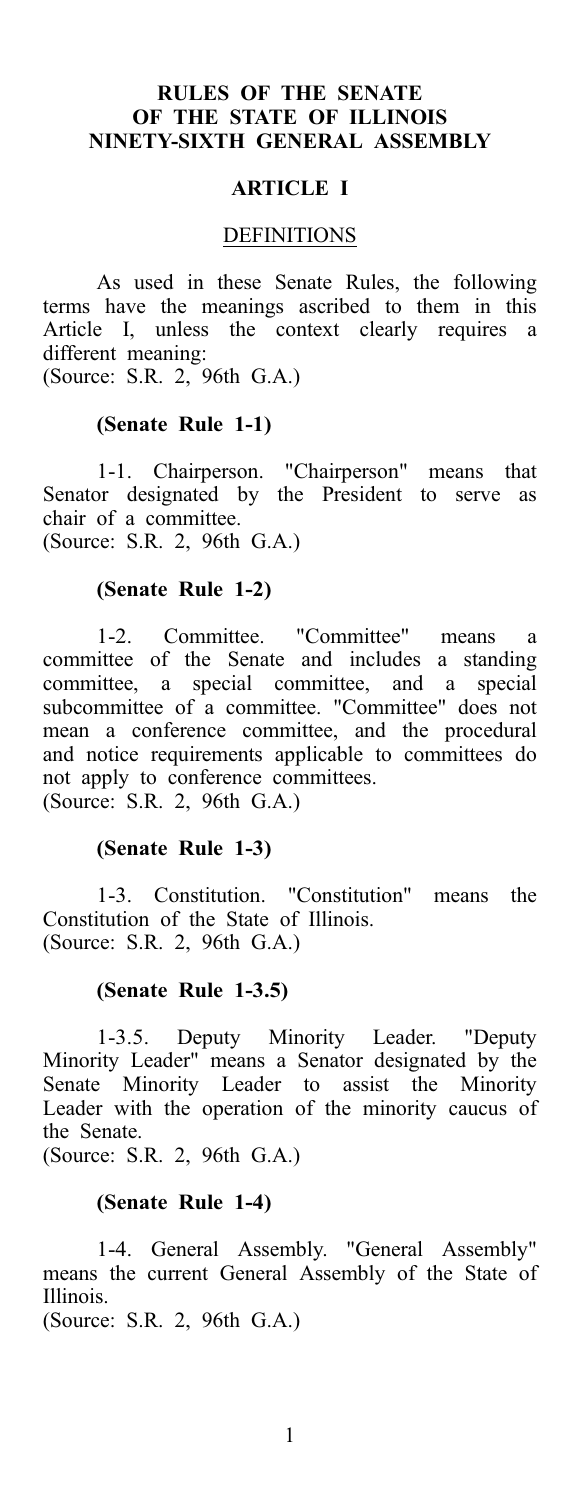### RULES OF THE SENATE OF THE STATE OF ILLINOIS NINETY-SIXTH GENERAL ASSEMBLY

## ARTICLE I

#### DEFINITIONS

As used in these Senate Rules, the following terms have the meanings ascribed to them in this Article I, unless the context clearly requires a different meaning:

(Source: S.R. 2, 96th G.A.)

#### (Senate Rule 1-1)

1-1. Chairperson. "Chairperson" means that Senator designated by the President to serve as chair of a committee. (Source: S.R. 2, 96th G.A.)

#### (Senate Rule 1-2)

1-2. Committee. "Committee" means a committee of the Senate and includes a standing committee, a special committee, and a special subcommittee of a committee. "Committee" does not mean a conference committee, and the procedural and notice requirements applicable to committees do not apply to conference committees.

(Source: S.R. 2, 96th G.A.)

#### (Senate Rule 1-3)

1-3. Constitution. "Constitution" means the Constitution of the State of Illinois. (Source: S.R. 2, 96th G.A.)

#### (Senate Rule 1-3.5)

1-3.5. Deputy Minority Leader. "Deputy Minority Leader" means a Senator designated by the Senate Minority Leader to assist the Minority Leader with the operation of the minority caucus of the Senate.

(Source: S.R. 2, 96th G.A.)

#### (Senate Rule 1-4)

1-4. General Assembly. "General Assembly" means the current General Assembly of the State of Illinois.

(Source: S.R. 2, 96th G.A.)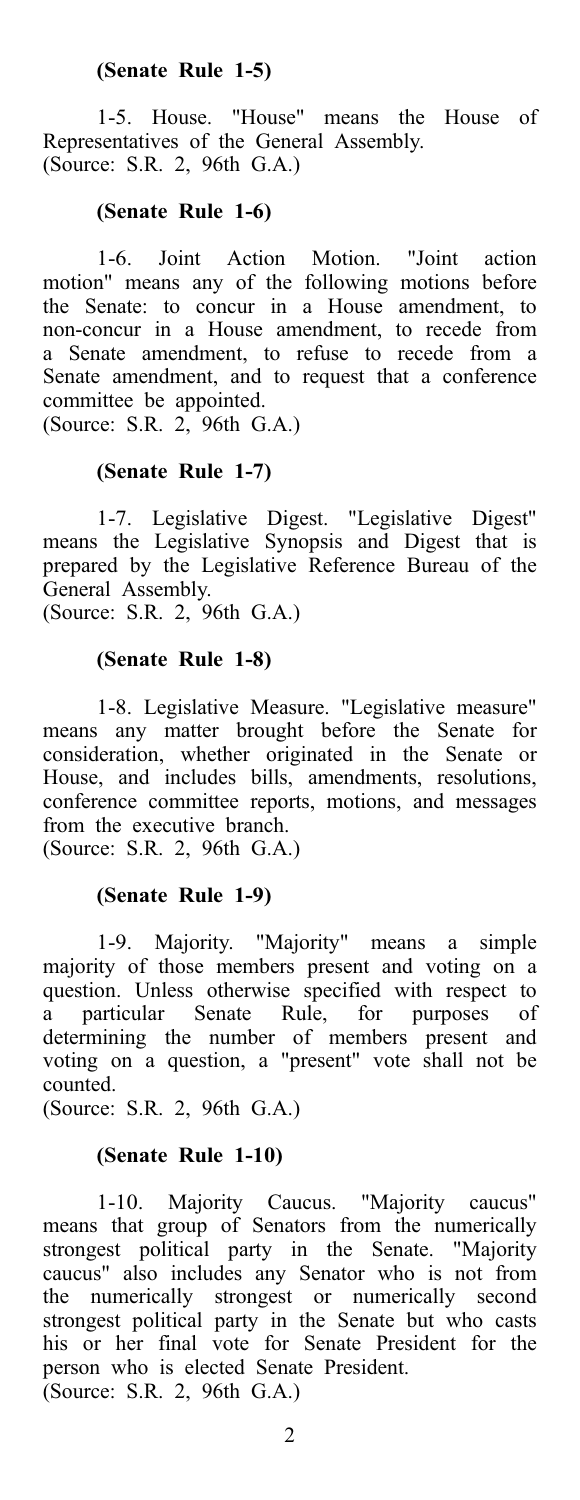## (Senate Rule 1-5)

1-5. House. "House" means the House of Representatives of the General Assembly. (Source: S.R. 2, 96th G.A.)

## (Senate Rule 1-6)

1-6. Joint Action Motion. "Joint action motion" means any of the following motions before the Senate: to concur in a House amendment, to non-concur in a House amendment, to recede from a Senate amendment, to refuse to recede from a Senate amendment, and to request that a conference committee be appointed.

(Source: S.R. 2, 96th G.A.)

## (Senate Rule 1-7)

1-7. Legislative Digest. "Legislative Digest" means the Legislative Synopsis and Digest that is prepared by the Legislative Reference Bureau of the General Assembly.

(Source: S.R. 2, 96th G.A.)

#### (Senate Rule 1-8)

1-8. Legislative Measure. "Legislative measure" means any matter brought before the Senate for consideration, whether originated in the Senate or House, and includes bills, amendments, resolutions, conference committee reports, motions, and messages from the executive branch.

(Source: S.R. 2, 96th G.A.)

## (Senate Rule 1-9)

1-9. Majority. "Majority" means a simple majority of those members present and voting on a question. Unless otherwise specified with respect to a particular Senate Rule, for purposes of determining the number of members present and voting on a question, a "present" vote shall not be counted.

(Source: S.R. 2, 96th G.A.)

## (Senate Rule 1-10)

1-10. Majority Caucus. "Majority caucus" means that group of Senators from the numerically strongest political party in the Senate. "Majority caucus" also includes any Senator who is not from the numerically strongest or numerically second strongest political party in the Senate but who casts his or her final vote for Senate President for the person who is elected Senate President. (Source: S.R. 2, 96th G.A.)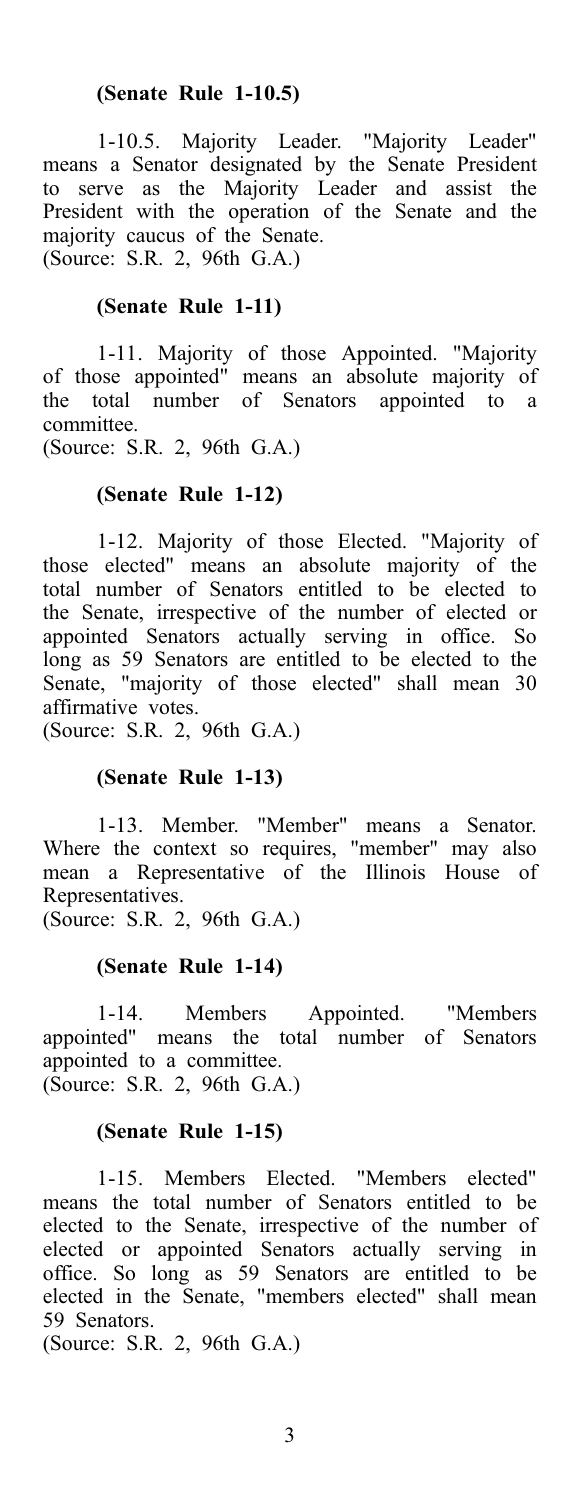## (Senate Rule 1-10.5)

1-10.5. Majority Leader. "Majority Leader" means a Senator designated by the Senate President to serve as the Majority Leader and assist the President with the operation of the Senate and the majority caucus of the Senate. (Source: S.R. 2, 96th G.A.)

#### (Senate Rule 1-11)

1-11. Majority of those Appointed. "Majority of those appointed" means an absolute majority of the total number of Senators appointed to a committee.

(Source: S.R. 2, 96th G.A.)

#### (Senate Rule 1-12)

1-12. Majority of those Elected. "Majority of those elected" means an absolute majority of the total number of Senators entitled to be elected to the Senate, irrespective of the number of elected or appointed Senators actually serving in office. So long as 59 Senators are entitled to be elected to the Senate, "majority of those elected" shall mean 30 affirmative votes.

(Source: S.R. 2, 96th G.A.)

### (Senate Rule 1-13)

1-13. Member. "Member" means a Senator. Where the context so requires, "member" may also mean a Representative of the Illinois House of Representatives.

(Source: S.R. 2, 96th G.A.)

#### (Senate Rule 1-14)

1-14. Members Appointed. "Members appointed" means the total number of Senators appointed to a committee. (Source: S.R. 2, 96th G.A.)

#### (Senate Rule 1-15)

1-15. Members Elected. "Members elected" means the total number of Senators entitled to be elected to the Senate, irrespective of the number of elected or appointed Senators actually serving in office. So long as 59 Senators are entitled to be elected in the Senate, "members elected" shall mean 59 Senators.

(Source: S.R. 2, 96th G.A.)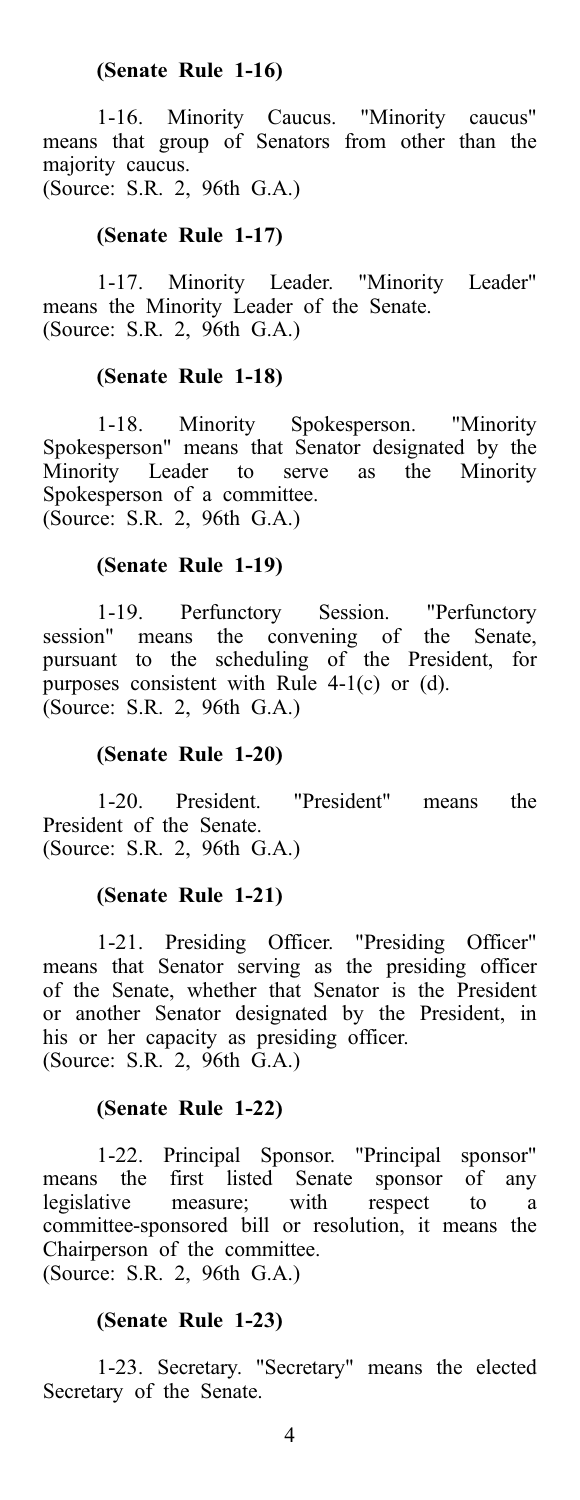#### (Senate Rule 1-16)

1-16. Minority Caucus. "Minority caucus" means that group of Senators from other than the majority caucus. (Source: S.R. 2, 96th G.A.)

#### (Senate Rule 1-17)

1-17. Minority Leader. "Minority Leader" means the Minority Leader of the Senate. (Source: S.R. 2, 96th G.A.)

#### (Senate Rule 1-18)

1-18. Minority Spokesperson. "Minority Spokesperson" means that Senator designated by the Minority Leader to serve as the Minority Spokesperson of a committee. (Source: S.R. 2, 96th G.A.)

#### (Senate Rule 1-19)

1-19. Perfunctory Session. "Perfunctory session" means the convening of the Senate, pursuant to the scheduling of the President, for purposes consistent with Rule 4-1(c) or (d). (Source: S.R. 2, 96th G.A.)

#### (Senate Rule 1-20)

1-20. President. "President" means the President of the Senate. (Source: S.R. 2, 96th G.A.)

#### (Senate Rule 1-21)

1-21. Presiding Officer. "Presiding Officer" means that Senator serving as the presiding officer of the Senate, whether that Senator is the President or another Senator designated by the President, in his or her capacity as presiding officer. (Source: S.R. 2, 96th G.A.)

#### (Senate Rule 1-22)

1-22. Principal Sponsor. "Principal sponsor" means the first listed Senate sponsor of any legislative measure; with respect to a legislative measure; with respect to a committee-sponsored bill or resolution, it means the Chairperson of the committee. (Source: S.R. 2, 96th G.A.)

## (Senate Rule 1-23)

1-23. Secretary. "Secretary" means the elected Secretary of the Senate.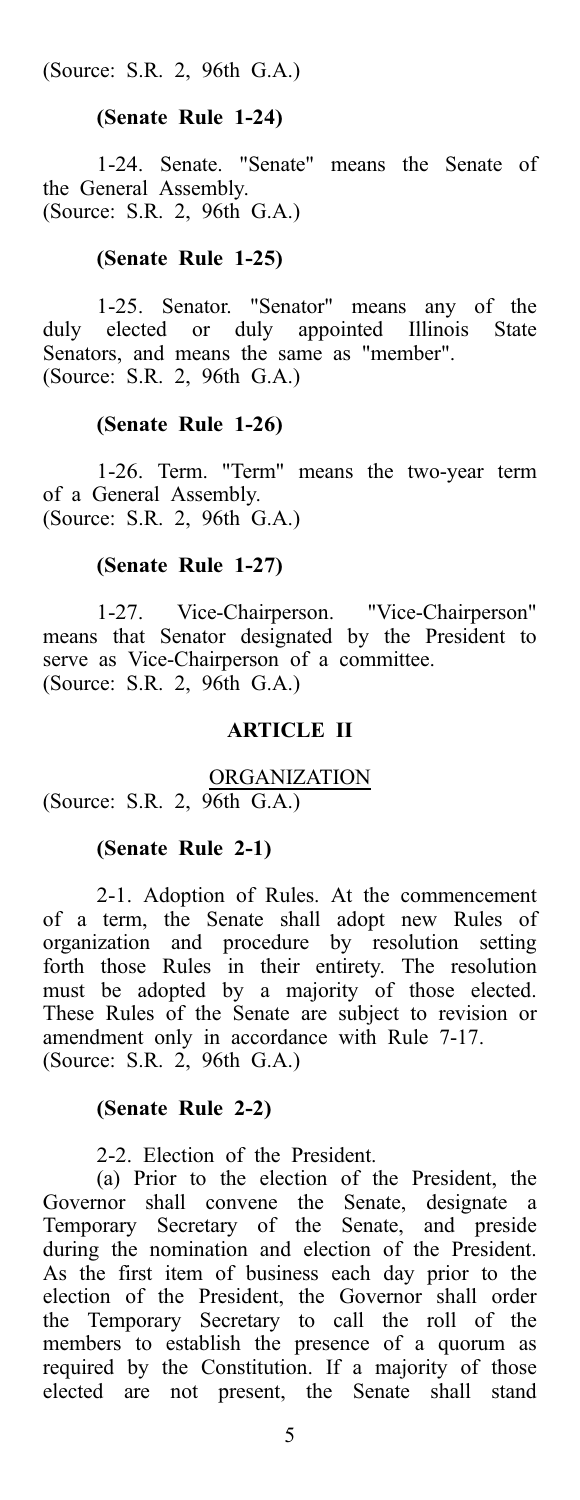(Source: S.R. 2, 96th G.A.)

#### (Senate Rule 1-24)

1-24. Senate. "Senate" means the Senate of the General Assembly. (Source: S.R. 2, 96th G.A.)

#### (Senate Rule 1-25)

1-25. Senator. "Senator" means any of the duly elected or duly appointed Illinois State Senators, and means the same as "member". (Source: S.R. 2, 96th G.A.)

#### (Senate Rule 1-26)

1-26. Term. "Term" means the two-year term of a General Assembly. (Source: S.R. 2, 96th G.A.)

#### (Senate Rule 1-27)

1-27. Vice-Chairperson. "Vice-Chairperson" means that Senator designated by the President to serve as Vice-Chairperson of a committee. (Source: S.R. 2, 96th G.A.)

#### ARTICLE II

#### ORGANIZATION (Source: S.R. 2, 96th G.A.)

#### (Senate Rule 2-1)

2-1. Adoption of Rules. At the commencement of a term, the Senate shall adopt new Rules of organization and procedure by resolution setting forth those Rules in their entirety. The resolution must be adopted by a majority of those elected. These Rules of the Senate are subject to revision or amendment only in accordance with Rule 7-17. (Source: S.R. 2, 96th G.A.)

#### (Senate Rule 2-2)

2-2. Election of the President.

(a) Prior to the election of the President, the Governor shall convene the Senate, designate a Temporary Secretary of the Senate, and preside during the nomination and election of the President. As the first item of business each day prior to the election of the President, the Governor shall order the Temporary Secretary to call the roll of the members to establish the presence of a quorum as required by the Constitution. If a majority of those elected are not present, the Senate shall stand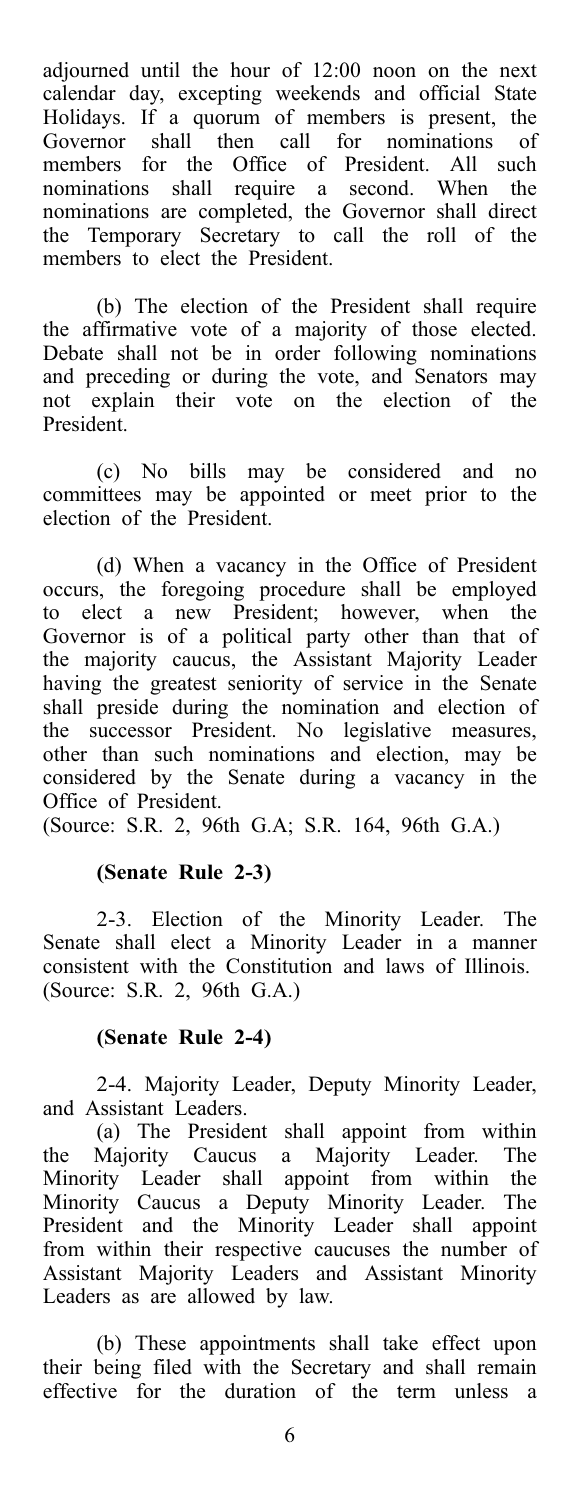adjourned until the hour of 12:00 noon on the next calendar day, excepting weekends and official State Holidays. If a quorum of members is present, the Governor shall then call for nominations of members for the Office of President. All such nominations shall require a second. When the nominations are completed, the Governor shall direct the Temporary Secretary to call the roll of the members to elect the President.

(b) The election of the President shall require the affirmative vote of a majority of those elected. Debate shall not be in order following nominations and preceding or during the vote, and Senators may not explain their vote on the election of the President.

(c) No bills may be considered and no committees may be appointed or meet prior to the election of the President.

(d) When a vacancy in the Office of President occurs, the foregoing procedure shall be employed to elect a new President; however, when the Governor is of a political party other than that of the majority caucus, the Assistant Majority Leader having the greatest seniority of service in the Senate shall preside during the nomination and election of the successor President. No legislative measures, other than such nominations and election, may be considered by the Senate during a vacancy in the Office of President.

(Source: S.R. 2, 96th G.A; S.R. 164, 96th G.A.)

## (Senate Rule 2-3)

2-3. Election of the Minority Leader. The Senate shall elect a Minority Leader in a manner consistent with the Constitution and laws of Illinois. (Source: S.R. 2, 96th G.A.)

#### (Senate Rule 2-4)

2-4. Majority Leader, Deputy Minority Leader, and Assistant Leaders.

(a) The President shall appoint from within the Majority Caucus a Majority Leader. The Minority Leader shall appoint from within the Minority Caucus a Deputy Minority Leader. The President and the Minority Leader shall appoint from within their respective caucuses the number of Assistant Majority Leaders and Assistant Minority Leaders as are allowed by law.

(b) These appointments shall take effect upon their being filed with the Secretary and shall remain effective for the duration of the term unless a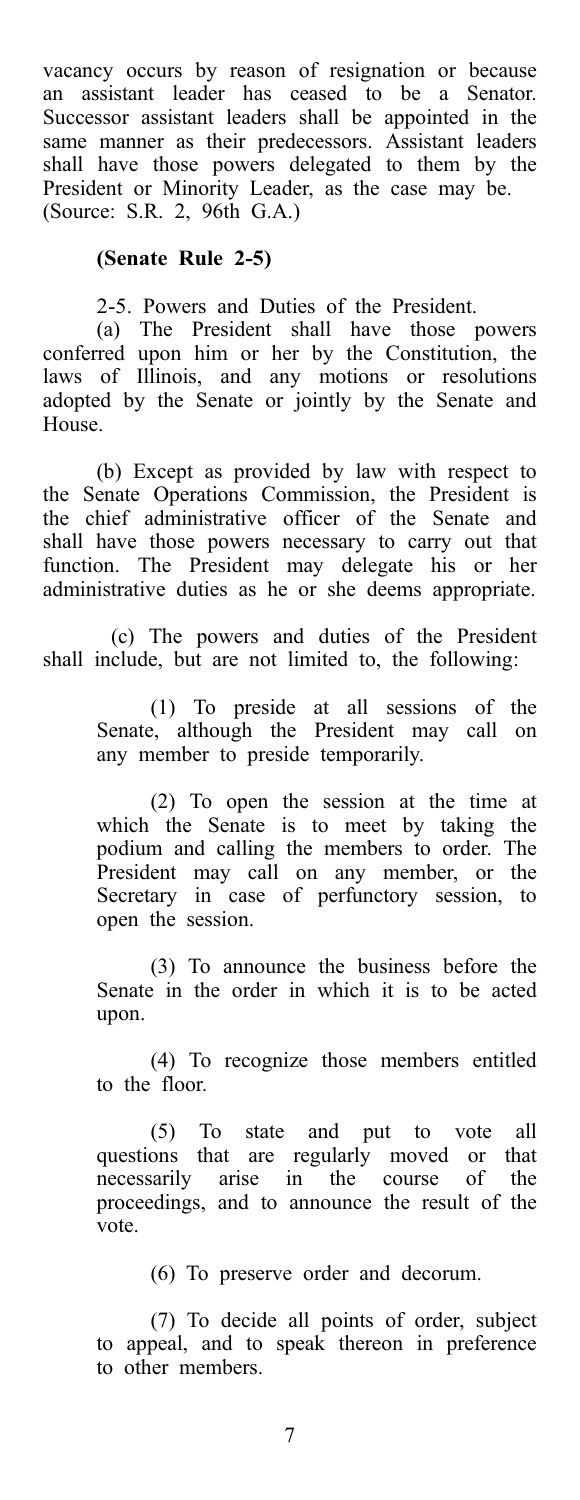vacancy occurs by reason of resignation or because an assistant leader has ceased to be a Senator. Successor assistant leaders shall be appointed in the same manner as their predecessors. Assistant leaders shall have those powers delegated to them by the President or Minority Leader, as the case may be. (Source: S.R. 2, 96th G.A.)

#### (Senate Rule 2-5)

2-5. Powers and Duties of the President.

(a) The President shall have those powers conferred upon him or her by the Constitution, the laws of Illinois, and any motions or resolutions adopted by the Senate or jointly by the Senate and House.

(b) Except as provided by law with respect to the Senate Operations Commission, the President is the chief administrative officer of the Senate and shall have those powers necessary to carry out that function. The President may delegate his or her administrative duties as he or she deems appropriate.

(c) The powers and duties of the President shall include, but are not limited to, the following:

> (1) To preside at all sessions of the Senate, although the President may call on any member to preside temporarily.

> (2) To open the session at the time at which the Senate is to meet by taking the podium and calling the members to order. The President may call on any member, or the Secretary in case of perfunctory session, to open the session.

> (3) To announce the business before the Senate in the order in which it is to be acted upon.

> (4) To recognize those members entitled to the floor.

> (5) To state and put to vote all questions that are regularly moved or that necessarily arise in the course of the proceedings, and to announce the result of the vote.

> > (6) To preserve order and decorum.

(7) To decide all points of order, subject to appeal, and to speak thereon in preference to other members.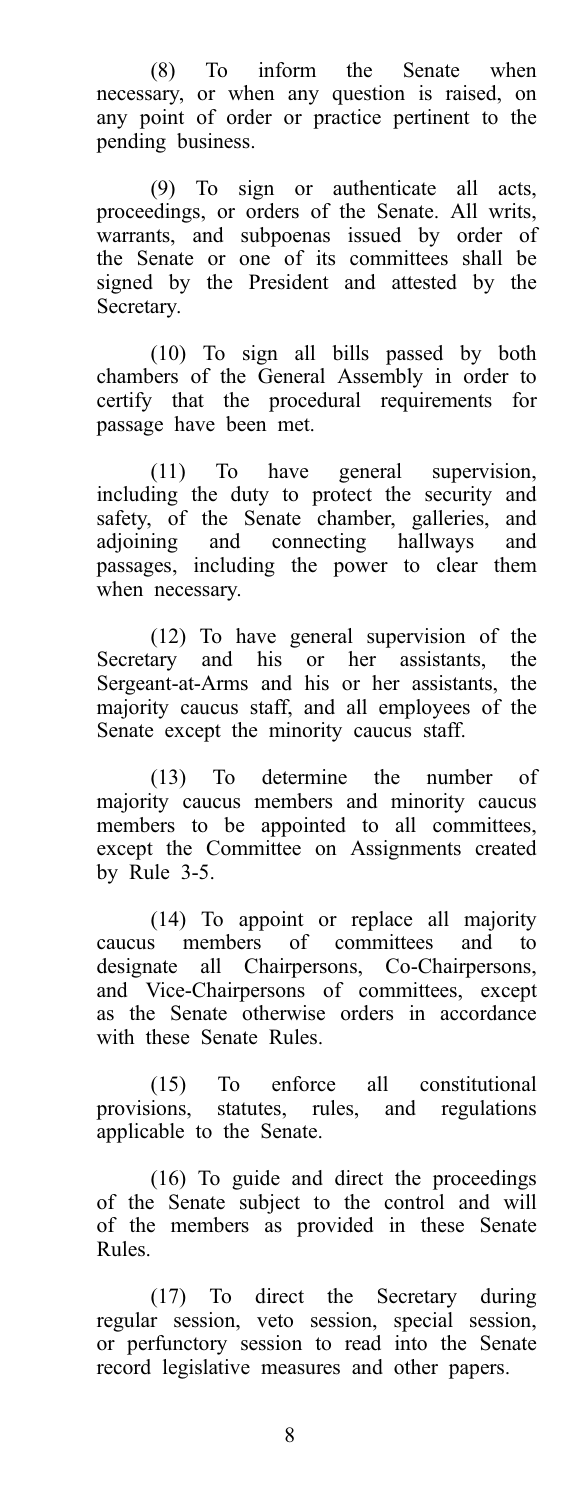(8) To inform the Senate when necessary, or when any question is raised, on any point of order or practice pertinent to the pending business.

(9) To sign or authenticate all acts, proceedings, or orders of the Senate. All writs, warrants, and subpoenas issued by order of the Senate or one of its committees shall be signed by the President and attested by the Secretary.

(10) To sign all bills passed by both chambers of the General Assembly in order to certify that the procedural requirements for passage have been met.

(11) To have general supervision, including the duty to protect the security and safety, of the Senate chamber, galleries, and adjoining and connecting hallways and passages, including the power to clear them when necessary.

(12) To have general supervision of the Secretary and his or her assistants, the Sergeant-at-Arms and his or her assistants, the majority caucus staff, and all employees of the Senate except the minority caucus staff.

(13) To determine the number of majority caucus members and minority caucus members to be appointed to all committees, except the Committee on Assignments created by Rule 3-5.

(14) To appoint or replace all majority caucus members of committees and to designate all Chairpersons, Co-Chairpersons, and Vice-Chairpersons of committees, except as the Senate otherwise orders in accordance with these Senate Rules.

(15) To enforce all constitutional provisions, statutes, rules, and regulations applicable to the Senate.

(16) To guide and direct the proceedings of the Senate subject to the control and will of the members as provided in these Senate Rules.

(17) To direct the Secretary during regular session, veto session, special session, or perfunctory session to read into the Senate record legislative measures and other papers.

8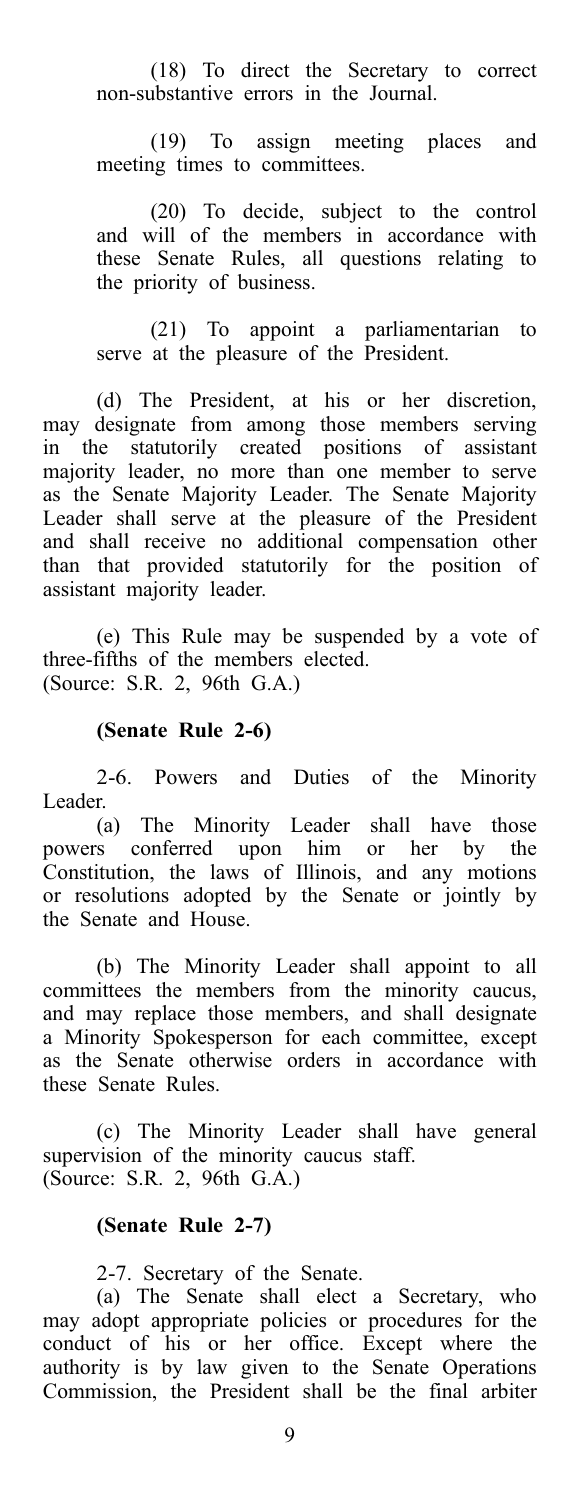(18) To direct the Secretary to correct non-substantive errors in the Journal.

(19) To assign meeting places and meeting times to committees.

(20) To decide, subject to the control and will of the members in accordance with these Senate Rules, all questions relating to the priority of business.

(21) To appoint a parliamentarian to serve at the pleasure of the President.

(d) The President, at his or her discretion, may designate from among those members serving in the statutorily created positions of assistant majority leader, no more than one member to serve as the Senate Majority Leader. The Senate Majority Leader shall serve at the pleasure of the President and shall receive no additional compensation other than that provided statutorily for the position of assistant majority leader.

(e) This Rule may be suspended by a vote of three-fifths of the members elected. (Source: S.R. 2, 96th G.A.)

#### (Senate Rule 2-6)

2-6. Powers and Duties of the Minority Leader.

(a) The Minority Leader shall have those powers conferred upon him or her by the Constitution, the laws of Illinois, and any motions or resolutions adopted by the Senate or jointly by the Senate and House.

(b) The Minority Leader shall appoint to all committees the members from the minority caucus, and may replace those members, and shall designate a Minority Spokesperson for each committee, except as the Senate otherwise orders in accordance with these Senate Rules.

(c) The Minority Leader shall have general supervision of the minority caucus staff. (Source: S.R. 2, 96th G.A.)

#### (Senate Rule 2-7)

2-7. Secretary of the Senate.

(a) The Senate shall elect a Secretary, who may adopt appropriate policies or procedures for the conduct of his or her office. Except where the authority is by law given to the Senate Operations Commission, the President shall be the final arbiter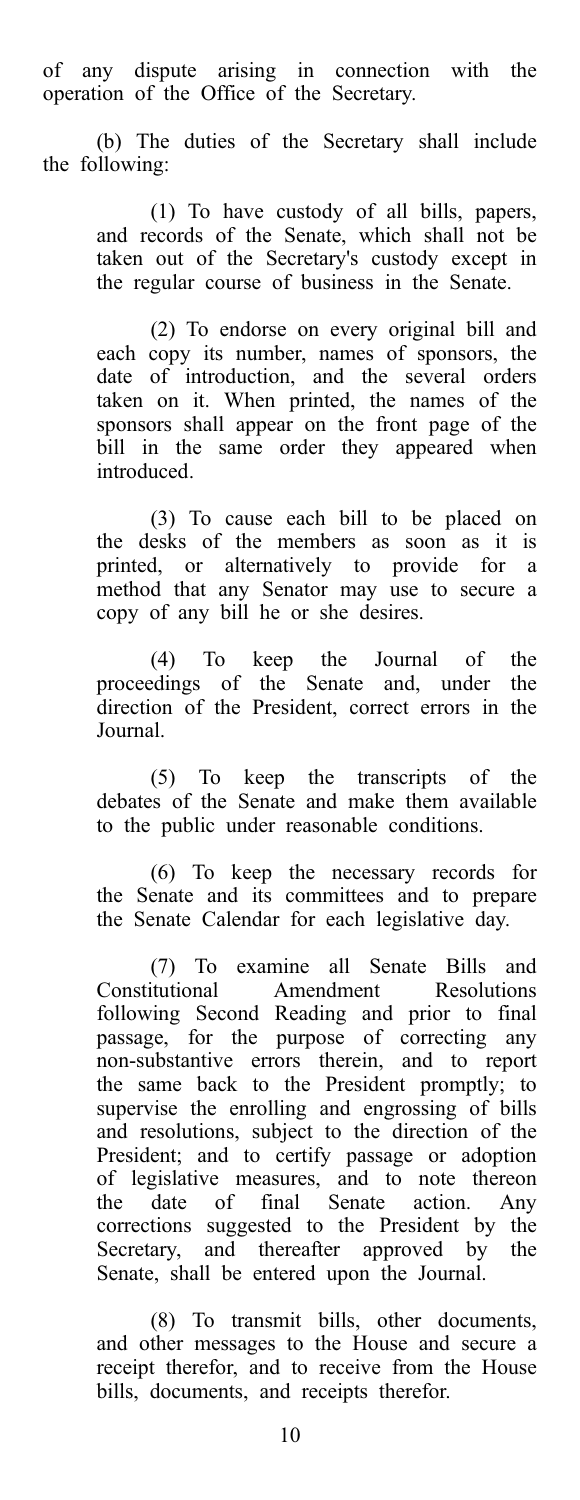of any dispute arising in connection with the operation of the Office of the Secretary.

(b) The duties of the Secretary shall include the following:

> (1) To have custody of all bills, papers, and records of the Senate, which shall not be taken out of the Secretary's custody except in the regular course of business in the Senate.

> (2) To endorse on every original bill and each copy its number, names of sponsors, the date of introduction, and the several orders taken on it. When printed, the names of the sponsors shall appear on the front page of the bill in the same order they appeared when introduced.

> (3) To cause each bill to be placed on the desks of the members as soon as it is printed, or alternatively to provide for a method that any Senator may use to secure a copy of any bill he or she desires.

> (4) To keep the Journal of the proceedings of the Senate and, under the direction of the President, correct errors in the Journal.

> (5) To keep the transcripts of the debates of the Senate and make them available to the public under reasonable conditions.

> (6) To keep the necessary records for the Senate and its committees and to prepare the Senate Calendar for each legislative day.

> (7) To examine all Senate Bills and Constitutional Amendment Resolutions following Second Reading and prior to final passage, for the purpose of correcting any non-substantive errors therein, and to report the same back to the President promptly; to supervise the enrolling and engrossing of bills and resolutions, subject to the direction of the President; and to certify passage or adoption of legislative measures, and to note thereon the date of final Senate action. Any corrections suggested to the President by the Secretary, and thereafter approved by the Senate, shall be entered upon the Journal.

> (8) To transmit bills, other documents, and other messages to the House and secure a receipt therefor, and to receive from the House bills, documents, and receipts therefor.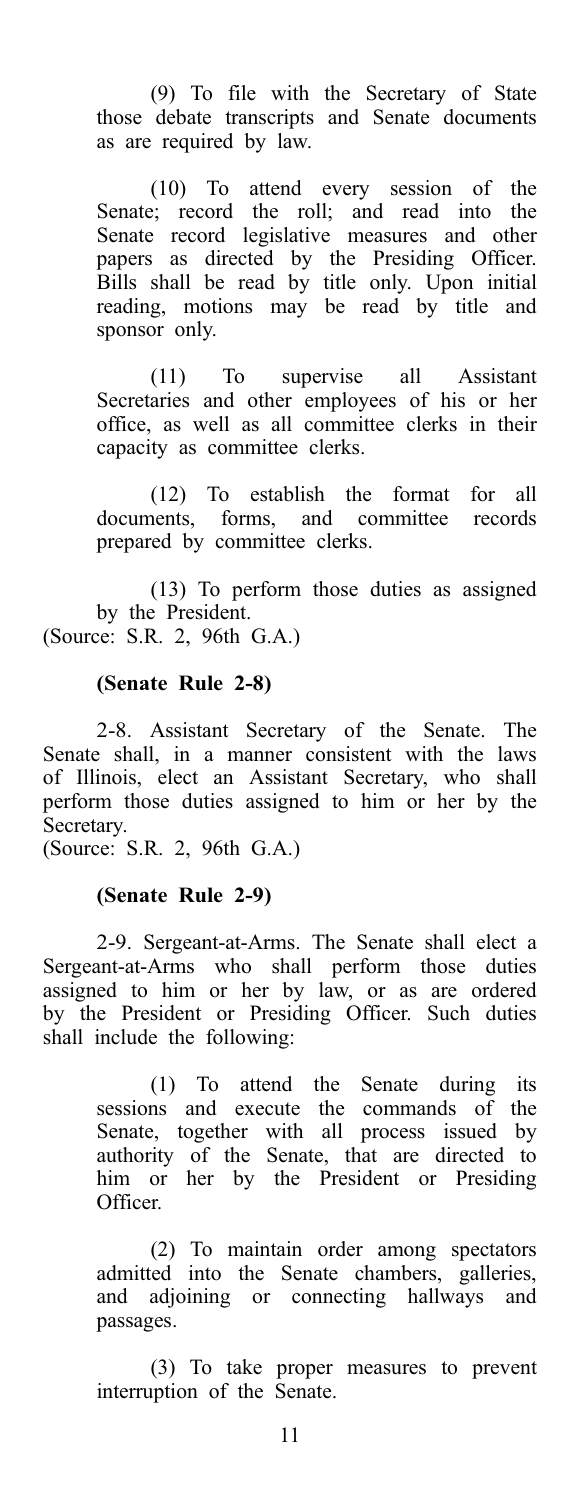(9) To file with the Secretary of State those debate transcripts and Senate documents as are required by law.

(10) To attend every session of the Senate; record the roll; and read into the Senate record legislative measures and other papers as directed by the Presiding Officer. Bills shall be read by title only. Upon initial reading, motions may be read by title and sponsor only.

(11) To supervise all Assistant Secretaries and other employees of his or her office, as well as all committee clerks in their capacity as committee clerks.

(12) To establish the format for all documents, forms, and committee records prepared by committee clerks.

(13) To perform those duties as assigned by the President.

(Source: S.R. 2, 96th G.A.)

#### (Senate Rule 2-8)

2-8. Assistant Secretary of the Senate. The Senate shall, in a manner consistent with the laws of Illinois, elect an Assistant Secretary, who shall perform those duties assigned to him or her by the Secretary.

(Source: S.R. 2, 96th G.A.)

#### (Senate Rule 2-9)

2-9. Sergeant-at-Arms. The Senate shall elect a Sergeant-at-Arms who shall perform those duties assigned to him or her by law, or as are ordered by the President or Presiding Officer. Such duties shall include the following:

> (1) To attend the Senate during its sessions and execute the commands of the Senate, together with all process issued by authority of the Senate, that are directed to him or her by the President or Presiding Officer.

> (2) To maintain order among spectators admitted into the Senate chambers, galleries, and adjoining or connecting hallways and passages.

> (3) To take proper measures to prevent interruption of the Senate.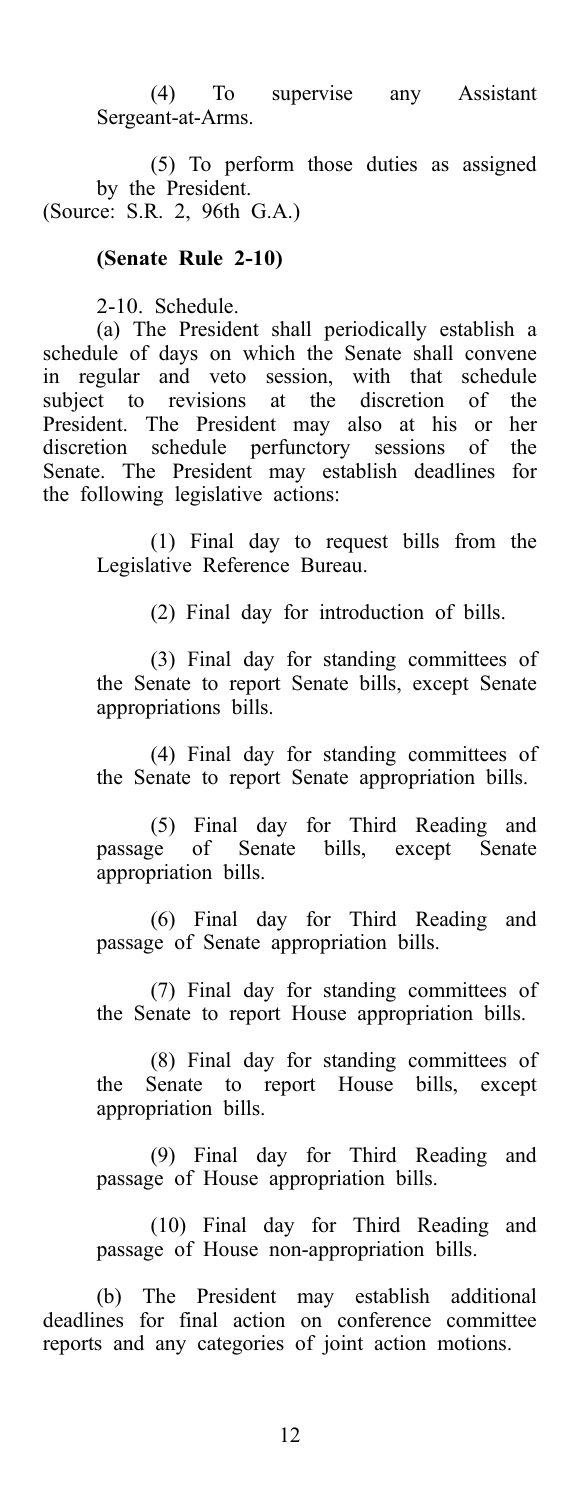(4) To supervise any Assistant Sergeant-at-Arms.

(5) To perform those duties as assigned by the President. (Source: S.R. 2, 96th G.A.)

## (Senate Rule 2-10)

2-10. Schedule.

(a) The President shall periodically establish a schedule of days on which the Senate shall convene in regular and veto session, with that schedule subject to revisions at the discretion of the President. The President may also at his or her discretion schedule perfunctory sessions of the Senate. The President may establish deadlines for the following legislative actions:

> (1) Final day to request bills from the Legislative Reference Bureau.

> > (2) Final day for introduction of bills.

(3) Final day for standing committees of the Senate to report Senate bills, except Senate appropriations bills.

(4) Final day for standing committees of the Senate to report Senate appropriation bills.

(5) Final day for Third Reading and passage of Senate bills, except Senate appropriation bills.

(6) Final day for Third Reading and passage of Senate appropriation bills.

(7) Final day for standing committees of the Senate to report House appropriation bills.

(8) Final day for standing committees of the Senate to report House bills, except appropriation bills.

(9) Final day for Third Reading and passage of House appropriation bills.

(10) Final day for Third Reading and passage of House non-appropriation bills.

(b) The President may establish additional deadlines for final action on conference committee reports and any categories of joint action motions.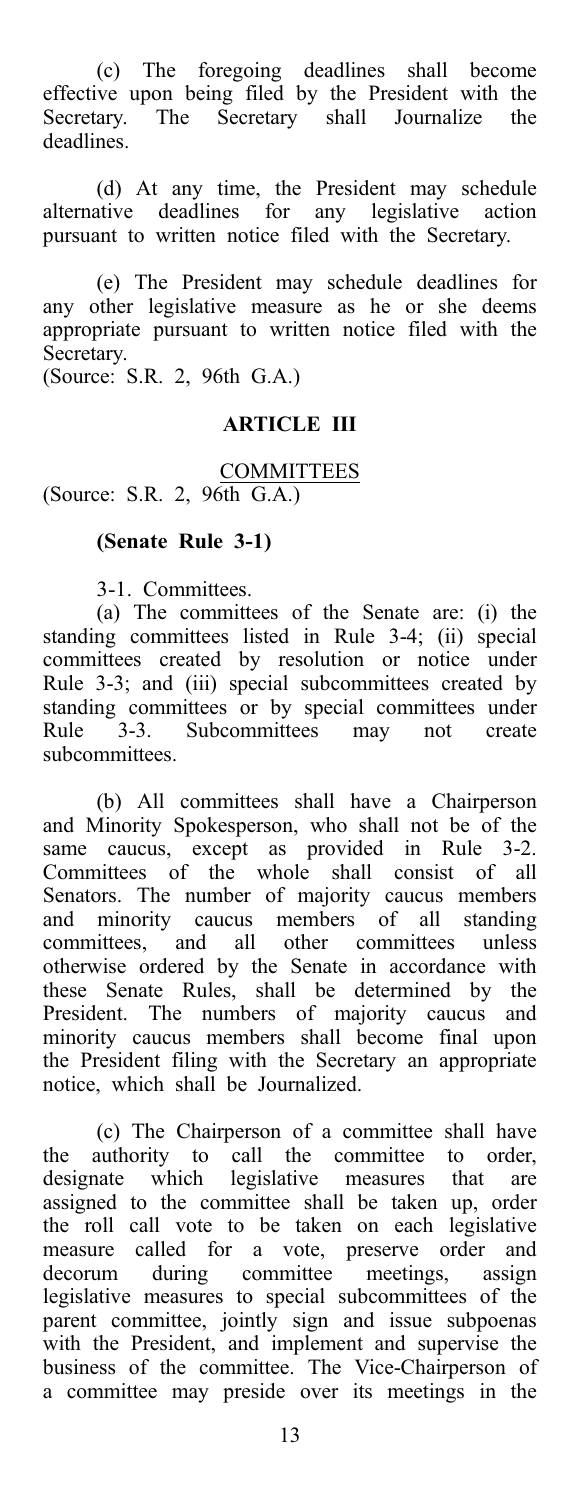(c) The foregoing deadlines shall become effective upon being filed by the President with the Secretary. The Secretary shall Journalize the deadlines.

(d) At any time, the President may schedule alternative deadlines for any legislative action pursuant to written notice filed with the Secretary.

(e) The President may schedule deadlines for any other legislative measure as he or she deems appropriate pursuant to written notice filed with the Secretary.

(Source: S.R. 2, 96th G.A.)

### ARTICLE III

COMMITTEES (Source: S.R. 2, 96th G.A.)

## (Senate Rule 3-1)

3-1. Committees.

(a) The committees of the Senate are: (i) the standing committees listed in Rule 3-4; (ii) special committees created by resolution or notice under Rule 3-3; and (iii) special subcommittees created by standing committees or by special committees under Rule 3-3. Subcommittees may not create subcommittees.

(b) All committees shall have a Chairperson and Minority Spokesperson, who shall not be of the same caucus, except as provided in Rule 3-2. Committees of the whole shall consist of all Senators. The number of majority caucus members and minority caucus members of all standing committees, and all other committees unless otherwise ordered by the Senate in accordance with these Senate Rules, shall be determined by the President. The numbers of majority caucus and minority caucus members shall become final upon the President filing with the Secretary an appropriate notice, which shall be Journalized.

(c) The Chairperson of a committee shall have the authority to call the committee to order, designate which legislative measures that are assigned to the committee shall be taken up, order the roll call vote to be taken on each legislative measure called for a vote, preserve order and decorum during committee meetings, assign legislative measures to special subcommittees of the parent committee, jointly sign and issue subpoenas with the President, and implement and supervise the business of the committee. The Vice-Chairperson of a committee may preside over its meetings in the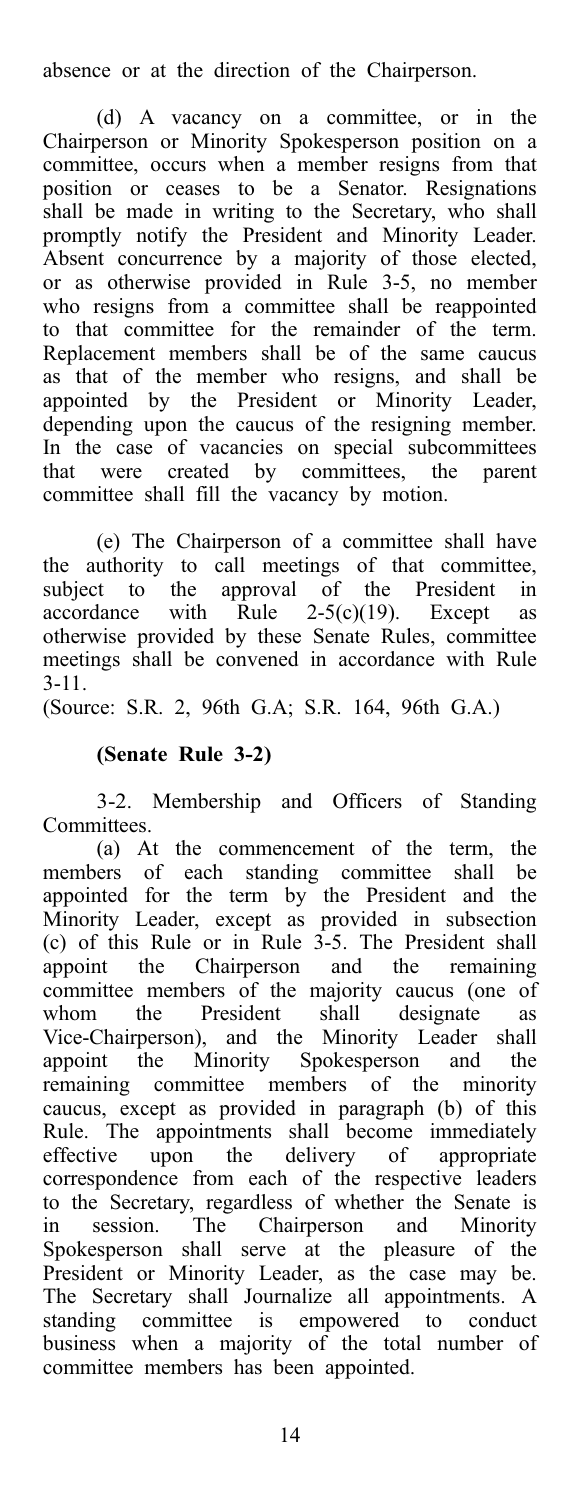absence or at the direction of the Chairperson.

(d) A vacancy on a committee, or in the Chairperson or Minority Spokesperson position on a committee, occurs when a member resigns from that position or ceases to be a Senator. Resignations shall be made in writing to the Secretary, who shall promptly notify the President and Minority Leader. Absent concurrence by a majority of those elected, or as otherwise provided in Rule 3-5, no member who resigns from a committee shall be reappointed to that committee for the remainder of the term. Replacement members shall be of the same caucus as that of the member who resigns, and shall be appointed by the President or Minority Leader, depending upon the caucus of the resigning member. In the case of vacancies on special subcommittees that were created by committees, the parent committee shall fill the vacancy by motion.

(e) The Chairperson of a committee shall have the authority to call meetings of that committee, subject to the approval of the President in accordance with Rule  $2-5(c)(19)$ . Except as otherwise provided by these Senate Rules, committee meetings shall be convened in accordance with Rule 3-11.

(Source: S.R. 2, 96th G.A; S.R. 164, 96th G.A.)

### (Senate Rule 3-2)

3-2. Membership and Officers of Standing Committees.

(a) At the commencement of the term, the members of each standing committee shall be appointed for the term by the President and the Minority Leader, except as provided in subsection (c) of this Rule or in Rule 3-5. The President shall appoint the Chairperson and the remaining committee members of the majority caucus (one of whom the President shall designate as Vice-Chairperson), and the Minority Leader shall appoint the Minority Spokesperson and the remaining committee members of the minority caucus, except as provided in paragraph (b) of this Rule. The appointments shall become immediately effective upon the delivery of appropriate correspondence from each of the respective leaders to the Secretary, regardless of whether the Senate is in session. The Chairperson and Minority Spokesperson shall serve at the pleasure of the President or Minority Leader, as the case may be. The Secretary shall Journalize all appointments. A standing committee is empowered to conduct business when a majority of the total number of committee members has been appointed.

14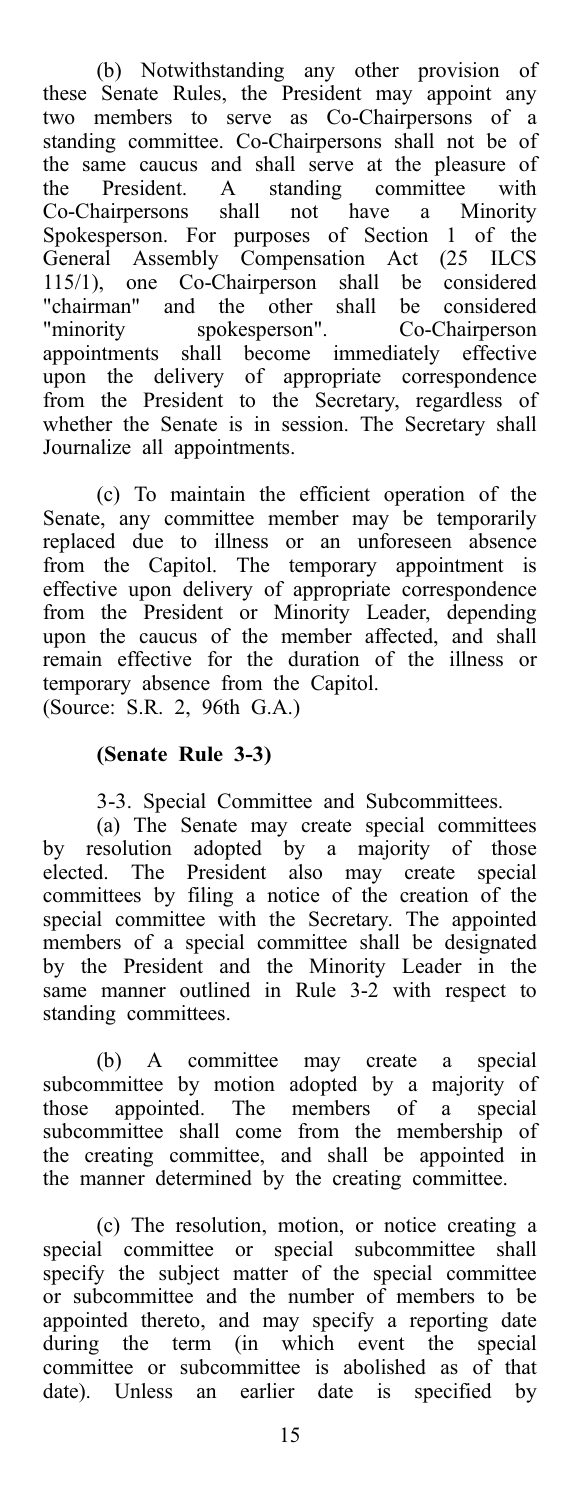(b) Notwithstanding any other provision of these Senate Rules, the President may appoint any two members to serve as Co-Chairpersons of a standing committee. Co-Chairpersons shall not be of the same caucus and shall serve at the pleasure of the President. A standing committee with Co-Chairpersons shall not have a Minority Spokesperson. For purposes of Section 1 of the General Assembly Compensation Act (25 ILCS 115/1), one Co-Chairperson shall be considered "chairman" and the other shall be considered "minority spokesperson". Co-Chairperson appointments shall become immediately effective upon the delivery of appropriate correspondence from the President to the Secretary, regardless of whether the Senate is in session. The Secretary shall Journalize all appointments.

(c) To maintain the efficient operation of the Senate, any committee member may be temporarily replaced due to illness or an unforeseen absence from the Capitol. The temporary appointment is effective upon delivery of appropriate correspondence from the President or Minority Leader, depending upon the caucus of the member affected, and shall remain effective for the duration of the illness or temporary absence from the Capitol. (Source: S.R. 2, 96th G.A.)

## (Senate Rule 3-3)

3-3. Special Committee and Subcommittees.

(a) The Senate may create special committees by resolution adopted by a majority of those elected. The President also may create special committees by filing a notice of the creation of the special committee with the Secretary. The appointed members of a special committee shall be designated by the President and the Minority Leader in the same manner outlined in Rule 3-2 with respect to standing committees.

(b) A committee may create a special subcommittee by motion adopted by a majority of those appointed. The members of a special subcommittee shall come from the membership of the creating committee, and shall be appointed in the manner determined by the creating committee.

(c) The resolution, motion, or notice creating a special committee or special subcommittee shall specify the subject matter of the special committee or subcommittee and the number of members to be appointed thereto, and may specify a reporting date during the term (in which event the special committee or subcommittee is abolished as of that date). Unless an earlier date is specified by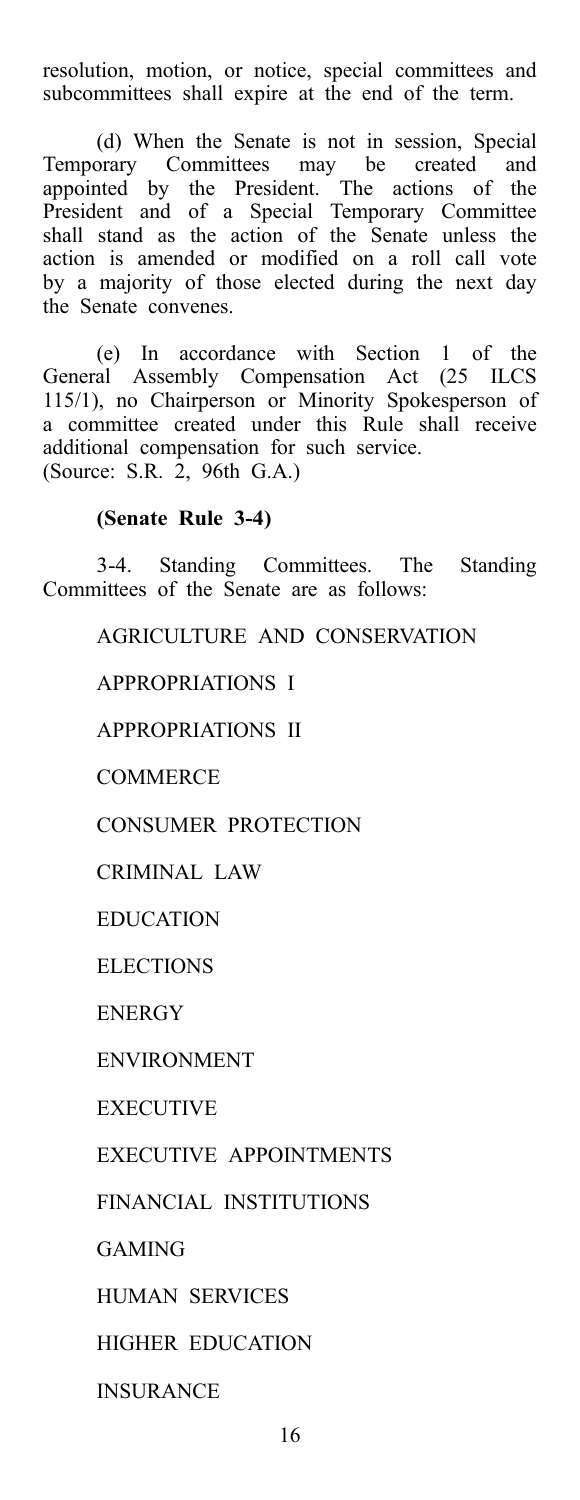resolution, motion, or notice, special committees and subcommittees shall expire at the end of the term.

(d) When the Senate is not in session, Special Temporary Committees may be created and appointed by the President. The actions of the President and of a Special Temporary Committee shall stand as the action of the Senate unless the action is amended or modified on a roll call vote by a majority of those elected during the next day the Senate convenes.

(e) In accordance with Section 1 of the General Assembly Compensation Act (25 ILCS 115/1), no Chairperson or Minority Spokesperson of a committee created under this Rule shall receive additional compensation for such service. (Source: S.R. 2, 96th G.A.)

#### (Senate Rule 3-4)

3-4. Standing Committees. The Standing Committees of the Senate are as follows:

## AGRICULTURE AND CONSERVATION

APPROPRIATIONS I

APPROPRIATIONS II

**COMMERCE** 

#### CONSUMER PROTECTION

CRIMINAL LAW

## **EDUCATION**

**ELECTIONS** 

ENERGY

ENVIRONMENT

EXECUTIVE

EXECUTIVE APPOINTMENTS

FINANCIAL INSTITUTIONS

GAMING

HUMAN SERVICES

HIGHER EDUCATION

INSURANCE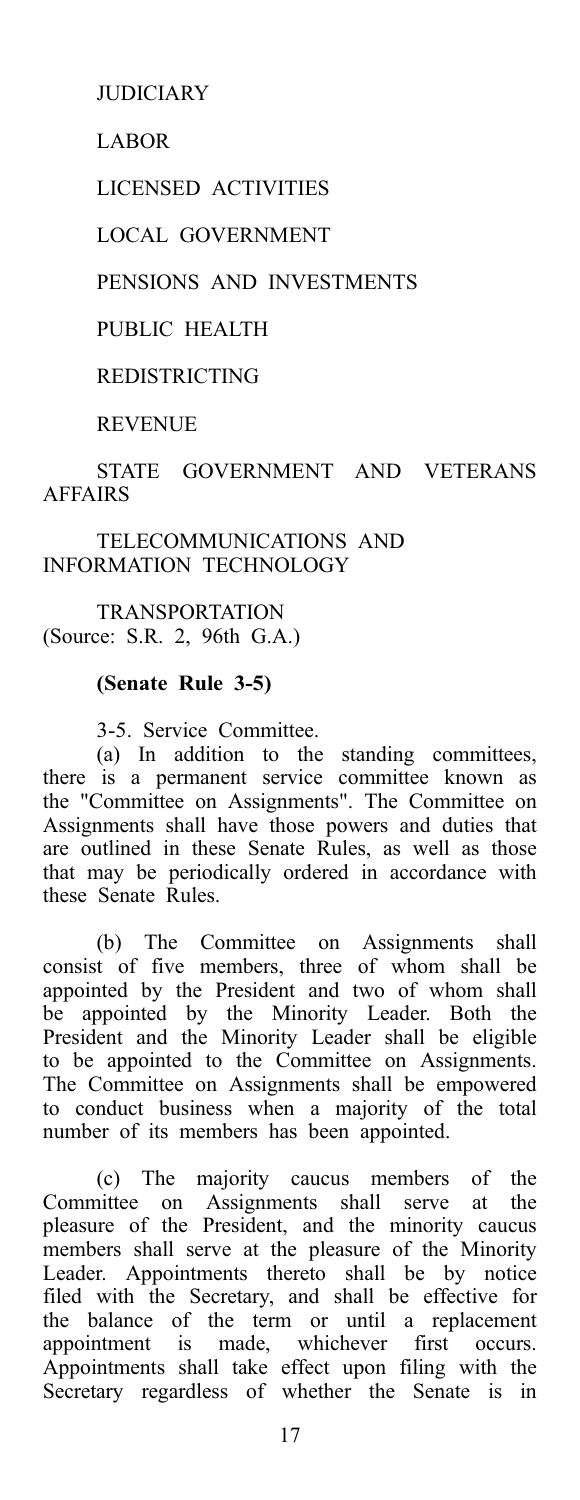JUDICIARY

LABOR

LICENSED ACTIVITIES

LOCAL GOVERNMENT

PENSIONS AND INVESTMENTS

PUBLIC HEALTH

REDISTRICTING

**REVENUE** 

STATE GOVERNMENT AND VETERANS **AFFAIRS** 

TELECOMMUNICATIONS AND INFORMATION TECHNOLOGY

TRANSPORTATION (Source: S.R. 2, 96th G.A.)

## (Senate Rule 3-5)

3-5. Service Committee.

(a) In addition to the standing committees, there is a permanent service committee known as the "Committee on Assignments". The Committee on Assignments shall have those powers and duties that are outlined in these Senate Rules, as well as those that may be periodically ordered in accordance with these Senate Rules.

(b) The Committee on Assignments shall consist of five members, three of whom shall be appointed by the President and two of whom shall be appointed by the Minority Leader. Both the President and the Minority Leader shall be eligible to be appointed to the Committee on Assignments. The Committee on Assignments shall be empowered to conduct business when a majority of the total number of its members has been appointed.

(c) The majority caucus members of the Committee on Assignments shall serve at the pleasure of the President, and the minority caucus members shall serve at the pleasure of the Minority Leader. Appointments thereto shall be by notice filed with the Secretary, and shall be effective for the balance of the term or until a replacement appointment is made, whichever first occurs. Appointments shall take effect upon filing with the Secretary regardless of whether the Senate is in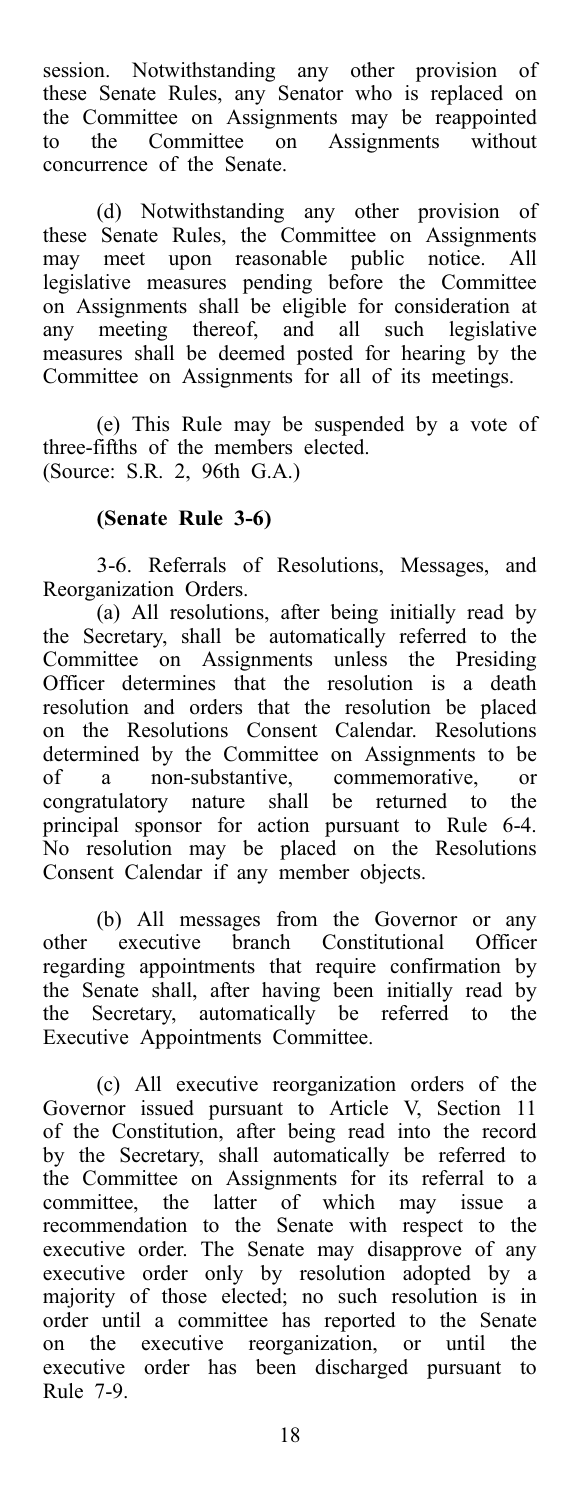session. Notwithstanding any other provision of these Senate Rules, any Senator who is replaced on the Committee on Assignments may be reappointed to the Committee on Assignments without concurrence of the Senate.

(d) Notwithstanding any other provision of these Senate Rules, the Committee on Assignments may meet upon reasonable public notice. All legislative measures pending before the Committee on Assignments shall be eligible for consideration at any meeting thereof, and all such legislative measures shall be deemed posted for hearing by the Committee on Assignments for all of its meetings.

(e) This Rule may be suspended by a vote of three-fifths of the members elected. (Source: S.R. 2, 96th G.A.)

## (Senate Rule 3-6)

3-6. Referrals of Resolutions, Messages, and Reorganization Orders.

(a) All resolutions, after being initially read by the Secretary, shall be automatically referred to the Committee on Assignments unless the Presiding Officer determines that the resolution is a death resolution and orders that the resolution be placed on the Resolutions Consent Calendar. Resolutions determined by the Committee on Assignments to be of a non-substantive, commemorative, or congratulatory nature shall be returned to the principal sponsor for action pursuant to Rule 6-4. No resolution may be placed on the Resolutions Consent Calendar if any member objects.

(b) All messages from the Governor or any other executive branch Constitutional Officer regarding appointments that require confirmation by the Senate shall, after having been initially read by the Secretary, automatically be referred to the Executive Appointments Committee.

(c) All executive reorganization orders of the Governor issued pursuant to Article V, Section 11 of the Constitution, after being read into the record by the Secretary, shall automatically be referred to the Committee on Assignments for its referral to a committee, the latter of which may issue a recommendation to the Senate with respect to the executive order. The Senate may disapprove of any executive order only by resolution adopted by a majority of those elected; no such resolution is in order until a committee has reported to the Senate on the executive reorganization, or until the executive order has been discharged pursuant to Rule 7-9.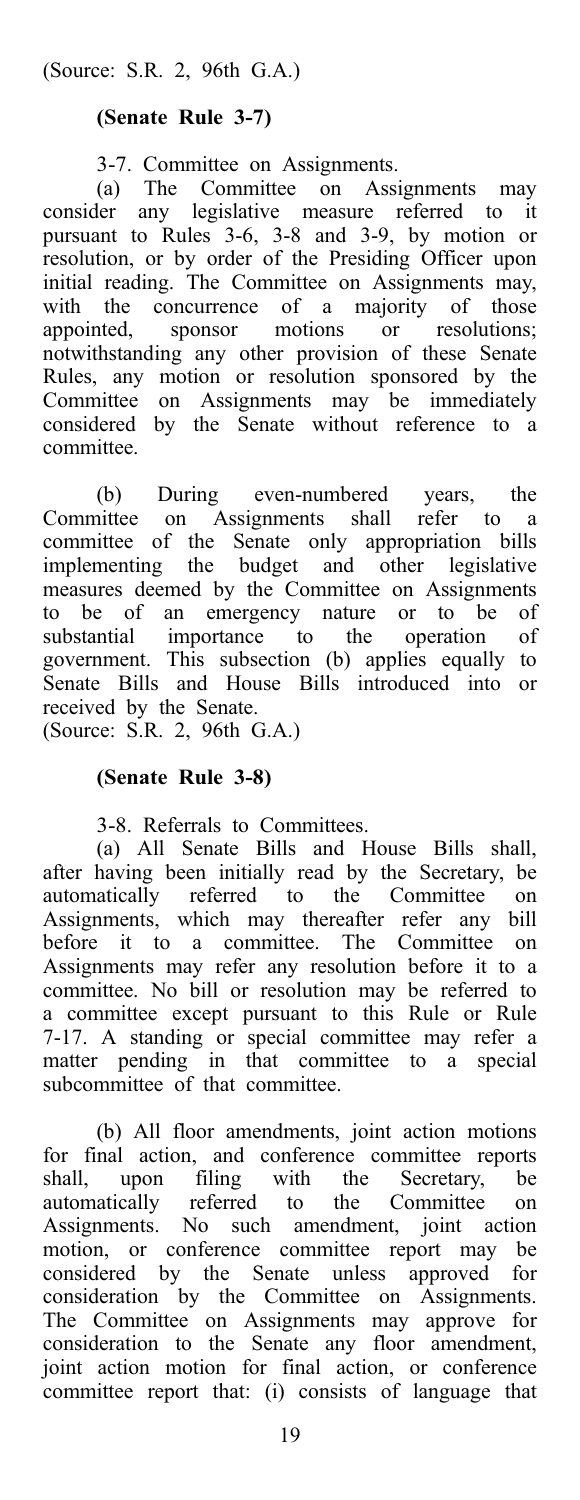## (Senate Rule 3-7)

3-7. Committee on Assignments.

(a) The Committee on Assignments may consider any legislative measure referred to it pursuant to Rules 3-6, 3-8 and 3-9, by motion or resolution, or by order of the Presiding Officer upon initial reading. The Committee on Assignments may, with the concurrence of a majority of those appointed, sponsor motions or resolutions; notwithstanding any other provision of these Senate Rules, any motion or resolution sponsored by the Committee on Assignments may be immediately considered by the Senate without reference to a committee.

(b) During even-numbered years, the Committee on Assignments shall refer to a committee of the Senate only appropriation bills implementing the budget and other legislative measures deemed by the Committee on Assignments to be of an emergency nature or to be of substantial importance to the operation of government. This subsection (b) applies equally to Senate Bills and House Bills introduced into or received by the Senate.

(Source: S.R. 2, 96th G.A.)

## (Senate Rule 3-8)

3-8. Referrals to Committees.

(a) All Senate Bills and House Bills shall, after having been initially read by the Secretary, be automatically referred to the Committee on Assignments, which may thereafter refer any bill before it to a committee. The Committee on Assignments may refer any resolution before it to a committee. No bill or resolution may be referred to a committee except pursuant to this Rule or Rule 7-17. A standing or special committee may refer a matter pending in that committee to a special subcommittee of that committee.

(b) All floor amendments, joint action motions for final action, and conference committee reports shall, upon filing with the Secretary, be automatically referred to the Committee on Assignments. No such amendment, joint action motion, or conference committee report may be considered by the Senate unless approved for consideration by the Committee on Assignments. The Committee on Assignments may approve for consideration to the Senate any floor amendment, joint action motion for final action, or conference committee report that: (i) consists of language that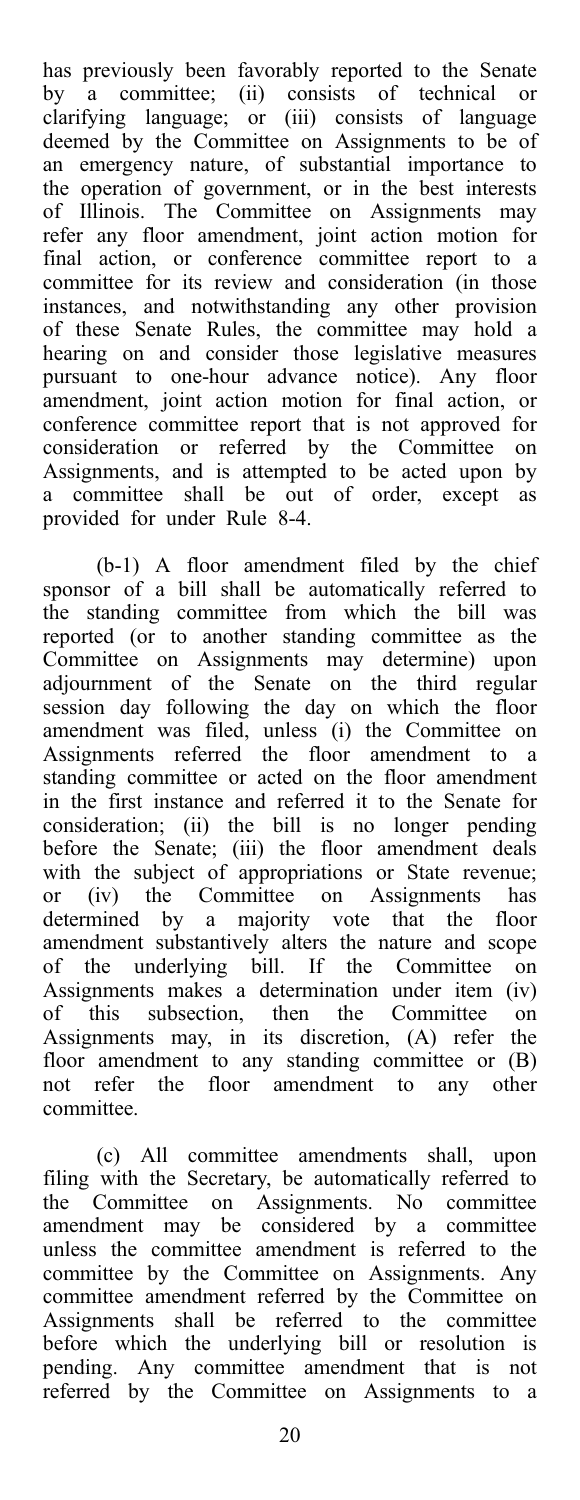has previously been favorably reported to the Senate by a committee; (ii) consists of technical or clarifying language; or (iii) consists of language deemed by the Committee on Assignments to be of an emergency nature, of substantial importance to the operation of government, or in the best interests of Illinois. The Committee on Assignments may refer any floor amendment, joint action motion for final action, or conference committee report to a committee for its review and consideration (in those instances, and notwithstanding any other provision of these Senate Rules, the committee may hold a hearing on and consider those legislative measures pursuant to one-hour advance notice). Any floor amendment, joint action motion for final action, or conference committee report that is not approved for consideration or referred by the Committee on Assignments, and is attempted to be acted upon by a committee shall be out of order, except as provided for under Rule 8-4.

(b-1) A floor amendment filed by the chief sponsor of a bill shall be automatically referred to the standing committee from which the bill was reported (or to another standing committee as the Committee on Assignments may determine) upon adjournment of the Senate on the third regular session day following the day on which the floor amendment was filed, unless (i) the Committee on Assignments referred the floor amendment to a standing committee or acted on the floor amendment in the first instance and referred it to the Senate for consideration; (ii) the bill is no longer pending before the Senate; (iii) the floor amendment deals with the subject of appropriations or State revenue; or (iv) the Committee on Assignments has determined by a majority vote that the floor amendment substantively alters the nature and scope of the underlying bill. If the Committee on Assignments makes a determination under item (iv) of this subsection, then the Committee on Assignments may, in its discretion, (A) refer the floor amendment to any standing committee or (B) not refer the floor amendment to any other committee.

(c) All committee amendments shall, upon filing with the Secretary, be automatically referred to the Committee on Assignments. No committee amendment may be considered by a committee unless the committee amendment is referred to the committee by the Committee on Assignments. Any committee amendment referred by the Committee on Assignments shall be referred to the committee before which the underlying bill or resolution is pending. Any committee amendment that is not referred by the Committee on Assignments to a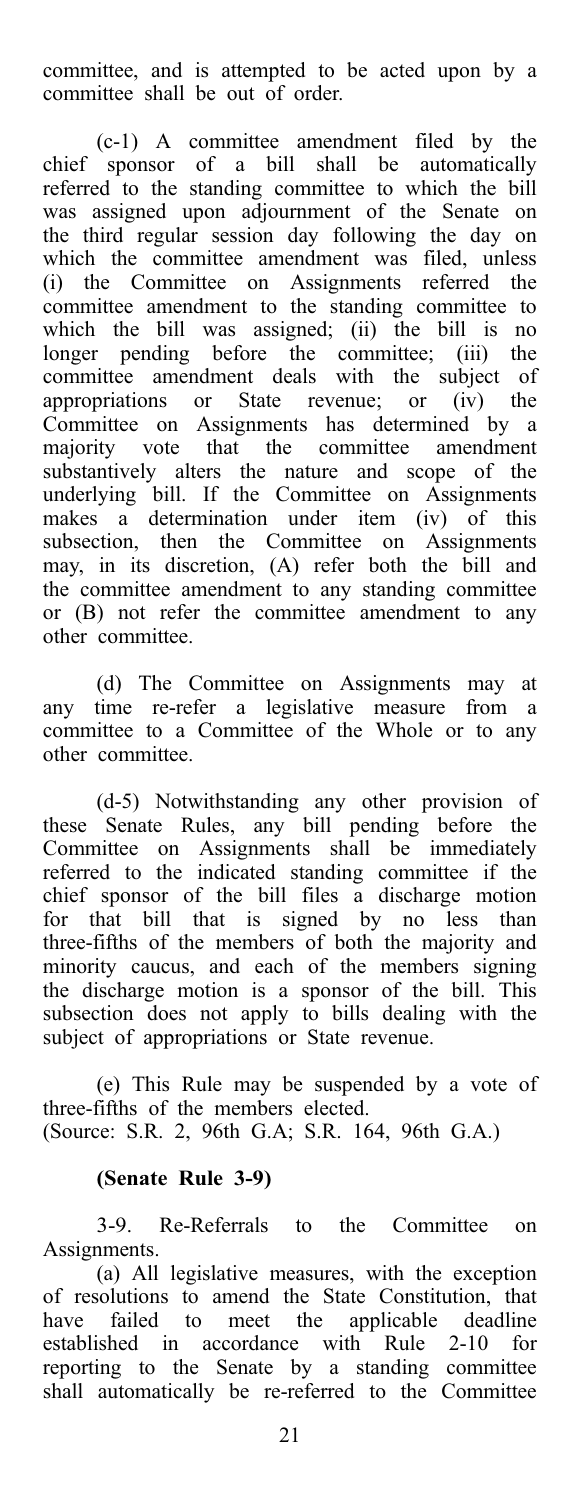committee, and is attempted to be acted upon by a committee shall be out of order.

(c-1) A committee amendment filed by the chief sponsor of a bill shall be automatically referred to the standing committee to which the bill was assigned upon adjournment of the Senate on the third regular session day following the day on which the committee amendment was filed, unless (i) the Committee on Assignments referred the committee amendment to the standing committee to which the bill was assigned; (ii) the bill is no longer pending before the committee; (iii) the committee amendment deals with the subject of appropriations or State revenue; or (iv) the appropriations or State revenue; or (iv) the<br>Committee on Assignments has determined by a majority vote that the committee amendment substantively alters the nature and scope of the underlying bill. If the Committee on Assignments makes a determination under item (iv) of this subsection, then the Committee on Assignments may, in its discretion, (A) refer both the bill and the committee amendment to any standing committee or (B) not refer the committee amendment to any other committee.

(d) The Committee on Assignments may at any time re-refer a legislative measure from a committee to a Committee of the Whole or to any other committee.

(d-5) Notwithstanding any other provision of these Senate Rules, any bill pending before the Committee on Assignments shall be immediately referred to the indicated standing committee if the chief sponsor of the bill files a discharge motion for that bill that is signed by no less than three-fifths of the members of both the majority and minority caucus, and each of the members signing the discharge motion is a sponsor of the bill. This subsection does not apply to bills dealing with the subject of appropriations or State revenue.

(e) This Rule may be suspended by a vote of three-fifths of the members elected. (Source: S.R. 2, 96th G.A; S.R. 164, 96th G.A.)

## (Senate Rule 3-9)

3-9. Re-Referrals to the Committee on Assignments.

(a) All legislative measures, with the exception of resolutions to amend the State Constitution, that have failed to meet the applicable deadline established in accordance with Rule 2-10 for reporting to the Senate by a standing committee shall automatically be re-referred to the Committee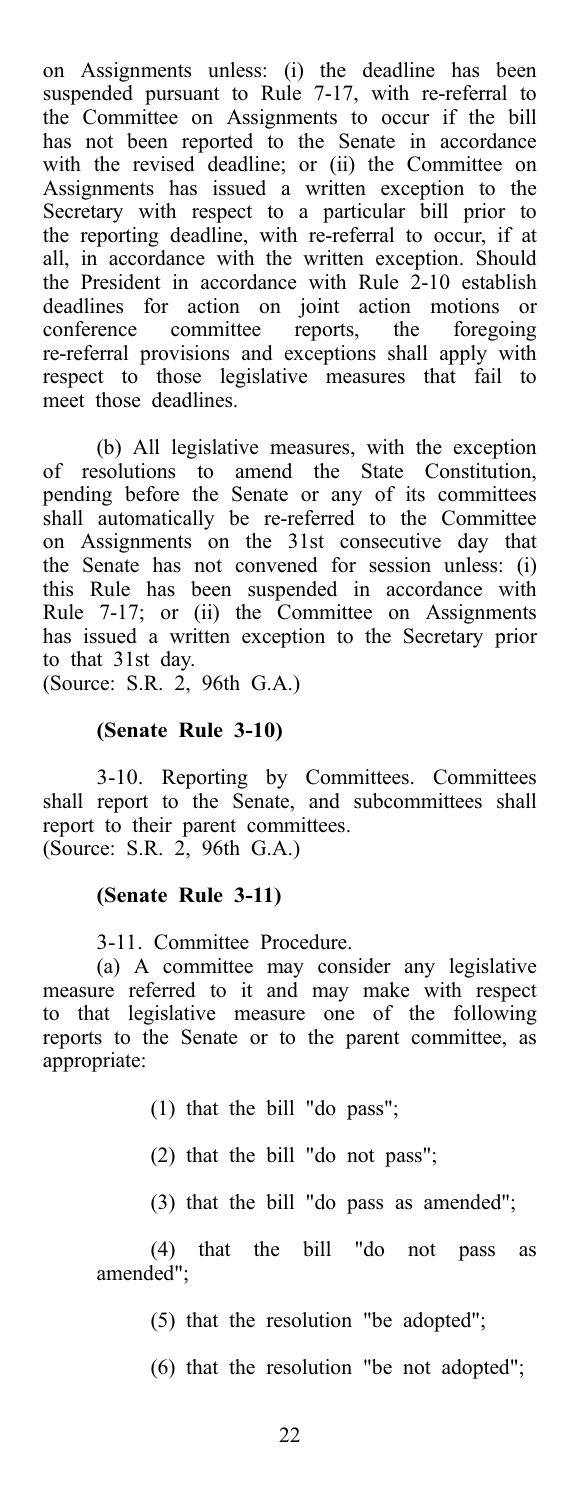on Assignments unless: (i) the deadline has been suspended pursuant to Rule 7-17, with re-referral to the Committee on Assignments to occur if the bill has not been reported to the Senate in accordance with the revised deadline; or (ii) the Committee on Assignments has issued a written exception to the Secretary with respect to a particular bill prior to the reporting deadline, with re-referral to occur, if at all, in accordance with the written exception. Should the President in accordance with Rule 2-10 establish deadlines for action on joint action motions or conference committee reports, the foregoing re-referral provisions and exceptions shall apply with respect to those legislative measures that fail to meet those deadlines.

(b) All legislative measures, with the exception of resolutions to amend the State Constitution, pending before the Senate or any of its committees shall automatically be re-referred to the Committee on Assignments on the 31st consecutive day that the Senate has not convened for session unless: (i) this Rule has been suspended in accordance with Rule 7-17; or (ii) the Committee on Assignments has issued a written exception to the Secretary prior to that 31st day.

(Source: S.R. 2, 96th G.A.)

#### (Senate Rule 3-10)

3-10. Reporting by Committees. Committees shall report to the Senate, and subcommittees shall report to their parent committees. (Source: S.R. 2, 96th G.A.)

## (Senate Rule 3-11)

3-11. Committee Procedure.

(a) A committee may consider any legislative measure referred to it and may make with respect to that legislative measure one of the following reports to the Senate or to the parent committee, as appropriate:

- (1) that the bill "do pass";
- (2) that the bill "do not pass";
- (3) that the bill "do pass as amended";

(4) that the bill "do not pass as amended";

(5) that the resolution "be adopted";

(6) that the resolution "be not adopted";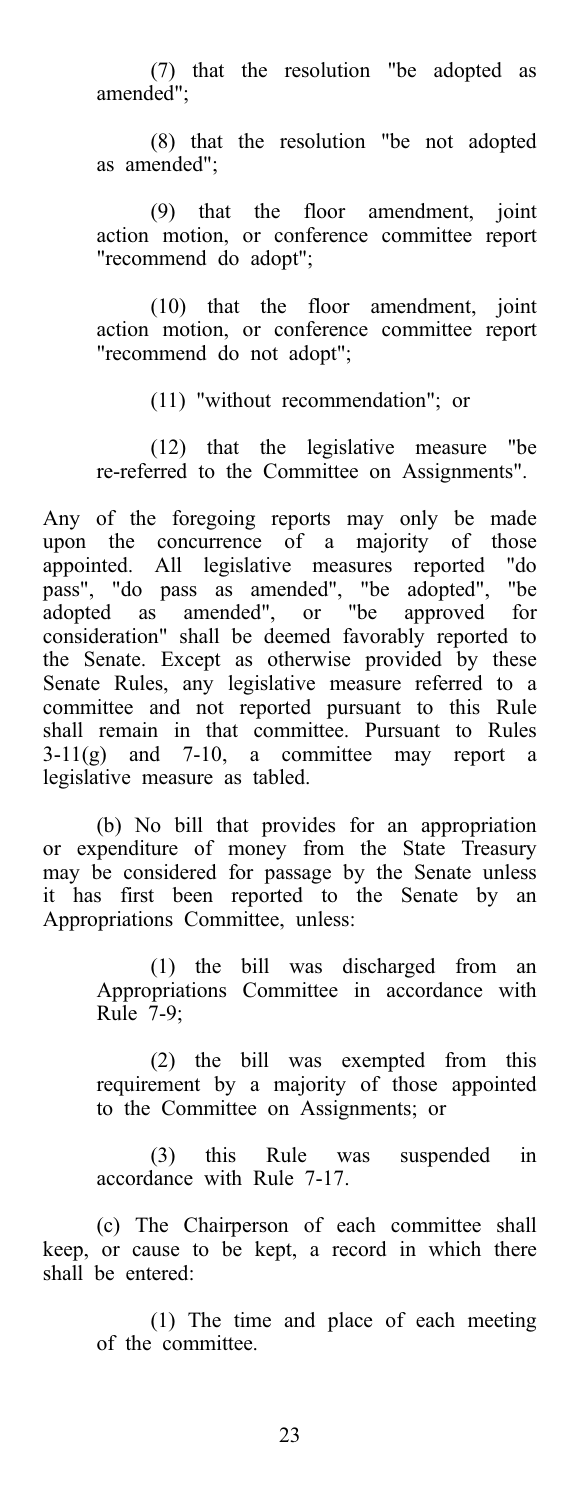(7) that the resolution "be adopted as amended";

(8) that the resolution "be not adopted as amended";

(9) that the floor amendment, joint action motion, or conference committee report "recommend do adopt";

(10) that the floor amendment, joint action motion, or conference committee report "recommend do not adopt";

(11) "without recommendation"; or

(12) that the legislative measure "be re-referred to the Committee on Assignments".

Any of the foregoing reports may only be made upon the concurrence of a majority of those appointed. All legislative measures reported "do pass", "do pass as amended", "be adopted", "be adopted as amended", or "be approved for consideration" shall be deemed favorably reported to the Senate. Except as otherwise provided by these Senate Rules, any legislative measure referred to a committee and not reported pursuant to this Rule shall remain in that committee. Pursuant to Rules  $3-11(g)$  and  $7-10$ , a committee may report a legislative measure as tabled.

(b) No bill that provides for an appropriation or expenditure of money from the State Treasury may be considered for passage by the Senate unless it has first been reported to the Senate by an Appropriations Committee, unless:

> (1) the bill was discharged from an Appropriations Committee in accordance with Rule 7-9;

> (2) the bill was exempted from this requirement by a majority of those appointed to the Committee on Assignments; or

> (3) this Rule was suspended in accordance with Rule 7-17.

(c) The Chairperson of each committee shall keep, or cause to be kept, a record in which there shall be entered:

> (1) The time and place of each meeting of the committee.

> > 23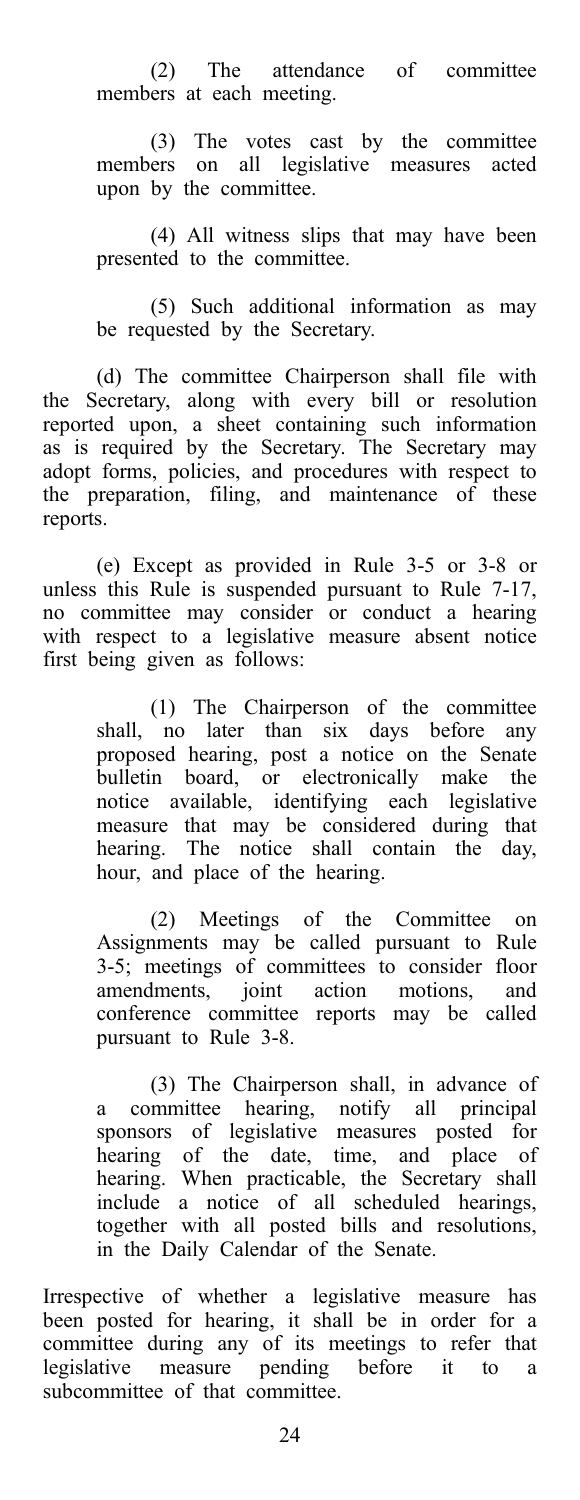(2) The attendance of committee members at each meeting.

(3) The votes cast by the committee members on all legislative measures acted upon by the committee.

(4) All witness slips that may have been presented to the committee.

(5) Such additional information as may be requested by the Secretary.

(d) The committee Chairperson shall file with the Secretary, along with every bill or resolution reported upon, a sheet containing such information as is required by the Secretary. The Secretary may adopt forms, policies, and procedures with respect to the preparation, filing, and maintenance of these reports.

(e) Except as provided in Rule 3-5 or 3-8 or unless this Rule is suspended pursuant to Rule 7-17, no committee may consider or conduct a hearing with respect to a legislative measure absent notice first being given as follows:

> (1) The Chairperson of the committee shall, no later than six days before any proposed hearing, post a notice on the Senate bulletin board, or electronically make the notice available, identifying each legislative measure that may be considered during that hearing. The notice shall contain the day, hour, and place of the hearing.

> (2) Meetings of the Committee on Assignments may be called pursuant to Rule 3-5; meetings of committees to consider floor amendments, joint action motions, and conference committee reports may be called pursuant to Rule 3-8.

> (3) The Chairperson shall, in advance of a committee hearing, notify all principal sponsors of legislative measures posted for hearing of the date, time, and place of hearing. When practicable, the Secretary shall include a notice of all scheduled hearings, together with all posted bills and resolutions, in the Daily Calendar of the Senate.

Irrespective of whether a legislative measure has been posted for hearing, it shall be in order for a committee during any of its meetings to refer that legislative measure pending before it to a subcommittee of that committee.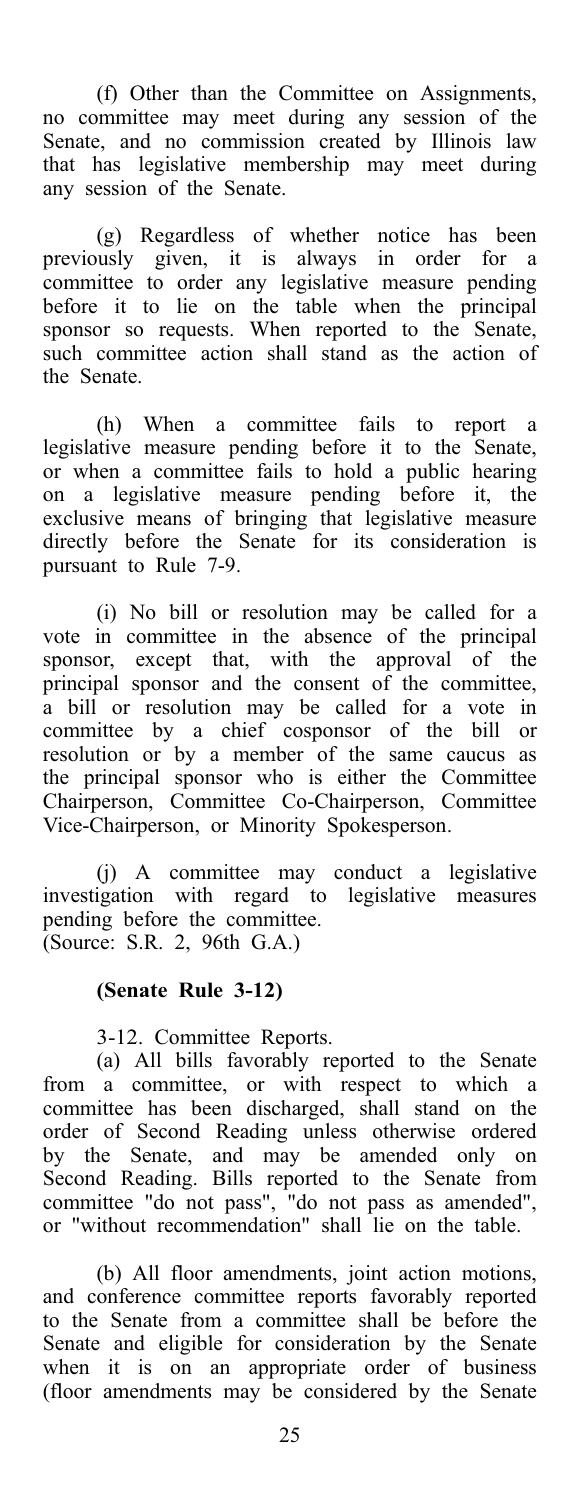(f) Other than the Committee on Assignments, no committee may meet during any session of the Senate, and no commission created by Illinois law that has legislative membership may meet during any session of the Senate.

(g) Regardless of whether notice has been previously given, it is always in order for a committee to order any legislative measure pending before it to lie on the table when the principal sponsor so requests. When reported to the Senate, such committee action shall stand as the action of the Senate.

(h) When a committee fails to report a legislative measure pending before it to the Senate, or when a committee fails to hold a public hearing on a legislative measure pending before it, the exclusive means of bringing that legislative measure directly before the Senate for its consideration is pursuant to Rule 7-9.

(i) No bill or resolution may be called for a vote in committee in the absence of the principal sponsor, except that, with the approval of the principal sponsor and the consent of the committee, a bill or resolution may be called for a vote in committee by a chief cosponsor of the bill or resolution or by a member of the same caucus as the principal sponsor who is either the Committee Chairperson, Committee Co-Chairperson, Committee Vice-Chairperson, or Minority Spokesperson.

(j) A committee may conduct a legislative investigation with regard to legislative measures pending before the committee. (Source: S.R. 2, 96th G.A.)

## (Senate Rule 3-12)

3-12. Committee Reports.

(a) All bills favorably reported to the Senate from a committee, or with respect to which a committee has been discharged, shall stand on the order of Second Reading unless otherwise ordered by the Senate, and may be amended only on Second Reading. Bills reported to the Senate from committee "do not pass", "do not pass as amended", or "without recommendation" shall lie on the table.

(b) All floor amendments, joint action motions, and conference committee reports favorably reported to the Senate from a committee shall be before the Senate and eligible for consideration by the Senate when it is on an appropriate order of business (floor amendments may be considered by the Senate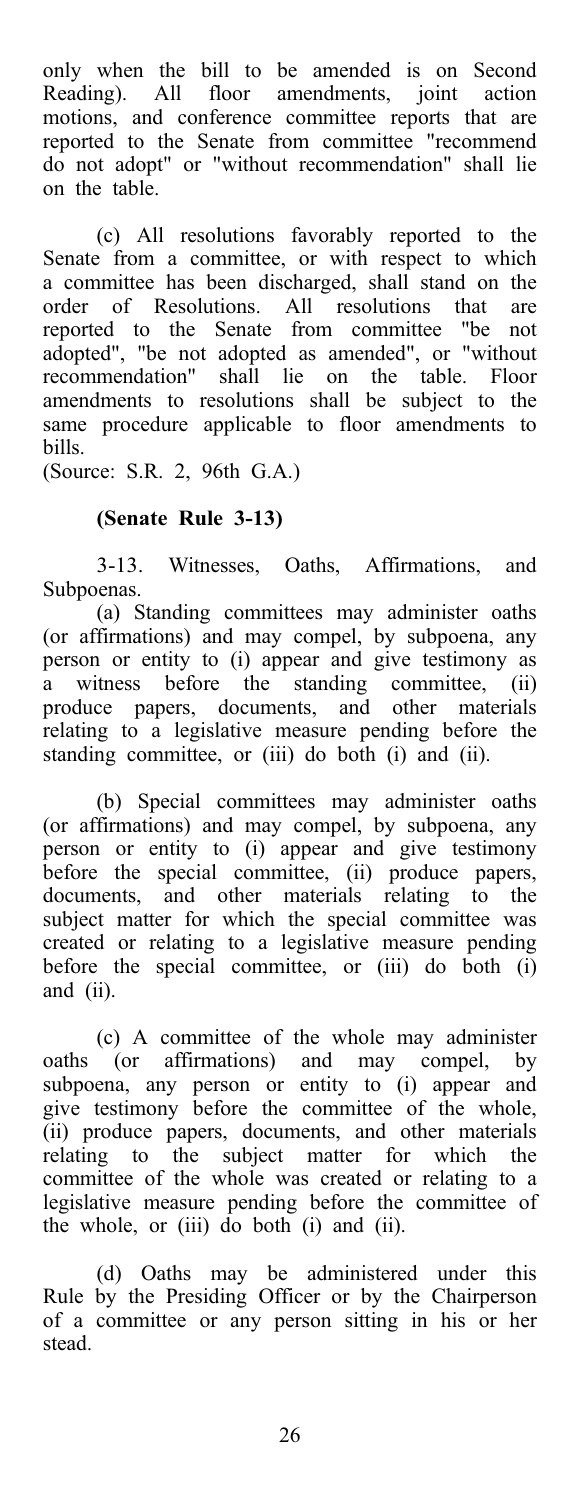only when the bill to be amended is on Second Reading). All floor amendments, joint action motions, and conference committee reports that are reported to the Senate from committee "recommend do not adopt" or "without recommendation" shall lie on the table.

(c) All resolutions favorably reported to the Senate from a committee, or with respect to which a committee has been discharged, shall stand on the order of Resolutions. All resolutions that are reported to the Senate from committee "be not adopted", "be not adopted as amended", or "without recommendation" shall lie on the table. Floor amendments to resolutions shall be subject to the same procedure applicable to floor amendments to bills.

(Source: S.R. 2, 96th G.A.)

## (Senate Rule 3-13)

3-13. Witnesses, Oaths, Affirmations, and Subpoenas.

(a) Standing committees may administer oaths (or affirmations) and may compel, by subpoena, any person or entity to (i) appear and give testimony as a witness before the standing committee, (ii) produce papers, documents, and other materials relating to a legislative measure pending before the standing committee, or (iii) do both (i) and (ii).

(b) Special committees may administer oaths (or affirmations) and may compel, by subpoena, any person or entity to (i) appear and give testimony before the special committee, (ii) produce papers, documents, and other materials relating to the subject matter for which the special committee was created or relating to a legislative measure pending before the special committee, or (iii) do both (i) and (ii).

(c) A committee of the whole may administer oaths (or affirmations) and may compel, by subpoena, any person or entity to (i) appear and give testimony before the committee of the whole, (ii) produce papers, documents, and other materials relating to the subject matter for which the committee of the whole was created or relating to a legislative measure pending before the committee of the whole, or (iii) do both (i) and (ii).

(d) Oaths may be administered under this Rule by the Presiding Officer or by the Chairperson of a committee or any person sitting in his or her stead.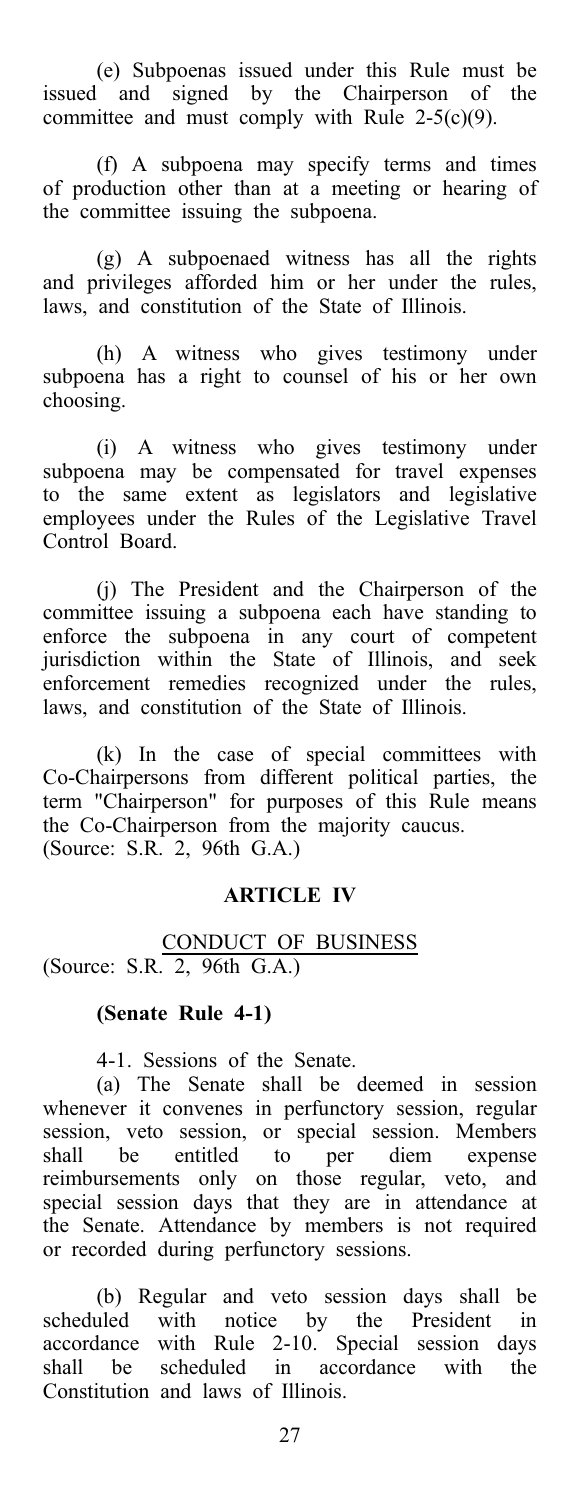(e) Subpoenas issued under this Rule must be issued and signed by the Chairperson of the committee and must comply with Rule 2-5(c)(9).

(f) A subpoena may specify terms and times of production other than at a meeting or hearing of the committee issuing the subpoena.

(g) A subpoenaed witness has all the rights and privileges afforded him or her under the rules, laws, and constitution of the State of Illinois.

(h) A witness who gives testimony under subpoena has a right to counsel of his or her own choosing.

(i) A witness who gives testimony under subpoena may be compensated for travel expenses to the same extent as legislators and legislative employees under the Rules of the Legislative Travel Control Board.

(j) The President and the Chairperson of the committee issuing a subpoena each have standing to enforce the subpoena in any court of competent jurisdiction within the State of Illinois, and seek enforcement remedies recognized under the rules, laws, and constitution of the State of Illinois.

(k) In the case of special committees with Co-Chairpersons from different political parties, the term "Chairperson" for purposes of this Rule means the Co-Chairperson from the majority caucus. (Source: S.R. 2, 96th G.A.)

#### ARTICLE IV

CONDUCT OF BUSINESS (Source: S.R. 2, 96th G.A.)

#### (Senate Rule 4-1)

4-1. Sessions of the Senate.

(a) The Senate shall be deemed in session whenever it convenes in perfunctory session, regular session, veto session, or special session. Members shall be entitled to per diem expense reimbursements only on those regular, veto, and special session days that they are in attendance at the Senate. Attendance by members is not required or recorded during perfunctory sessions.

(b) Regular and veto session days shall be scheduled with notice by the President in accordance with Rule 2-10. Special session days shall be scheduled in accordance with the Constitution and laws of Illinois.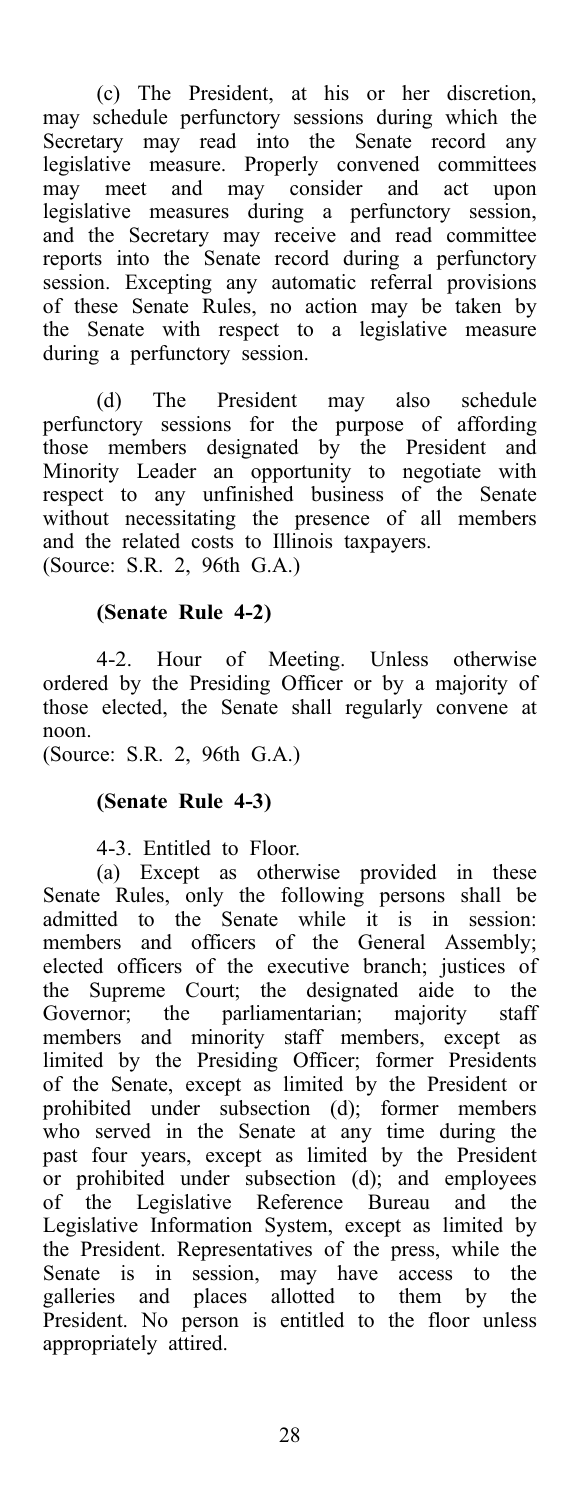(c) The President, at his or her discretion, may schedule perfunctory sessions during which the Secretary may read into the Senate record any legislative measure. Properly convened committees may meet and may consider and act upon legislative measures during a perfunctory session, and the Secretary may receive and read committee reports into the Senate record during a perfunctory session. Excepting any automatic referral provisions of these Senate Rules, no action may be taken by the Senate with respect to a legislative measure during a perfunctory session.

(d) The President may also schedule perfunctory sessions for the purpose of affording those members designated by the President and Minority Leader an opportunity to negotiate with respect to any unfinished business of the Senate without necessitating the presence of all members and the related costs to Illinois taxpayers. (Source: S.R. 2, 96th G.A.)

#### (Senate Rule 4-2)

4-2. Hour of Meeting. Unless otherwise ordered by the Presiding Officer or by a majority of those elected, the Senate shall regularly convene at noon.

(Source: S.R. 2, 96th G.A.)

## (Senate Rule 4-3)

4-3. Entitled to Floor.

(a) Except as otherwise provided in these Senate Rules, only the following persons shall be admitted to the Senate while it is in session: members and officers of the General Assembly; elected officers of the executive branch; justices of the Supreme Court; the designated aide to the Governor; the parliamentarian; majority staff members and minority staff members, except as limited by the Presiding Officer; former Presidents of the Senate, except as limited by the President or prohibited under subsection (d); former members who served in the Senate at any time during the past four years, except as limited by the President or prohibited under subsection (d); and employees of the Legislative Reference Bureau and the Legislative Information System, except as limited by the President. Representatives of the press, while the Senate is in session, may have access to the galleries and places allotted to them by the President. No person is entitled to the floor unless appropriately attired.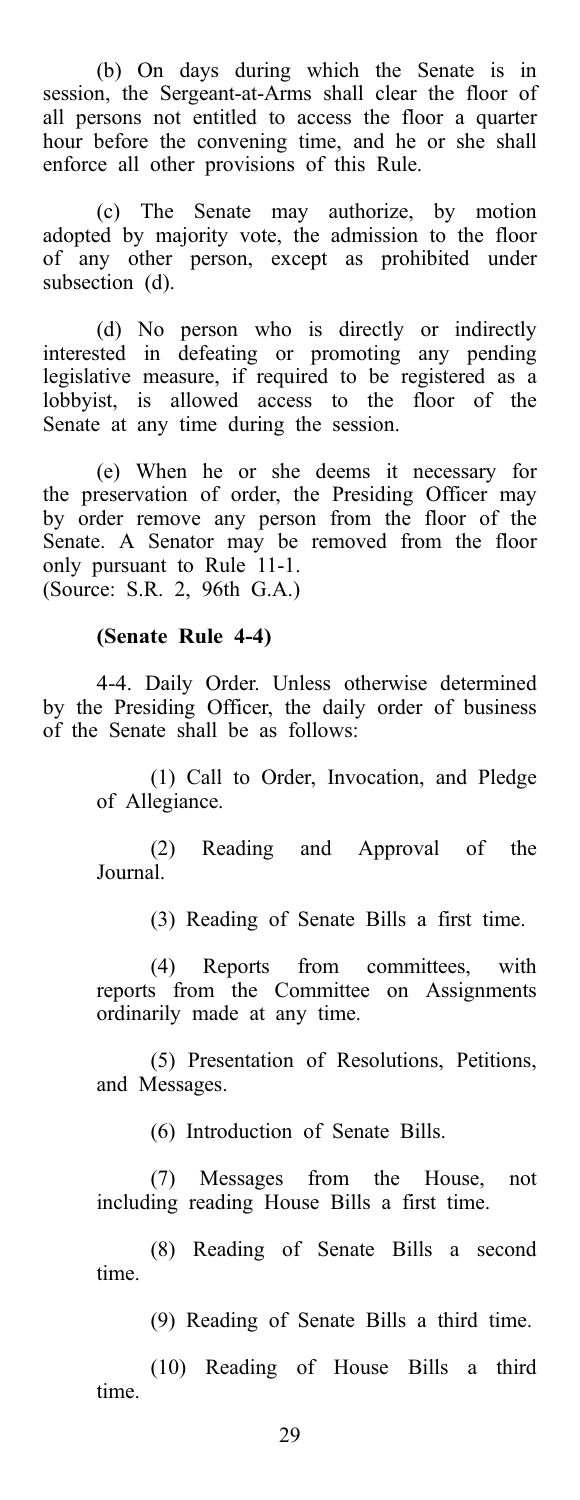(b) On days during which the Senate is in session, the Sergeant-at-Arms shall clear the floor of all persons not entitled to access the floor a quarter hour before the convening time, and he or she shall enforce all other provisions of this Rule.

(c) The Senate may authorize, by motion adopted by majority vote, the admission to the floor of any other person, except as prohibited under subsection (d).

(d) No person who is directly or indirectly interested in defeating or promoting any pending legislative measure, if required to be registered as a lobbyist, is allowed access to the floor of the Senate at any time during the session.

(e) When he or she deems it necessary for the preservation of order, the Presiding Officer may by order remove any person from the floor of the Senate. A Senator may be removed from the floor only pursuant to Rule 11-1. (Source: S.R. 2, 96th G.A.)

#### (Senate Rule 4-4)

4-4. Daily Order. Unless otherwise determined by the Presiding Officer, the daily order of business of the Senate shall be as follows:

(1) Call to Order, Invocation, and Pledge of Allegiance.

(2) Reading and Approval of the Journal.

(3) Reading of Senate Bills a first time.

(4) Reports from committees, with reports from the Committee on Assignments ordinarily made at any time.

(5) Presentation of Resolutions, Petitions, and Messages.

(6) Introduction of Senate Bills.

(7) Messages from the House, not including reading House Bills a first time.

(8) Reading of Senate Bills a second time.

(9) Reading of Senate Bills a third time.

(10) Reading of House Bills a third time.

29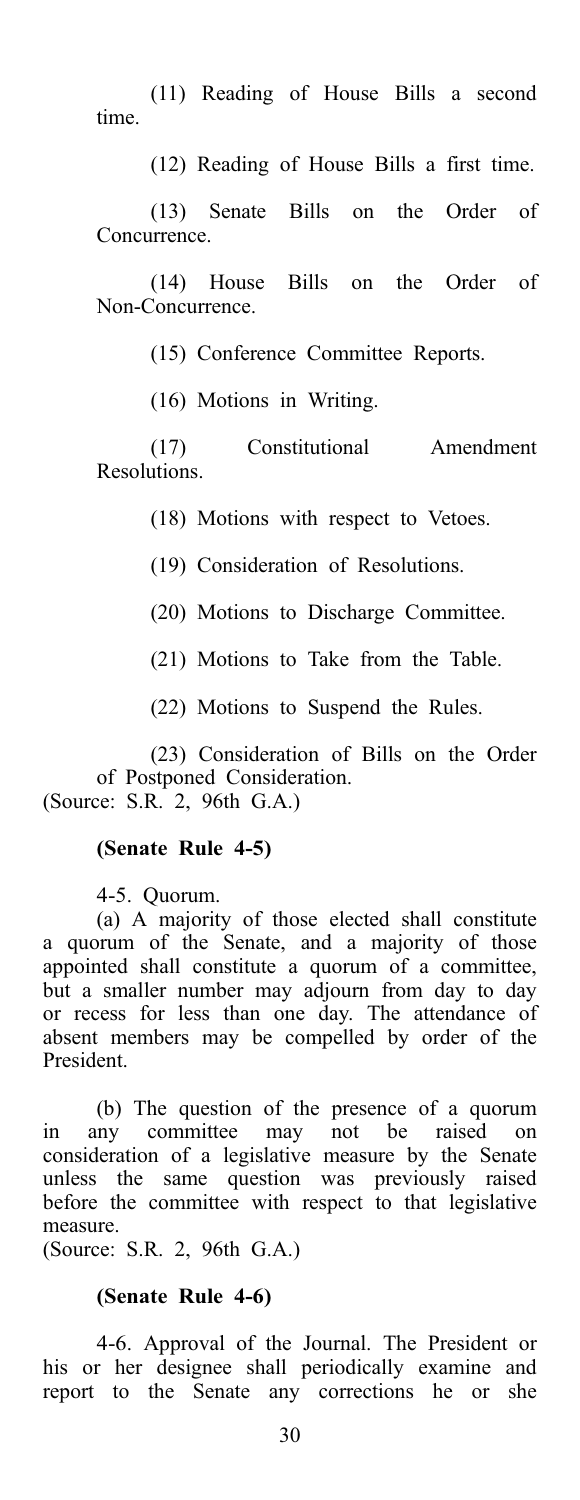(11) Reading of House Bills a second time.

(12) Reading of House Bills a first time.

(13) Senate Bills on the Order of Concurrence.

(14) House Bills on the Order of Non-Concurrence.

(15) Conference Committee Reports.

(16) Motions in Writing.

(17) Constitutional Amendment Resolutions.

(18) Motions with respect to Vetoes.

(19) Consideration of Resolutions.

(20) Motions to Discharge Committee.

(21) Motions to Take from the Table.

(22) Motions to Suspend the Rules.

(23) Consideration of Bills on the Order of Postponed Consideration. (Source: S.R. 2, 96th G.A.)

#### (Senate Rule 4-5)

4-5. Quorum.

(a) A majority of those elected shall constitute a quorum of the Senate, and a majority of those appointed shall constitute a quorum of a committee, but a smaller number may adjourn from day to day or recess for less than one day. The attendance of absent members may be compelled by order of the President.

(b) The question of the presence of a quorum in any committee may not be raised on consideration of a legislative measure by the Senate unless the same question was previously raised before the committee with respect to that legislative measure.

(Source: S.R. 2, 96th G.A.)

#### (Senate Rule 4-6)

4-6. Approval of the Journal. The President or his or her designee shall periodically examine and report to the Senate any corrections he or she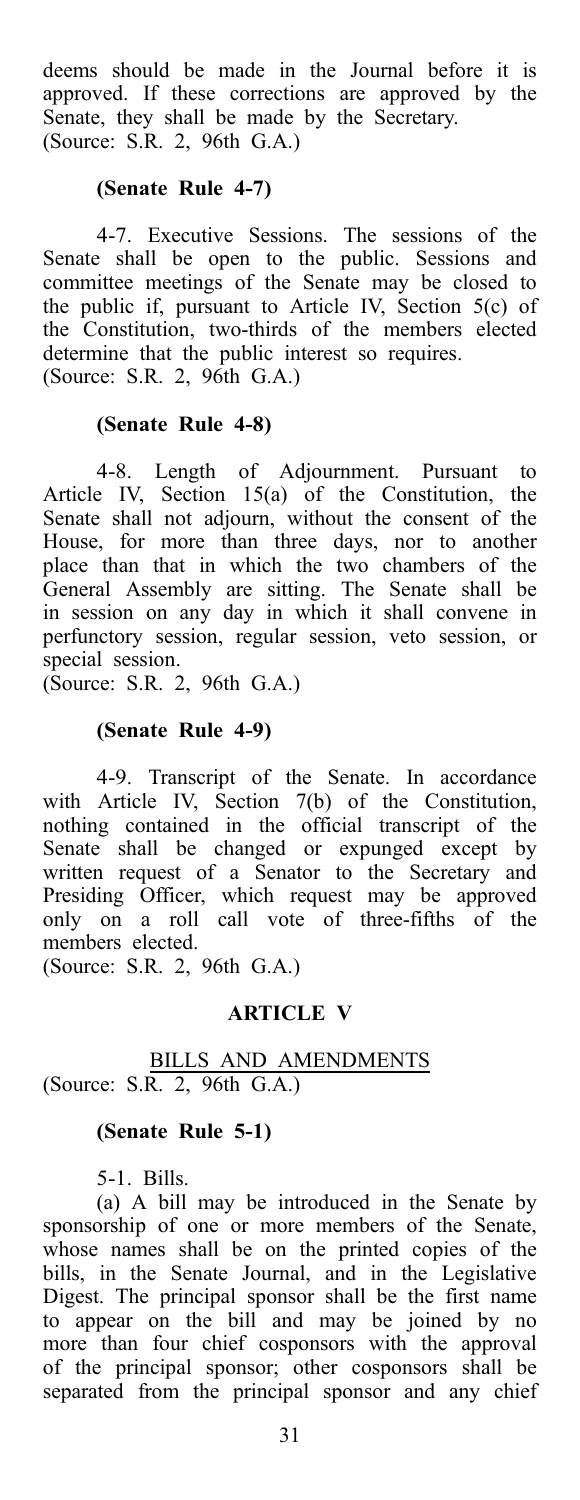deems should be made in the Journal before it is approved. If these corrections are approved by the Senate, they shall be made by the Secretary. (Source: S.R. 2, 96th G.A.)

## (Senate Rule 4-7)

4-7. Executive Sessions. The sessions of the Senate shall be open to the public. Sessions and committee meetings of the Senate may be closed to the public if, pursuant to Article IV, Section 5(c) of the Constitution, two-thirds of the members elected determine that the public interest so requires. (Source: S.R. 2, 96th G.A.)

#### (Senate Rule 4-8)

4-8. Length of Adjournment. Pursuant to Article IV, Section  $15(a)$  of the Constitution, the Senate shall not adjourn, without the consent of the House, for more than three days, nor to another place than that in which the two chambers of the General Assembly are sitting. The Senate shall be in session on any day in which it shall convene in perfunctory session, regular session, veto session, or special session.

(Source: S.R. 2, 96th G.A.)

### (Senate Rule 4-9)

4-9. Transcript of the Senate. In accordance with Article IV, Section 7(b) of the Constitution, nothing contained in the official transcript of the Senate shall be changed or expunged except by written request of a Senator to the Secretary and Presiding Officer, which request may be approved only on a roll call vote of three-fifths of the members elected.

(Source: S.R. 2, 96th G.A.)

## ARTICLE V

## BILLS AND AMENDMENTS (Source: S.R. 2, 96th G.A.)

## (Senate Rule 5-1)

5-1. Bills.

(a) A bill may be introduced in the Senate by sponsorship of one or more members of the Senate, whose names shall be on the printed copies of the bills, in the Senate Journal, and in the Legislative Digest. The principal sponsor shall be the first name to appear on the bill and may be joined by no more than four chief cosponsors with the approval of the principal sponsor; other cosponsors shall be separated from the principal sponsor and any chief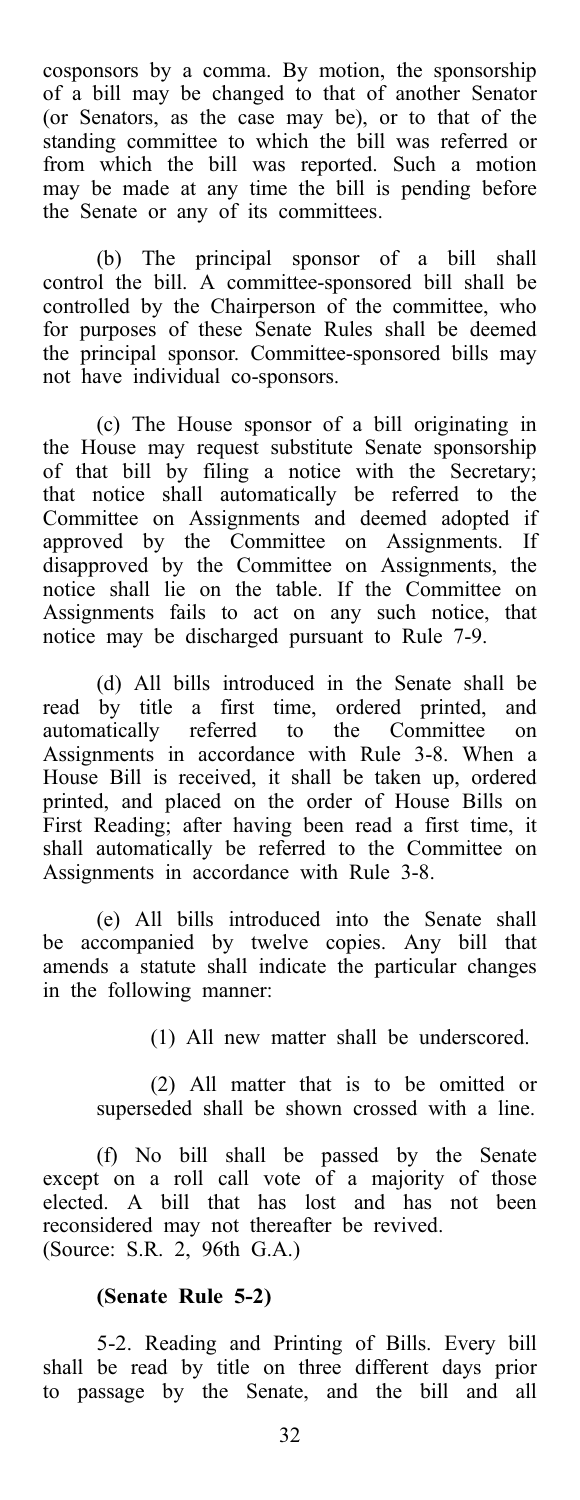cosponsors by a comma. By motion, the sponsorship of a bill may be changed to that of another Senator (or Senators, as the case may be), or to that of the standing committee to which the bill was referred or from which the bill was reported. Such a motion may be made at any time the bill is pending before the Senate or any of its committees.

(b) The principal sponsor of a bill shall control the bill. A committee-sponsored bill shall be controlled by the Chairperson of the committee, who for purposes of these Senate Rules shall be deemed the principal sponsor. Committee-sponsored bills may not have individual co-sponsors.

(c) The House sponsor of a bill originating in the House may request substitute Senate sponsorship of that bill by filing a notice with the Secretary; that notice shall automatically be referred to the Committee on Assignments and deemed adopted if approved by the Committee on Assignments. If disapproved by the Committee on Assignments, the notice shall lie on the table. If the Committee on Assignments fails to act on any such notice, that notice may be discharged pursuant to Rule 7-9.

(d) All bills introduced in the Senate shall be read by title a first time, ordered printed, and automatically referred to the Committee on Assignments in accordance with Rule 3-8. When a House Bill is received, it shall be taken up, ordered printed, and placed on the order of House Bills on First Reading; after having been read a first time, it shall automatically be referred to the Committee on Assignments in accordance with Rule 3-8.

(e) All bills introduced into the Senate shall be accompanied by twelve copies. Any bill that amends a statute shall indicate the particular changes in the following manner:

(1) All new matter shall be underscored.

(2) All matter that is to be omitted or superseded shall be shown crossed with a line.

(f) No bill shall be passed by the Senate except on a roll call vote of a majority of those elected. A bill that has lost and has not been reconsidered may not thereafter be revived. (Source: S.R. 2, 96th G.A.)

## (Senate Rule 5-2)

5-2. Reading and Printing of Bills. Every bill shall be read by title on three different days prior to passage by the Senate, and the bill and all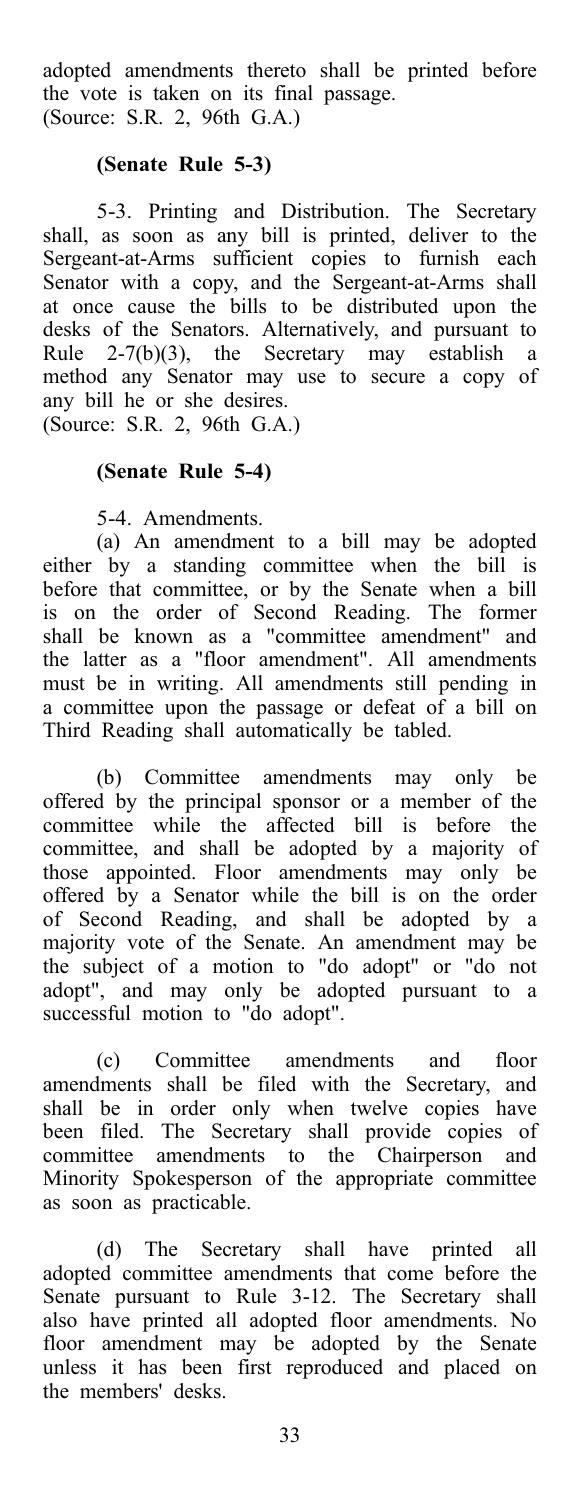adopted amendments thereto shall be printed before the vote is taken on its final passage. (Source: S.R. 2, 96th G.A.)

## (Senate Rule 5-3)

5-3. Printing and Distribution. The Secretary shall, as soon as any bill is printed, deliver to the Sergeant-at-Arms sufficient copies to furnish each Senator with a copy, and the Sergeant-at-Arms shall at once cause the bills to be distributed upon the desks of the Senators. Alternatively, and pursuant to Rule  $2-7(b)(3)$ , the Secretary may establish a method any Senator may use to secure a copy of any bill he or she desires. (Source: S.R. 2, 96th G.A.)

## (Senate Rule 5-4)

5-4. Amendments.

(a) An amendment to a bill may be adopted either by a standing committee when the bill is before that committee, or by the Senate when a bill is on the order of Second Reading. The former shall be known as a "committee amendment" and the latter as a "floor amendment". All amendments must be in writing. All amendments still pending in a committee upon the passage or defeat of a bill on Third Reading shall automatically be tabled.

(b) Committee amendments may only be offered by the principal sponsor or a member of the committee while the affected bill is before the committee, and shall be adopted by a majority of those appointed. Floor amendments may only be offered by a Senator while the bill is on the order of Second Reading, and shall be adopted by a majority vote of the Senate. An amendment may be the subject of a motion to "do adopt" or "do not adopt", and may only be adopted pursuant to a successful motion to "do adopt".

(c) Committee amendments and floor amendments shall be filed with the Secretary, and shall be in order only when twelve copies have been filed. The Secretary shall provide copies of committee amendments to the Chairperson and Minority Spokesperson of the appropriate committee as soon as practicable.

(d) The Secretary shall have printed all adopted committee amendments that come before the Senate pursuant to Rule 3-12. The Secretary shall also have printed all adopted floor amendments. No floor amendment may be adopted by the Senate unless it has been first reproduced and placed on the members' desks.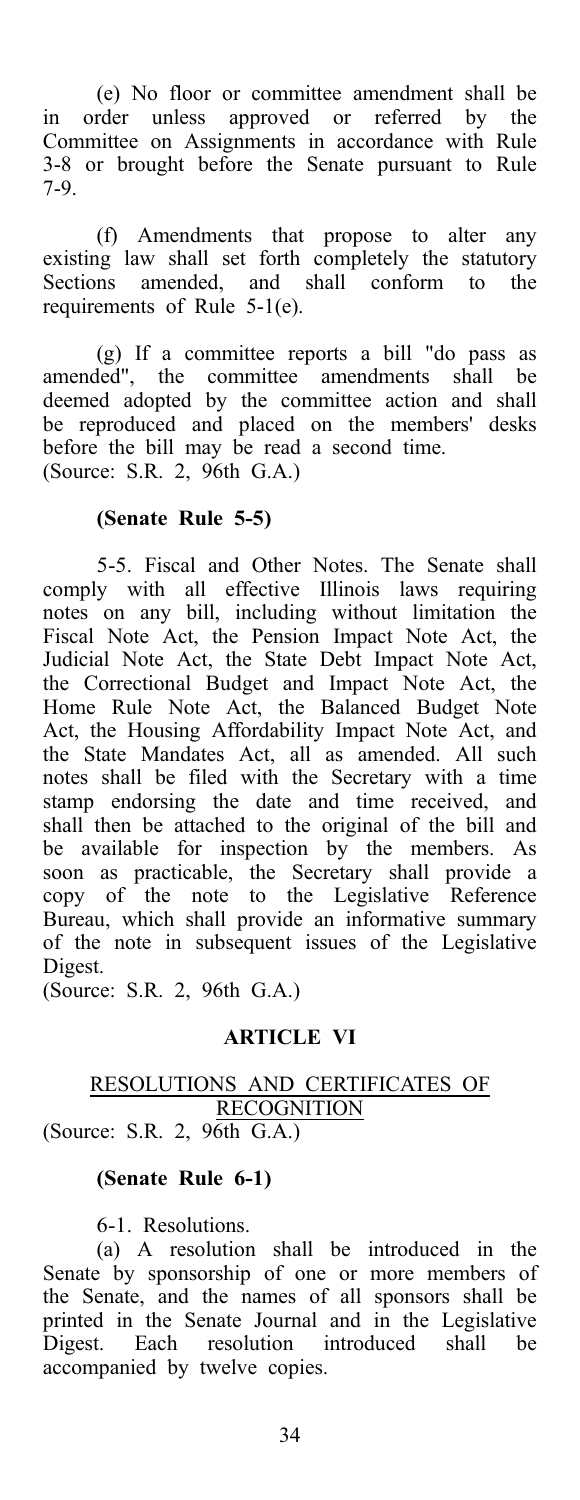(e) No floor or committee amendment shall be in order unless approved or referred by the Committee on Assignments in accordance with Rule 3-8 or brought before the Senate pursuant to Rule 7-9.

(f) Amendments that propose to alter any existing law shall set forth completely the statutory Sections amended, and shall conform to the requirements of Rule 5-1(e).

(g) If a committee reports a bill "do pass as amended", the committee amendments shall be deemed adopted by the committee action and shall be reproduced and placed on the members' desks before the bill may be read a second time. (Source: S.R. 2, 96th G.A.)

## (Senate Rule 5-5)

5-5. Fiscal and Other Notes. The Senate shall comply with all effective Illinois laws requiring notes on any bill, including without limitation the Fiscal Note Act, the Pension Impact Note Act, the Judicial Note Act, the State Debt Impact Note Act, the Correctional Budget and Impact Note Act, the Home Rule Note Act, the Balanced Budget Note Act, the Housing Affordability Impact Note Act, and the State Mandates Act, all as amended. All such notes shall be filed with the Secretary with a time stamp endorsing the date and time received, and shall then be attached to the original of the bill and be available for inspection by the members. As soon as practicable, the Secretary shall provide a copy of the note to the Legislative Reference Bureau, which shall provide an informative summary of the note in subsequent issues of the Legislative Digest.

(Source: S.R. 2, 96th G.A.)

## ARTICLE VI

# RESOLUTIONS AND CERTIFICATES OF RECOGNITION

(Source: S.R. 2, 96th G.A.)

## (Senate Rule 6-1)

6-1. Resolutions.

(a) A resolution shall be introduced in the Senate by sponsorship of one or more members of the Senate, and the names of all sponsors shall be printed in the Senate Journal and in the Legislative Digest. Each resolution introduced shall be accompanied by twelve copies.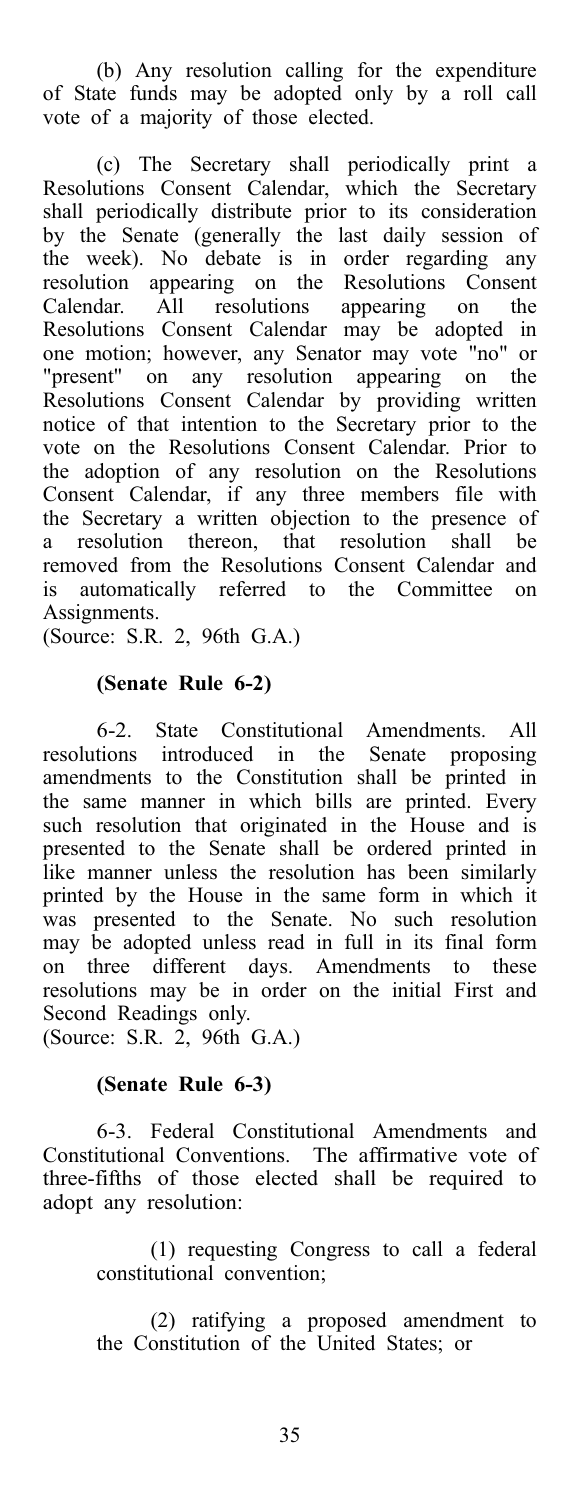(b) Any resolution calling for the expenditure of State funds may be adopted only by a roll call vote of a majority of those elected.

(c) The Secretary shall periodically print a Resolutions Consent Calendar, which the Secretary shall periodically distribute prior to its consideration by the Senate (generally the last daily session of the week). No debate is in order regarding any resolution appearing on the Resolutions Consent Calendar. All resolutions appearing on the Resolutions Consent Calendar may be adopted in one motion; however, any Senator may vote "no" or "present" on any resolution appearing on the Resolutions Consent Calendar by providing written notice of that intention to the Secretary prior to the vote on the Resolutions Consent Calendar. Prior to the adoption of any resolution on the Resolutions Consent Calendar, if any three members file with the Secretary a written objection to the presence of a resolution thereon, that resolution shall be removed from the Resolutions Consent Calendar and is automatically referred to the Committee on Assignments.

(Source: S.R. 2, 96th G.A.)

#### (Senate Rule 6-2)

6-2. State Constitutional Amendments. All resolutions introduced in the Senate proposing amendments to the Constitution shall be printed in the same manner in which bills are printed. Every such resolution that originated in the House and is presented to the Senate shall be ordered printed in like manner unless the resolution has been similarly printed by the House in the same form in which it was presented to the Senate. No such resolution may be adopted unless read in full in its final form on three different days. Amendments to these resolutions may be in order on the initial First and Second Readings only.

(Source: S.R. 2, 96th G.A.)

## (Senate Rule 6-3)

6-3. Federal Constitutional Amendments and Constitutional Conventions. The affirmative vote of three-fifths of those elected shall be required to adopt any resolution:

> (1) requesting Congress to call a federal constitutional convention;

> (2) ratifying a proposed amendment to the Constitution of the United States; or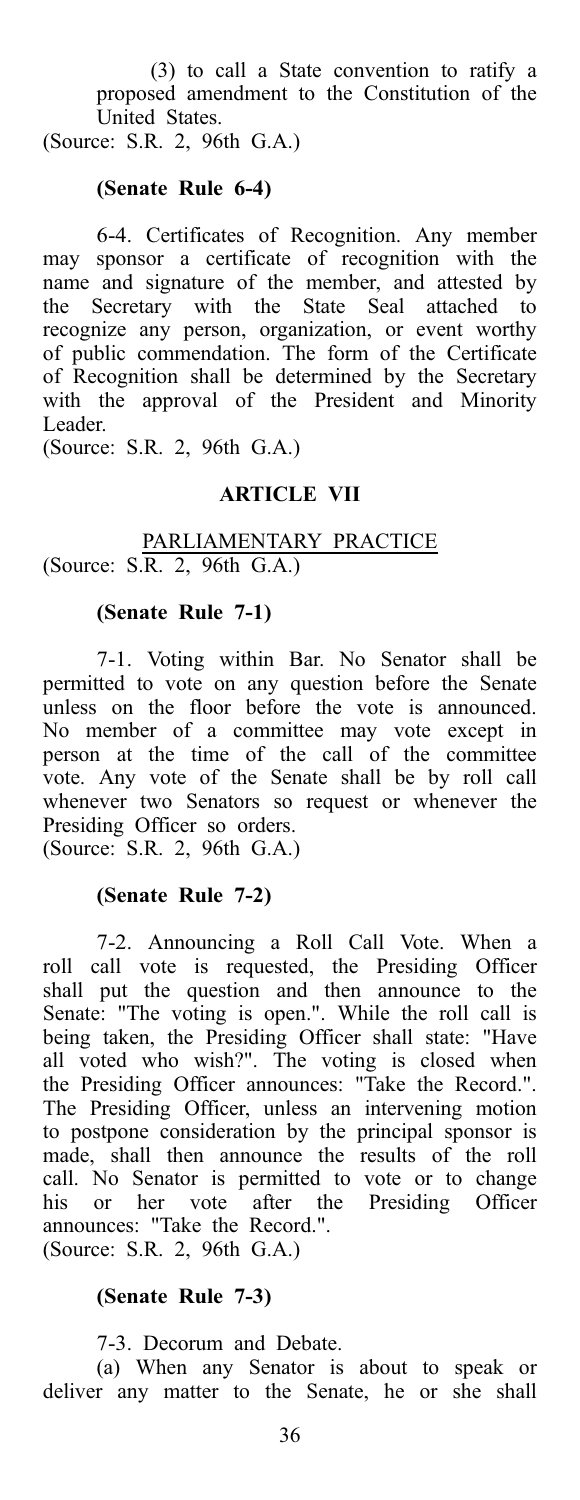(3) to call a State convention to ratify a proposed amendment to the Constitution of the United States.

(Source: S.R. 2, 96th G.A.)

## (Senate Rule 6-4)

6-4. Certificates of Recognition. Any member may sponsor a certificate of recognition with the name and signature of the member, and attested by the Secretary with the State Seal attached to recognize any person, organization, or event worthy of public commendation. The form of the Certificate of Recognition shall be determined by the Secretary with the approval of the President and Minority Leader.

(Source: S.R. 2, 96th G.A.)

## ARTICLE VII

PARLIAMENTARY PRACTICE (Source: S.R. 2, 96th G.A.)

## (Senate Rule 7-1)

7-1. Voting within Bar. No Senator shall be permitted to vote on any question before the Senate unless on the floor before the vote is announced. No member of a committee may vote except in person at the time of the call of the committee vote. Any vote of the Senate shall be by roll call whenever two Senators so request or whenever the Presiding Officer so orders.

(Source: S.R. 2, 96th G.A.)

## (Senate Rule 7-2)

7-2. Announcing a Roll Call Vote. When a roll call vote is requested, the Presiding Officer shall put the question and then announce to the Senate: "The voting is open.". While the roll call is being taken, the Presiding Officer shall state: "Have all voted who wish?". The voting is closed when the Presiding Officer announces: "Take the Record.". The Presiding Officer, unless an intervening motion to postpone consideration by the principal sponsor is made, shall then announce the results of the roll call. No Senator is permitted to vote or to change his or her vote after the Presiding Officer announces: "Take the Record.". (Source: S.R. 2, 96th G.A.)

## (Senate Rule 7-3)

7-3. Decorum and Debate.

(a) When any Senator is about to speak or deliver any matter to the Senate, he or she shall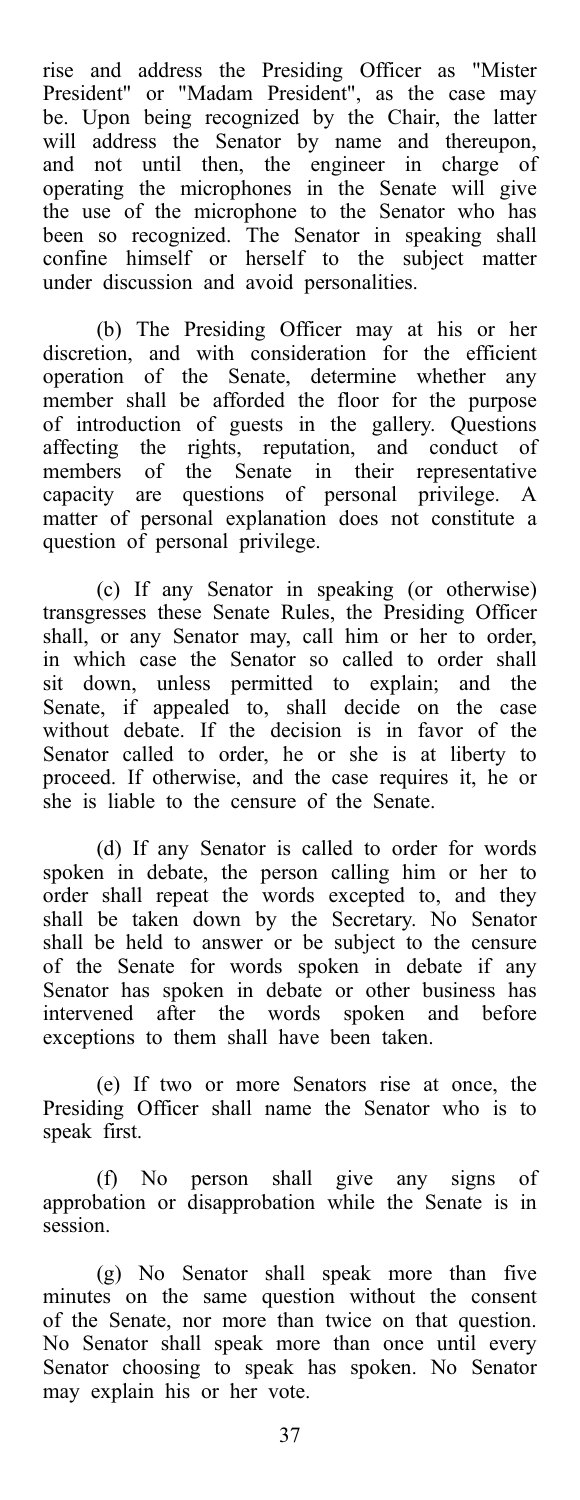rise and address the Presiding Officer as "Mister President" or "Madam President", as the case may be. Upon being recognized by the Chair, the latter will address the Senator by name and thereupon, and not until then, the engineer in charge of operating the microphones in the Senate will give the use of the microphone to the Senator who has been so recognized. The Senator in speaking shall confine himself or herself to the subject matter under discussion and avoid personalities.

(b) The Presiding Officer may at his or her discretion, and with consideration for the efficient operation of the Senate, determine whether any member shall be afforded the floor for the purpose of introduction of guests in the gallery. Questions affecting the rights, reputation, and conduct of members of the Senate in their representative capacity are questions of personal privilege. A matter of personal explanation does not constitute a question of personal privilege.

(c) If any Senator in speaking (or otherwise) transgresses these Senate Rules, the Presiding Officer shall, or any Senator may, call him or her to order, in which case the Senator so called to order shall sit down, unless permitted to explain; and the Senate, if appealed to, shall decide on the case without debate. If the decision is in favor of the Senator called to order, he or she is at liberty to proceed. If otherwise, and the case requires it, he or she is liable to the censure of the Senate.

(d) If any Senator is called to order for words spoken in debate, the person calling him or her to order shall repeat the words excepted to, and they shall be taken down by the Secretary. No Senator shall be held to answer or be subject to the censure of the Senate for words spoken in debate if any Senator has spoken in debate or other business has intervened after the words spoken and before exceptions to them shall have been taken.

(e) If two or more Senators rise at once, the Presiding Officer shall name the Senator who is to speak first.

(f) No person shall give any signs of approbation or disapprobation while the Senate is in session.

(g) No Senator shall speak more than five minutes on the same question without the consent of the Senate, nor more than twice on that question. No Senator shall speak more than once until every Senator choosing to speak has spoken. No Senator may explain his or her vote.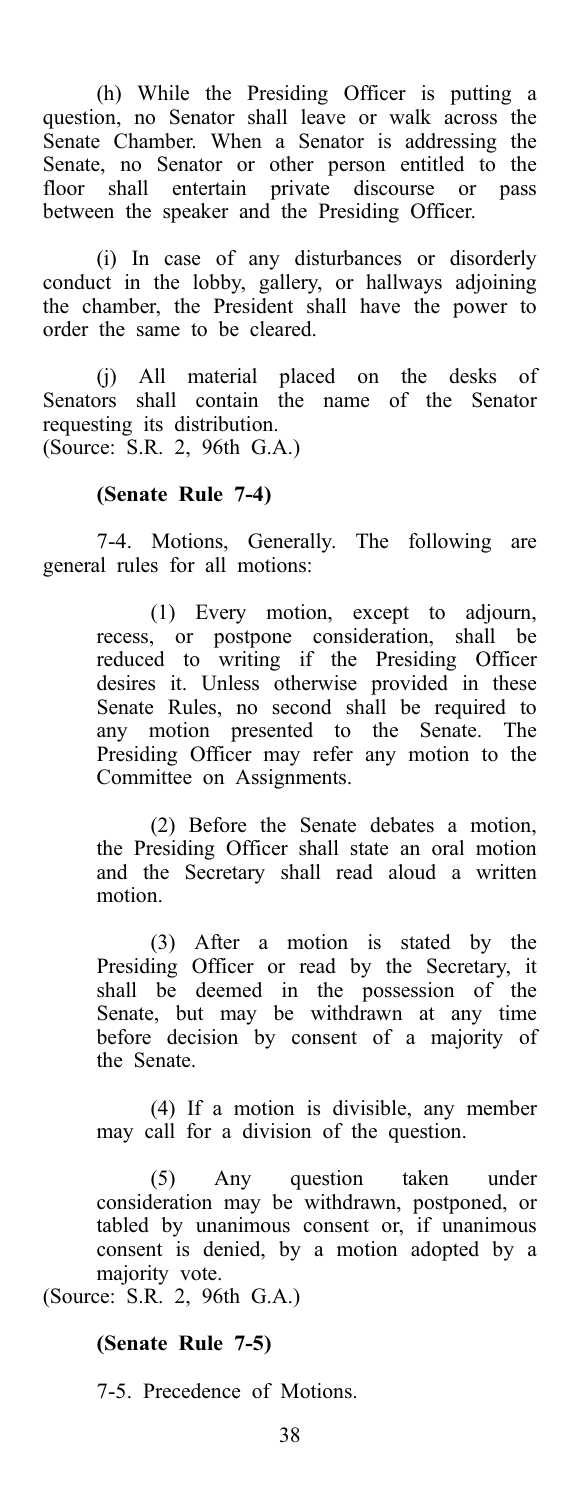(h) While the Presiding Officer is putting a question, no Senator shall leave or walk across the Senate Chamber. When a Senator is addressing the Senate, no Senator or other person entitled to the floor shall entertain private discourse or pass between the speaker and the Presiding Officer.

(i) In case of any disturbances or disorderly conduct in the lobby, gallery, or hallways adjoining the chamber, the President shall have the power to order the same to be cleared.

(j) All material placed on the desks of Senators shall contain the name of the Senator requesting its distribution. (Source: S.R. 2, 96th G.A.)

## (Senate Rule 7-4)

7-4. Motions, Generally. The following are general rules for all motions:

> (1) Every motion, except to adjourn, recess, or postpone consideration, shall be reduced to writing if the Presiding Officer desires it. Unless otherwise provided in these Senate Rules, no second shall be required to any motion presented to the Senate. The Presiding Officer may refer any motion to the Committee on Assignments.

> (2) Before the Senate debates a motion, the Presiding Officer shall state an oral motion and the Secretary shall read aloud a written motion.

> (3) After a motion is stated by the Presiding Officer or read by the Secretary, it shall be deemed in the possession of the Senate, but may be withdrawn at any time before decision by consent of a majority of the Senate.

> (4) If a motion is divisible, any member may call for a division of the question.

> (5) Any question taken under consideration may be withdrawn, postponed, or tabled by unanimous consent or, if unanimous consent is denied, by a motion adopted by a majority vote.

(Source: S.R. 2, 96th G.A.)

## (Senate Rule 7-5)

7-5. Precedence of Motions.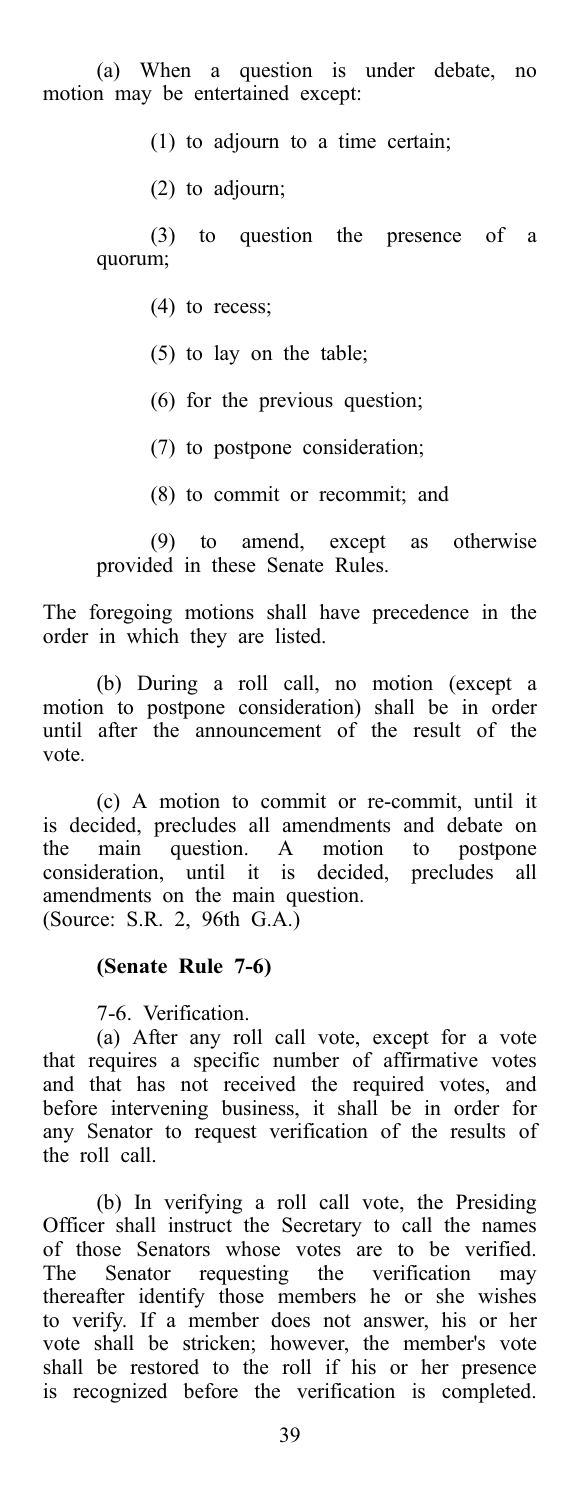(a) When a question is under debate, no motion may be entertained except:

(1) to adjourn to a time certain;

(2) to adjourn;

(3) to question the presence of a quorum;

(4) to recess;

(5) to lay on the table;

(6) for the previous question;

(7) to postpone consideration;

(8) to commit or recommit; and

(9) to amend, except as otherwise provided in these Senate Rules.

The foregoing motions shall have precedence in the order in which they are listed.

(b) During a roll call, no motion (except a motion to postpone consideration) shall be in order until after the announcement of the result of the vote.

(c) A motion to commit or re-commit, until it is decided, precludes all amendments and debate on the main question. A motion to postpone consideration, until it is decided, precludes all amendments on the main question. (Source: S.R. 2, 96th G.A.)

## (Senate Rule 7-6)

7-6. Verification.

(a) After any roll call vote, except for a vote that requires a specific number of affirmative votes and that has not received the required votes, and before intervening business, it shall be in order for any Senator to request verification of the results of the roll call.

(b) In verifying a roll call vote, the Presiding Officer shall instruct the Secretary to call the names of those Senators whose votes are to be verified. The Senator requesting the verification may thereafter identify those members he or she wishes to verify. If a member does not answer, his or her vote shall be stricken; however, the member's vote shall be restored to the roll if his or her presence is recognized before the verification is completed.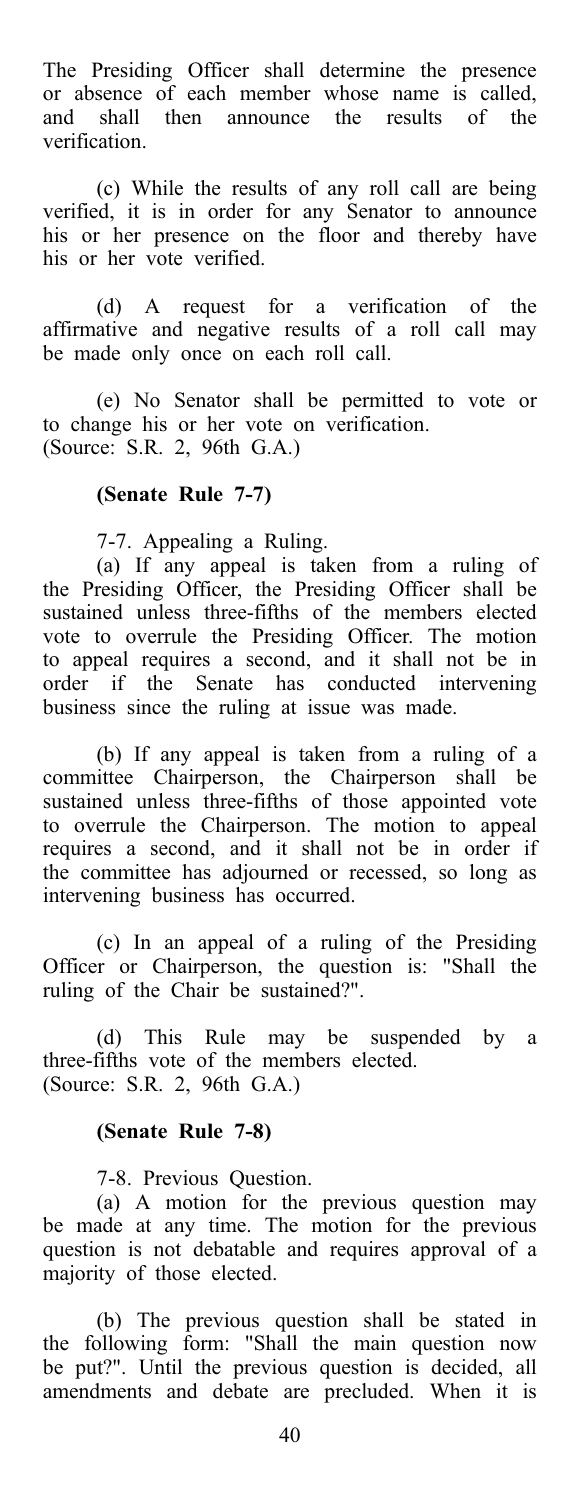The Presiding Officer shall determine the presence or absence of each member whose name is called, and shall then announce the results of the verification.

(c) While the results of any roll call are being verified, it is in order for any Senator to announce his or her presence on the floor and thereby have his or her vote verified.

(d) A request for a verification of the affirmative and negative results of a roll call may be made only once on each roll call.

(e) No Senator shall be permitted to vote or to change his or her vote on verification. (Source: S.R. 2, 96th G.A.)

## (Senate Rule 7-7)

7-7. Appealing a Ruling.

(a) If any appeal is taken from a ruling of the Presiding Officer, the Presiding Officer shall be sustained unless three-fifths of the members elected vote to overrule the Presiding Officer. The motion to appeal requires a second, and it shall not be in order if the Senate has conducted intervening business since the ruling at issue was made.

(b) If any appeal is taken from a ruling of a committee Chairperson, the Chairperson shall be sustained unless three-fifths of those appointed vote to overrule the Chairperson. The motion to appeal requires a second, and it shall not be in order if the committee has adjourned or recessed, so long as intervening business has occurred.

(c) In an appeal of a ruling of the Presiding Officer or Chairperson, the question is: "Shall the ruling of the Chair be sustained?".

(d) This Rule may be suspended by a three-fifths vote of the members elected. (Source: S.R. 2, 96th G.A.)

#### (Senate Rule 7-8)

7-8. Previous Question.

(a) A motion for the previous question may be made at any time. The motion for the previous question is not debatable and requires approval of a majority of those elected.

(b) The previous question shall be stated in the following form: "Shall the main question now be put?". Until the previous question is decided, all amendments and debate are precluded. When it is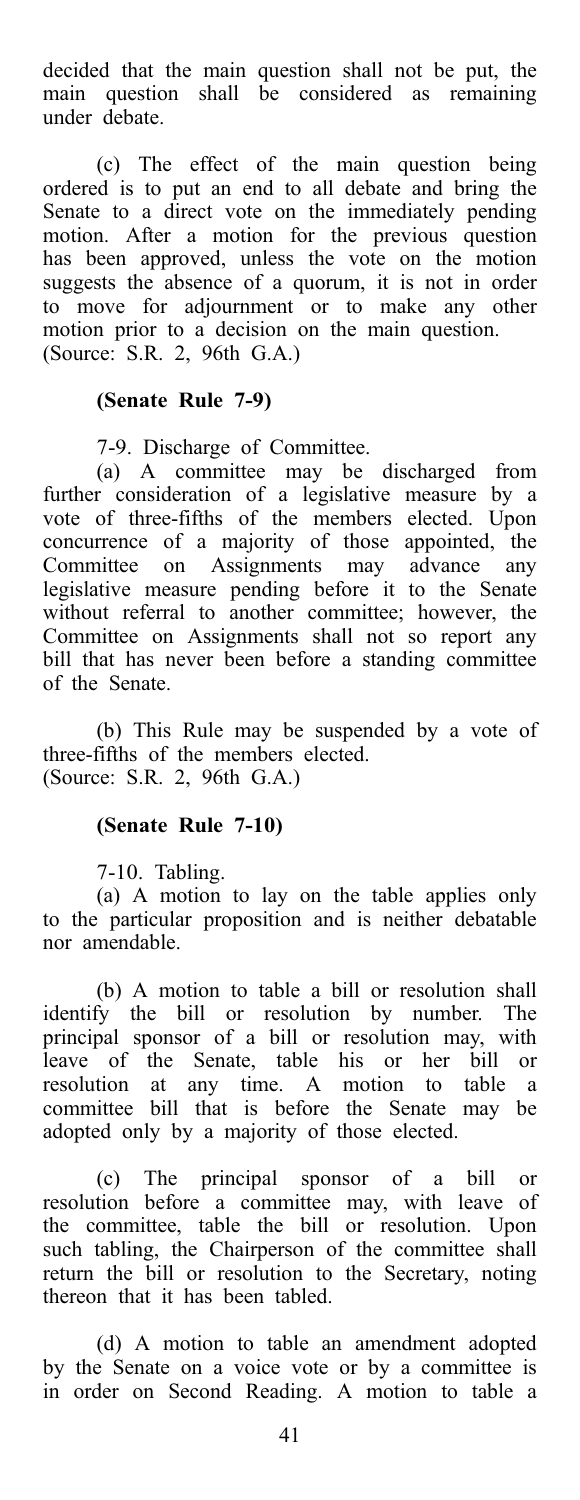decided that the main question shall not be put, the main question shall be considered as remaining under debate.

(c) The effect of the main question being ordered is to put an end to all debate and bring the Senate to a direct vote on the immediately pending motion. After a motion for the previous question has been approved, unless the vote on the motion suggests the absence of a quorum, it is not in order to move for adjournment or to make any other motion prior to a decision on the main question. (Source: S.R. 2, 96th G.A.)

## (Senate Rule 7-9)

7-9. Discharge of Committee.

(a) A committee may be discharged from further consideration of a legislative measure by a vote of three-fifths of the members elected. Upon concurrence of a majority of those appointed, the Committee on Assignments may advance any legislative measure pending before it to the Senate without referral to another committee; however, the Committee on Assignments shall not so report any bill that has never been before a standing committee of the Senate.

(b) This Rule may be suspended by a vote of three-fifths of the members elected. (Source: S.R. 2, 96th G.A.)

## (Senate Rule 7-10)

7-10. Tabling.

(a) A motion to lay on the table applies only to the particular proposition and is neither debatable nor amendable.

(b) A motion to table a bill or resolution shall identify the bill or resolution by number. The principal sponsor of a bill or resolution may, with leave of the Senate, table his or her bill or resolution at any time. A motion to table a committee bill that is before the Senate may be adopted only by a majority of those elected.

(c) The principal sponsor of a bill or resolution before a committee may, with leave of the committee, table the bill or resolution. Upon such tabling, the Chairperson of the committee shall return the bill or resolution to the Secretary, noting thereon that it has been tabled.

(d) A motion to table an amendment adopted by the Senate on a voice vote or by a committee is in order on Second Reading. A motion to table a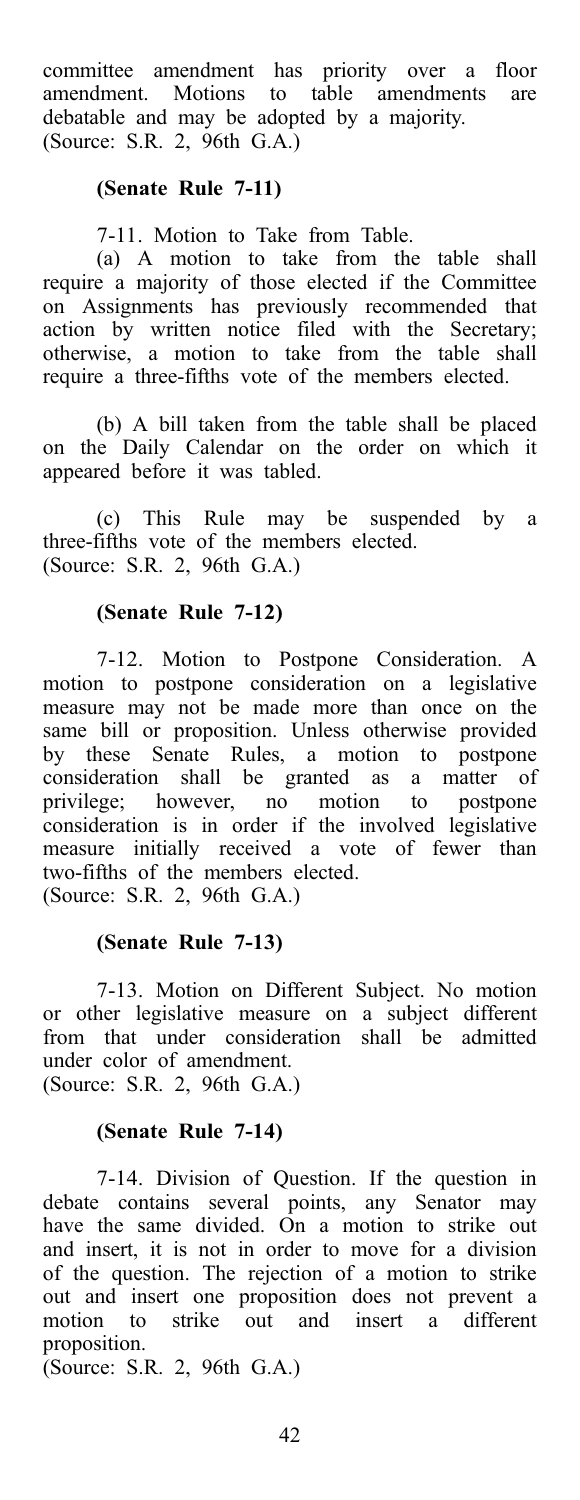committee amendment has priority over a floor amendment. Motions to table amendments are debatable and may be adopted by a majority. (Source: S.R. 2, 96th G.A.)

## (Senate Rule 7-11)

7-11. Motion to Take from Table.

(a) A motion to take from the table shall require a majority of those elected if the Committee on Assignments has previously recommended that action by written notice filed with the Secretary; otherwise, a motion to take from the table shall require a three-fifths vote of the members elected.

(b) A bill taken from the table shall be placed on the Daily Calendar on the order on which it appeared before it was tabled.

(c) This Rule may be suspended by a three-fifths vote of the members elected. (Source: S.R. 2, 96th G.A.)

#### (Senate Rule 7-12)

7-12. Motion to Postpone Consideration. A motion to postpone consideration on a legislative measure may not be made more than once on the same bill or proposition. Unless otherwise provided by these Senate Rules, a motion to postpone consideration shall be granted as a matter of privilege; however, no motion to postpone consideration is in order if the involved legislative measure initially received a vote of fewer than two-fifths of the members elected. (Source: S.R. 2, 96th G.A.)

#### (Senate Rule 7-13)

7-13. Motion on Different Subject. No motion or other legislative measure on a subject different from that under consideration shall be admitted under color of amendment. (Source: S.R. 2, 96th G.A.)

#### (Senate Rule 7-14)

7-14. Division of Question. If the question in debate contains several points, any Senator may have the same divided. On a motion to strike out and insert, it is not in order to move for a division of the question. The rejection of a motion to strike out and insert one proposition does not prevent a motion to strike out and insert a different proposition.

(Source: S.R. 2, 96th G.A.)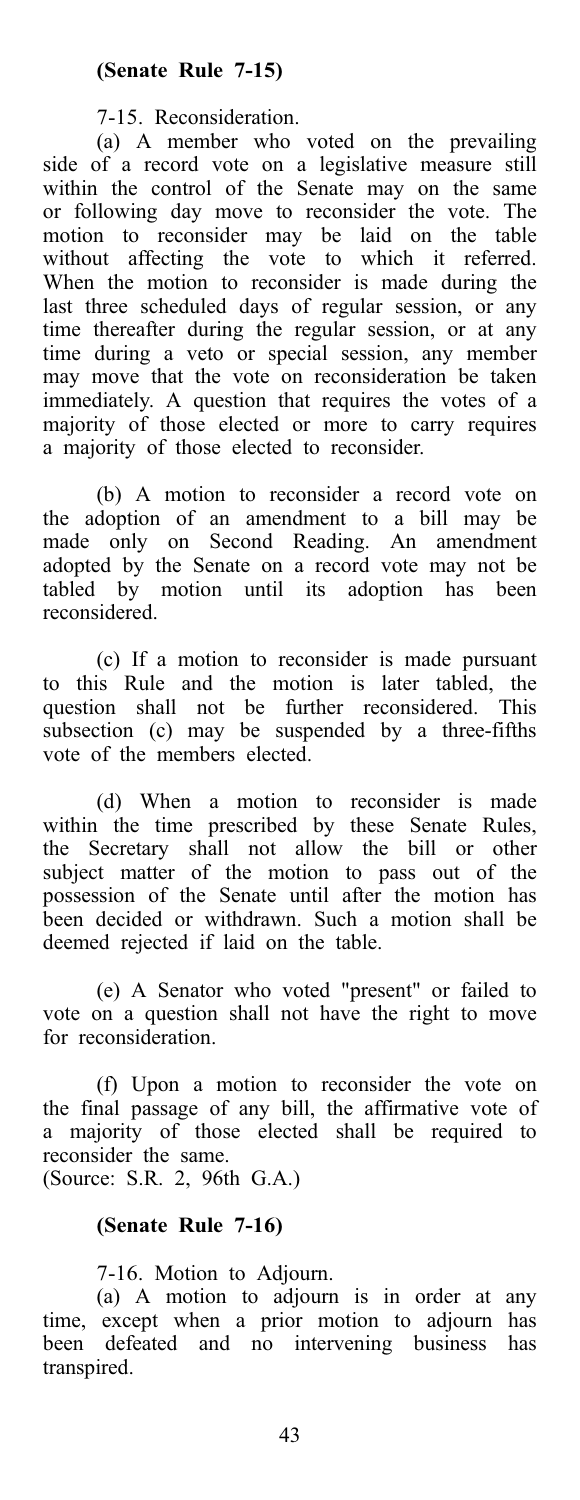7-15. Reconsideration.

(a) A member who voted on the prevailing side of a record vote on a legislative measure still within the control of the Senate may on the same or following day move to reconsider the vote. The motion to reconsider may be laid on the table without affecting the vote to which it referred. When the motion to reconsider is made during the last three scheduled days of regular session, or any time thereafter during the regular session, or at any time during a veto or special session, any member may move that the vote on reconsideration be taken immediately. A question that requires the votes of a majority of those elected or more to carry requires a majority of those elected to reconsider.

(b) A motion to reconsider a record vote on the adoption of an amendment to a bill may be made only on Second Reading. An amendment adopted by the Senate on a record vote may not be tabled by motion until its adoption has been reconsidered.

(c) If a motion to reconsider is made pursuant to this Rule and the motion is later tabled, the question shall not be further reconsidered. This subsection (c) may be suspended by a three-fifths vote of the members elected.

(d) When a motion to reconsider is made within the time prescribed by these Senate Rules, the Secretary shall not allow the bill or other subject matter of the motion to pass out of the possession of the Senate until after the motion has been decided or withdrawn. Such a motion shall be deemed rejected if laid on the table.

(e) A Senator who voted "present" or failed to vote on a question shall not have the right to move for reconsideration.

(f) Upon a motion to reconsider the vote on the final passage of any bill, the affirmative vote of a majority of those elected shall be required to reconsider the same.

(Source: S.R. 2, 96th G.A.)

## (Senate Rule 7-16)

7-16. Motion to Adjourn.

(a) A motion to adjourn is in order at any time, except when a prior motion to adjourn has been defeated and no intervening business has transpired.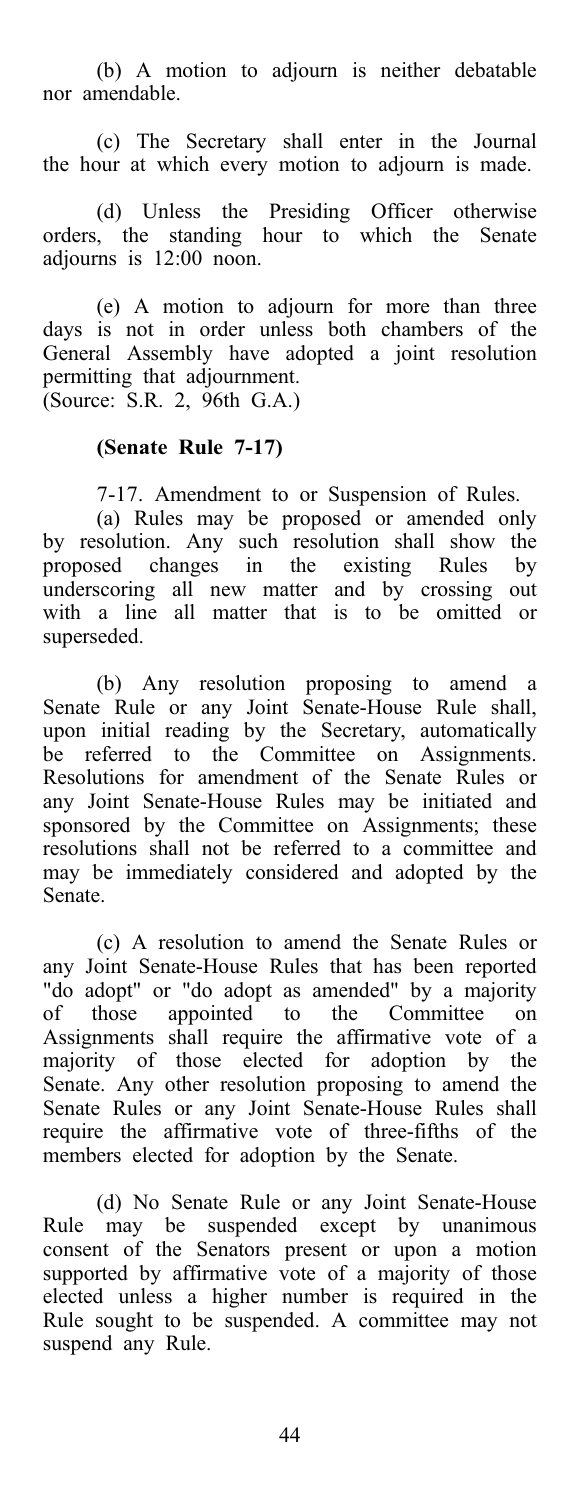(b) A motion to adjourn is neither debatable nor amendable.

(c) The Secretary shall enter in the Journal the hour at which every motion to adjourn is made.

(d) Unless the Presiding Officer otherwise orders, the standing hour to which the Senate adjourns is 12:00 noon.

(e) A motion to adjourn for more than three days is not in order unless both chambers of the General Assembly have adopted a joint resolution permitting that adjournment. (Source: S.R. 2, 96th G.A.)

## (Senate Rule 7-17)

7-17. Amendment to or Suspension of Rules.

(a) Rules may be proposed or amended only by resolution. Any such resolution shall show the proposed changes in the existing Rules by underscoring all new matter and by crossing out with a line all matter that is to be omitted or superseded.

(b) Any resolution proposing to amend a Senate Rule or any Joint Senate-House Rule shall, upon initial reading by the Secretary, automatically be referred to the Committee on Assignments. Resolutions for amendment of the Senate Rules or any Joint Senate-House Rules may be initiated and sponsored by the Committee on Assignments; these resolutions shall not be referred to a committee and may be immediately considered and adopted by the Senate.

(c) A resolution to amend the Senate Rules or any Joint Senate-House Rules that has been reported "do adopt" or "do adopt as amended" by a majority of those appointed to the Committee on Assignments shall require the affirmative vote of a majority of those elected for adoption by the Senate. Any other resolution proposing to amend the Senate Rules or any Joint Senate-House Rules shall require the affirmative vote of three-fifths of the members elected for adoption by the Senate.

(d) No Senate Rule or any Joint Senate-House Rule may be suspended except by unanimous consent of the Senators present or upon a motion supported by affirmative vote of a majority of those elected unless a higher number is required in the Rule sought to be suspended. A committee may not suspend any Rule.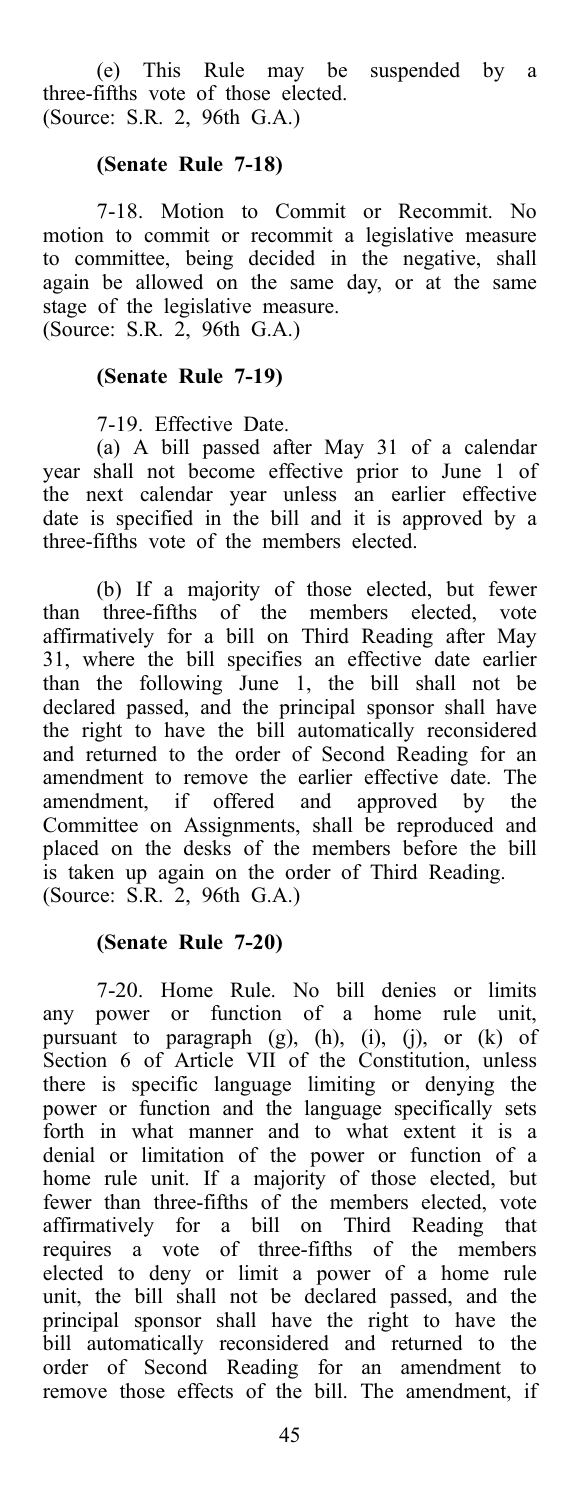(e) This Rule may be suspended by a three-fifths vote of those elected. (Source: S.R. 2, 96th G.A.)

#### (Senate Rule 7-18)

7-18. Motion to Commit or Recommit. No motion to commit or recommit a legislative measure to committee, being decided in the negative, shall again be allowed on the same day, or at the same stage of the legislative measure. (Source: S.R. 2, 96th G.A.)

## (Senate Rule 7-19)

7-19. Effective Date.

(a) A bill passed after May 31 of a calendar year shall not become effective prior to June 1 of the next calendar year unless an earlier effective date is specified in the bill and it is approved by a three-fifths vote of the members elected.

(b) If a majority of those elected, but fewer than three-fifths of the members elected, vote affirmatively for a bill on Third Reading after May 31, where the bill specifies an effective date earlier than the following June 1, the bill shall not be declared passed, and the principal sponsor shall have the right to have the bill automatically reconsidered and returned to the order of Second Reading for an amendment to remove the earlier effective date. The amendment, if offered and approved by the amendment, if offered and approved by Committee on Assignments, shall be reproduced and placed on the desks of the members before the bill is taken up again on the order of Third Reading. (Source: S.R. 2, 96th G.A.)

#### (Senate Rule 7-20)

7-20. Home Rule. No bill denies or limits any power or function of a home rule unit, pursuant to paragraph (g), (h), (i), (j), or (k) of Section 6 of Article VII of the Constitution, unless there is specific language limiting or denying the power or function and the language specifically sets forth in what manner and to what extent it is a denial or limitation of the power or function of a home rule unit. If a majority of those elected, but fewer than three-fifths of the members elected, vote affirmatively for a bill on Third Reading that requires a vote of three-fifths of the members elected to deny or limit a power of a home rule unit, the bill shall not be declared passed, and the principal sponsor shall have the right to have the bill automatically reconsidered and returned to the order of Second Reading for an amendment to remove those effects of the bill. The amendment, if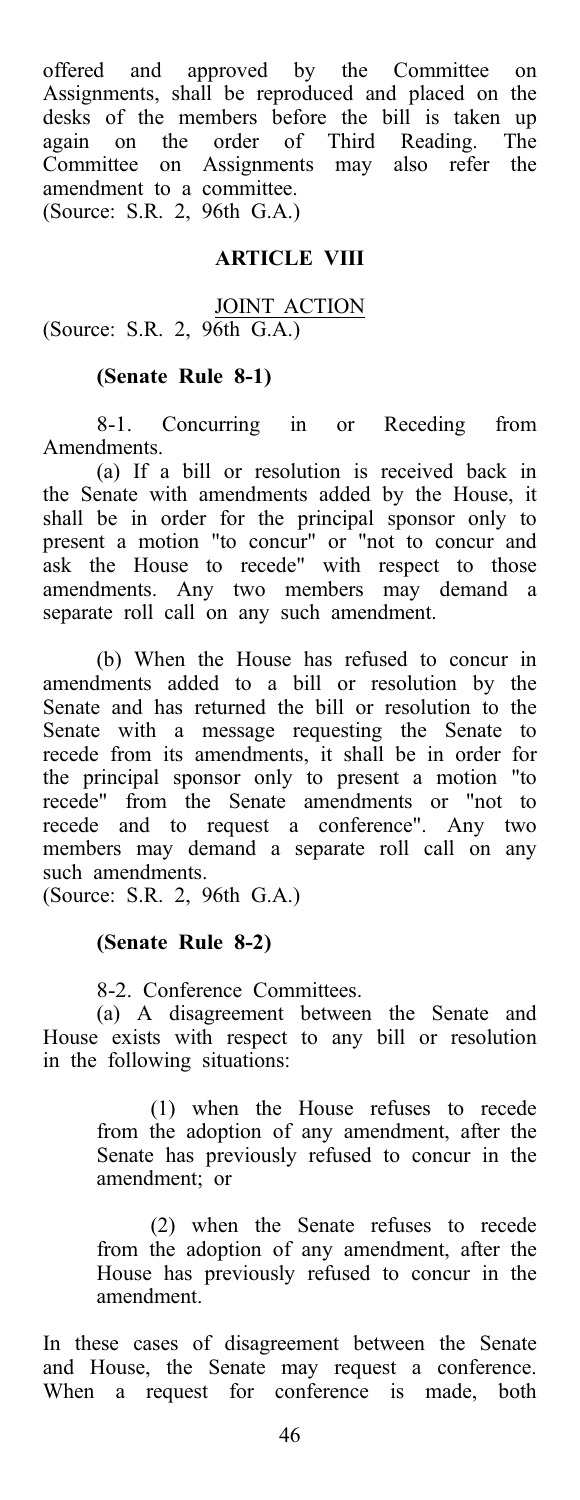offered and approved by the Committee on Assignments, shall be reproduced and placed on the desks of the members before the bill is taken up again on the order of Third Reading. The Committee on Assignments may also refer the amendment to a committee. (Source: S.R. 2, 96th G.A.)

## ARTICLE VIII

JOINT ACTION (Source: S.R. 2, 96th G.A.)

#### (Senate Rule 8-1)

8-1. Concurring in or Receding from Amendments.

(a) If a bill or resolution is received back in the Senate with amendments added by the House, it shall be in order for the principal sponsor only to present a motion "to concur" or "not to concur and ask the House to recede" with respect to those amendments. Any two members may demand a separate roll call on any such amendment.

(b) When the House has refused to concur in amendments added to a bill or resolution by the Senate and has returned the bill or resolution to the Senate with a message requesting the Senate to recede from its amendments, it shall be in order for the principal sponsor only to present a motion "to recede" from the Senate amendments or "not to recede and to request a conference". Any two members may demand a separate roll call on any such amendments.

(Source: S.R. 2, 96th G.A.)

#### (Senate Rule 8-2)

8-2. Conference Committees.

(a) A disagreement between the Senate and House exists with respect to any bill or resolution in the following situations:

> (1) when the House refuses to recede from the adoption of any amendment, after the Senate has previously refused to concur in the amendment; or

> (2) when the Senate refuses to recede from the adoption of any amendment, after the House has previously refused to concur in the amendment.

In these cases of disagreement between the Senate and House, the Senate may request a conference. When a request for conference is made, both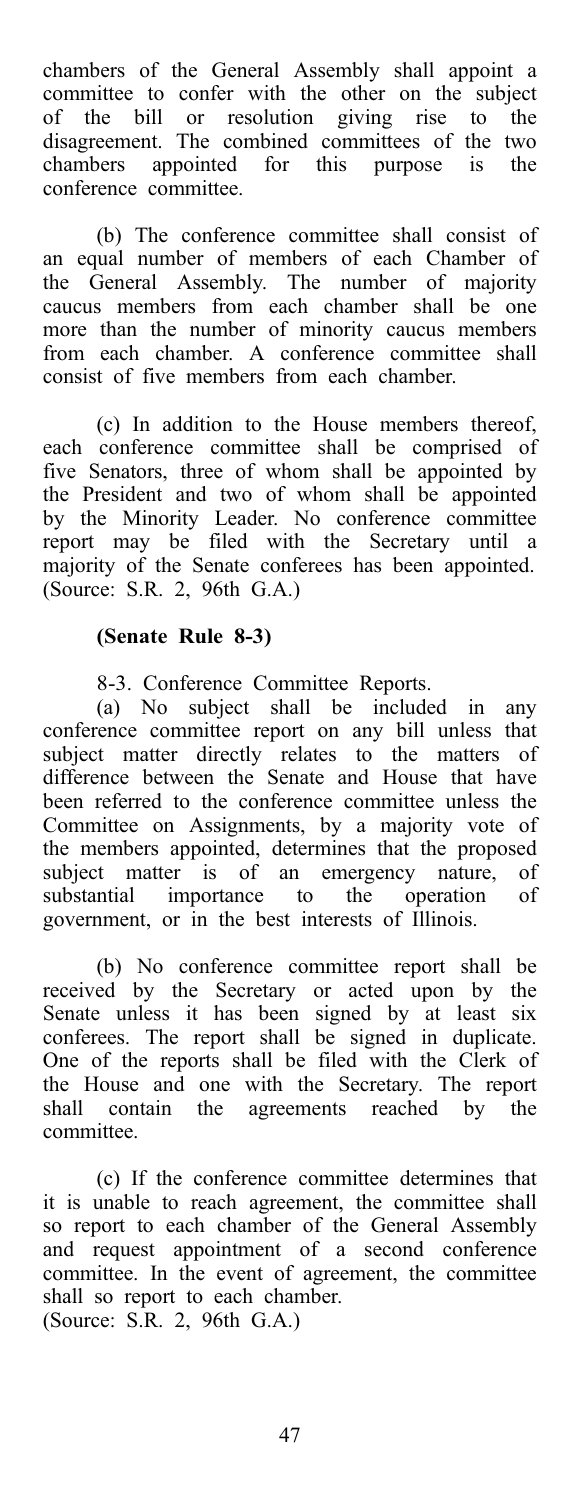chambers of the General Assembly shall appoint a committee to confer with the other on the subject of the bill or resolution giving rise to the disagreement. The combined committees of the two chambers appointed for this purpose is the conference committee.

(b) The conference committee shall consist of an equal number of members of each Chamber of the General Assembly. The number of majority caucus members from each chamber shall be one more than the number of minority caucus members from each chamber. A conference committee shall consist of five members from each chamber.

(c) In addition to the House members thereof, each conference committee shall be comprised of five Senators, three of whom shall be appointed by the President and two of whom shall be appointed by the Minority Leader. No conference committee report may be filed with the Secretary until a majority of the Senate conferees has been appointed. (Source: S.R. 2, 96th G.A.)

#### (Senate Rule 8-3)

8-3. Conference Committee Reports.

(a) No subject shall be included in any conference committee report on any bill unless that subject matter directly relates to the matters of difference between the Senate and House that have been referred to the conference committee unless the Committee on Assignments, by a majority vote of the members appointed, determines that the proposed subject matter is of an emergency nature, of substantial importance to the operation of government, or in the best interests of Illinois.

(b) No conference committee report shall be received by the Secretary or acted upon by the Senate unless it has been signed by at least six conferees. The report shall be signed in duplicate. One of the reports shall be filed with the Clerk of the House and one with the Secretary. The report shall contain the agreements reached by the committee.

(c) If the conference committee determines that it is unable to reach agreement, the committee shall so report to each chamber of the General Assembly and request appointment of a second conference committee. In the event of agreement, the committee shall so report to each chamber. (Source: S.R. 2, 96th G.A.)

47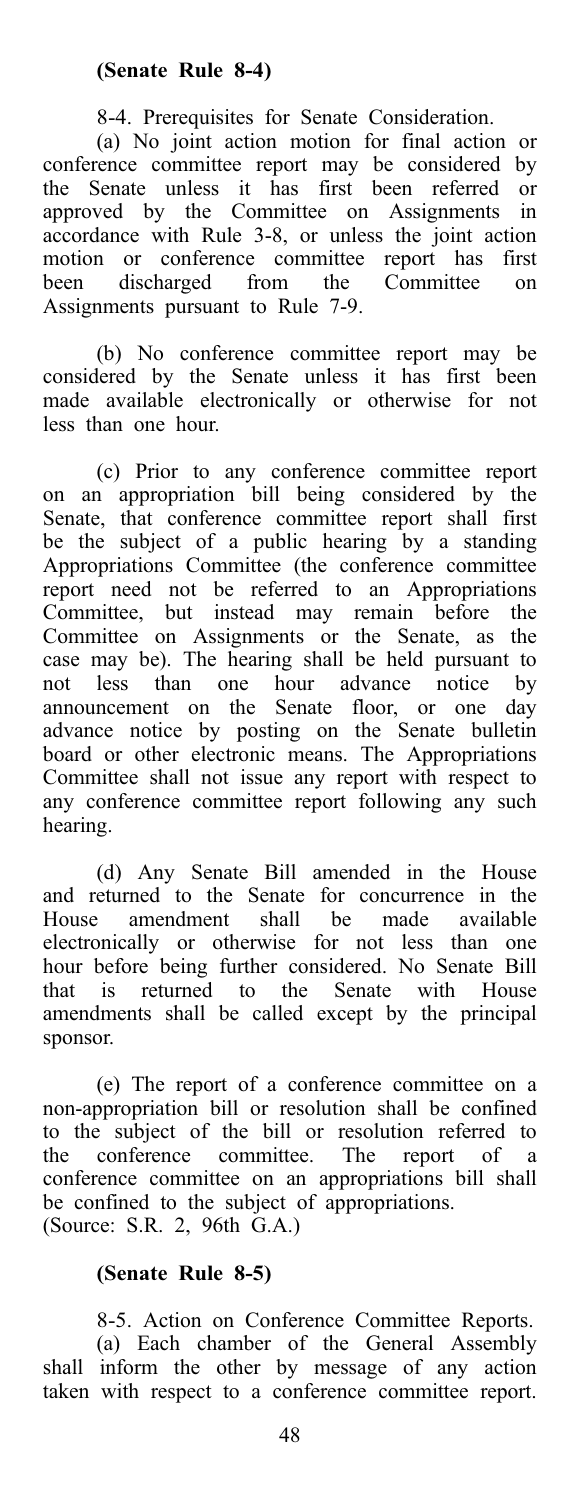8-4. Prerequisites for Senate Consideration.

(a) No joint action motion for final action or conference committee report may be considered by the Senate unless it has first been referred or approved by the Committee on Assignments in accordance with Rule 3-8, or unless the joint action motion or conference committee report has first been discharged from the Committee on Assignments pursuant to Rule 7-9.

(b) No conference committee report may be considered by the Senate unless it has first been made available electronically or otherwise for not less than one hour.

(c) Prior to any conference committee report on an appropriation bill being considered by the Senate, that conference committee report shall first be the subject of a public hearing by a standing Appropriations Committee (the conference committee report need not be referred to an Appropriations Committee, but instead may remain before the Committee on Assignments or the Senate, as the case may be). The hearing shall be held pursuant to not less than one hour advance notice by announcement on the Senate floor, or one day advance notice by posting on the Senate bulletin board or other electronic means. The Appropriations Committee shall not issue any report with respect to any conference committee report following any such hearing.

(d) Any Senate Bill amended in the House and returned to the Senate for concurrence in the House amendment shall be made available electronically or otherwise for not less than one hour before being further considered. No Senate Bill that is returned to the Senate with House amendments shall be called except by the principal sponsor.

(e) The report of a conference committee on a non-appropriation bill or resolution shall be confined to the subject of the bill or resolution referred to the conference committee. The report of a conference committee on an appropriations bill shall be confined to the subject of appropriations. (Source: S.R. 2, 96th G.A.)

## (Senate Rule 8-5)

8-5. Action on Conference Committee Reports. (a) Each chamber of the General Assembly shall inform the other by message of any action taken with respect to a conference committee report.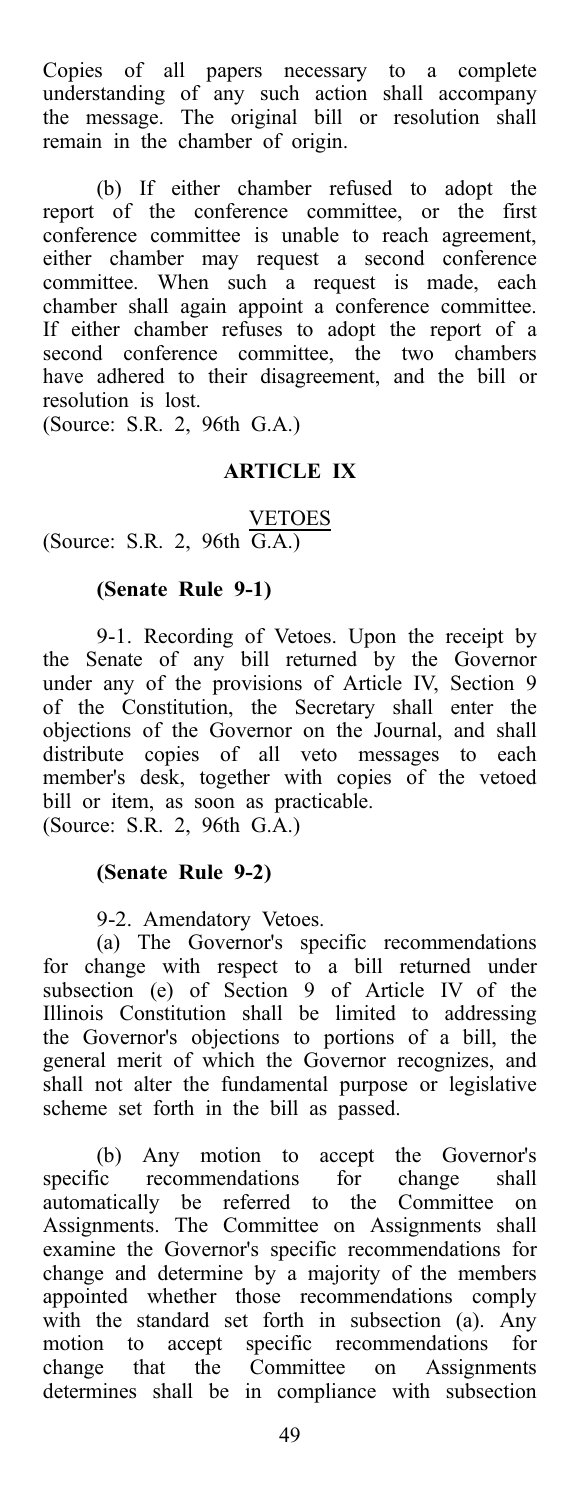Copies of all papers necessary to a complete understanding of any such action shall accompany the message. The original bill or resolution shall remain in the chamber of origin.

(b) If either chamber refused to adopt the report of the conference committee, or the first conference committee is unable to reach agreement, either chamber may request a second conference committee. When such a request is made, each chamber shall again appoint a conference committee. If either chamber refuses to adopt the report of a second conference committee, the two chambers have adhered to their disagreement, and the bill or resolution is lost.

(Source: S.R. 2, 96th G.A.)

### ARTICLE IX

VETOES (Source: S.R. 2, 96th G.A.)

## (Senate Rule 9-1)

9-1. Recording of Vetoes. Upon the receipt by the Senate of any bill returned by the Governor under any of the provisions of Article IV, Section 9 of the Constitution, the Secretary shall enter the objections of the Governor on the Journal, and shall distribute copies of all veto messages to each member's desk, together with copies of the vetoed bill or item, as soon as practicable. (Source: S.R. 2, 96th G.A.)

## (Senate Rule 9-2)

9-2. Amendatory Vetoes.

(a) The Governor's specific recommendations for change with respect to a bill returned under subsection (e) of Section 9 of Article IV of the Illinois Constitution shall be limited to addressing the Governor's objections to portions of a bill, the general merit of which the Governor recognizes, and shall not alter the fundamental purpose or legislative scheme set forth in the bill as passed.

(b) Any motion to accept the Governor's specific recommendations for change shall automatically be referred to the Committee on Assignments. The Committee on Assignments shall examine the Governor's specific recommendations for change and determine by a majority of the members appointed whether those recommendations comply with the standard set forth in subsection (a). Any motion to accept specific recommendations for change that the Committee on Assignments determines shall be in compliance with subsection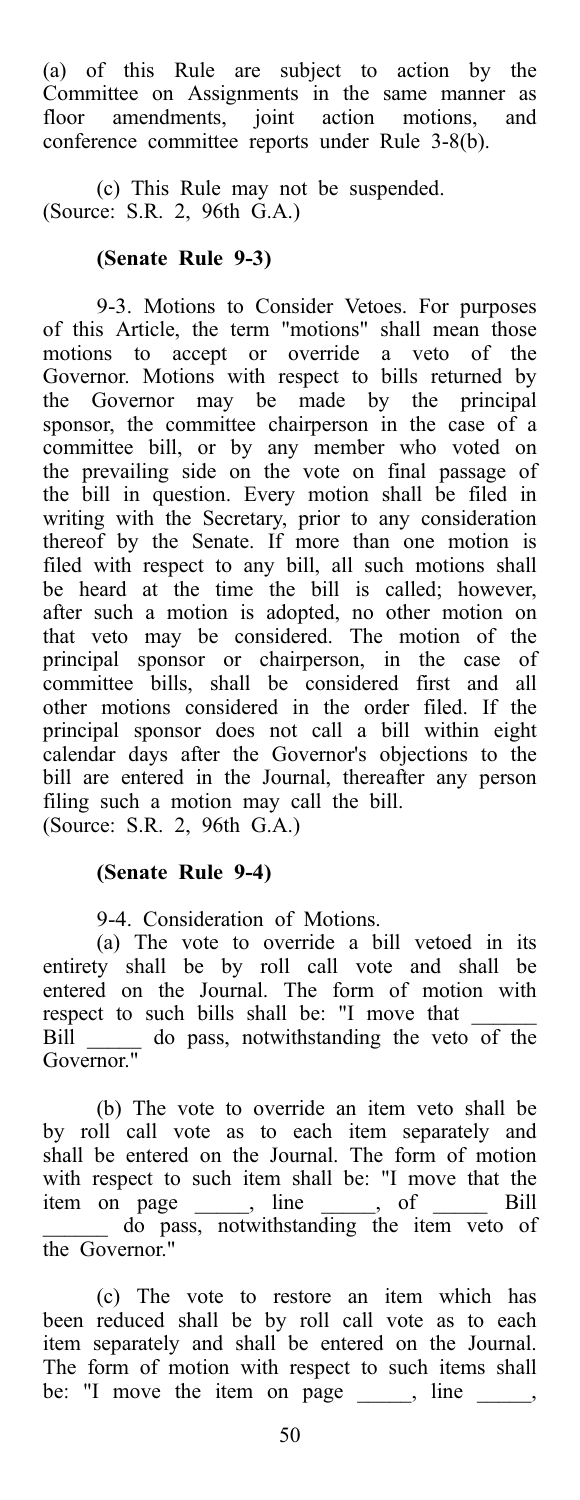(a) of this Rule are subject to action by the Committee on Assignments in the same manner as floor amendments, joint action motions, and conference committee reports under Rule 3-8(b).

(c) This Rule may not be suspended. (Source: S.R. 2, 96th G.A.)

## (Senate Rule 9-3)

9-3. Motions to Consider Vetoes. For purposes of this Article, the term "motions" shall mean those motions to accept or override a veto of the Governor. Motions with respect to bills returned by the Governor may be made by the principal sponsor, the committee chairperson in the case of a committee bill, or by any member who voted on the prevailing side on the vote on final passage of the bill in question. Every motion shall be filed in writing with the Secretary, prior to any consideration thereof by the Senate. If more than one motion is filed with respect to any bill, all such motions shall be heard at the time the bill is called; however, after such a motion is adopted, no other motion on that veto may be considered. The motion of the principal sponsor or chairperson, in the case of committee bills, shall be considered first and all other motions considered in the order filed. If the principal sponsor does not call a bill within eight calendar days after the Governor's objections to the bill are entered in the Journal, thereafter any person filing such a motion may call the bill. (Source: S.R. 2, 96th G.A.)

## (Senate Rule 9-4)

9-4. Consideration of Motions.

(a) The vote to override a bill vetoed in its entirety shall be by roll call vote and shall be entered on the Journal. The form of motion with respect to such bills shall be: "I move that Bill \_\_\_\_\_ do pass, notwithstanding the veto of the Governor."

(b) The vote to override an item veto shall be by roll call vote as to each item separately and shall be entered on the Journal. The form of motion with respect to such item shall be: "I move that the item on page \_\_\_\_\_, line \_\_\_\_\_, of \_\_\_\_\_ Bill \_\_\_\_\_\_ do pass, notwithstanding the item veto of the Governor."

(c) The vote to restore an item which has been reduced shall be by roll call vote as to each item separately and shall be entered on the Journal. The form of motion with respect to such items shall be: "I move the item on page  $\qquad$ , line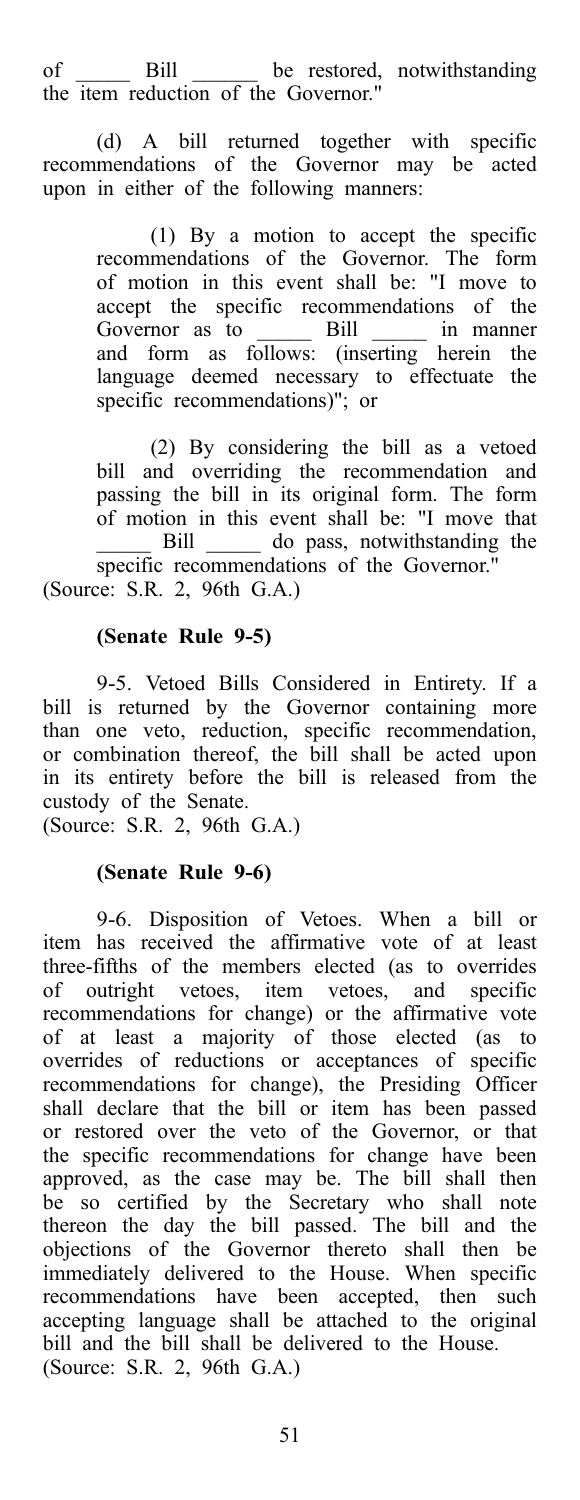of \_\_\_\_\_\_ Bill \_\_\_\_\_\_ be restored, notwithstanding the item reduction of the Governor."

(d) A bill returned together with specific recommendations of the Governor may be acted upon in either of the following manners:

> (1) By a motion to accept the specific recommendations of the Governor. The form of motion in this event shall be: "I move to accept the specific recommendations of the Governor as to \_\_\_\_\_\_\_ Bill \_\_\_\_\_\_ in manner and form as follows: (inserting herein the language deemed necessary to effectuate the specific recommendations)"; or

(2) By considering the bill as a vetoed bill and overriding the recommendation and passing the bill in its original form. The form of motion in this event shall be: "I move that Bill \_\_\_\_\_\_ do pass, notwithstanding the specific recommendations of the Governor."

(Source: S.R. 2, 96th G.A.)

#### (Senate Rule 9-5)

9-5. Vetoed Bills Considered in Entirety. If a bill is returned by the Governor containing more than one veto, reduction, specific recommendation, or combination thereof, the bill shall be acted upon in its entirety before the bill is released from the custody of the Senate.

(Source: S.R. 2, 96th G.A.)

## (Senate Rule 9-6)

9-6. Disposition of Vetoes. When a bill or item has received the affirmative vote of at least three-fifths of the members elected (as to overrides of outright vetoes, item vetoes, and specific recommendations for change) or the affirmative vote of at least a majority of those elected (as to overrides of reductions or acceptances of specific recommendations for change), the Presiding Officer shall declare that the bill or item has been passed or restored over the veto of the Governor, or that the specific recommendations for change have been approved, as the case may be. The bill shall then be so certified by the Secretary who shall note thereon the day the bill passed. The bill and the objections of the Governor thereto shall then be immediately delivered to the House. When specific recommendations have been accepted, then such accepting language shall be attached to the original bill and the bill shall be delivered to the House. (Source: S.R. 2, 96th G.A.)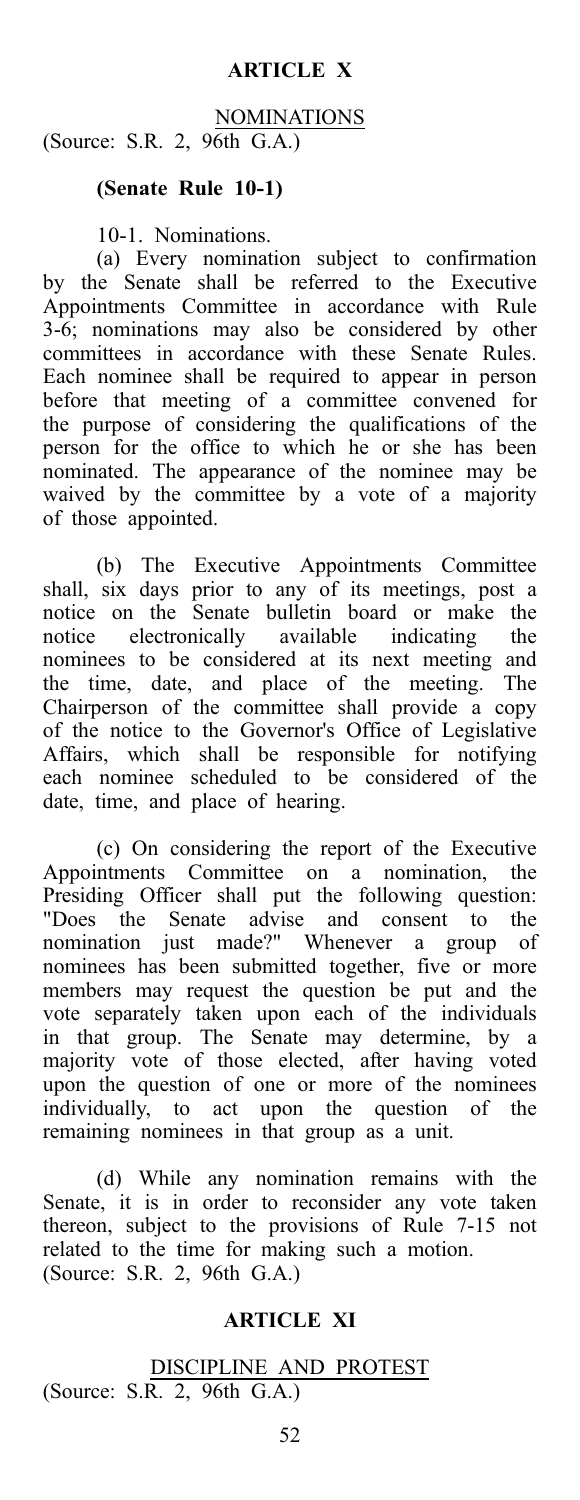## ARTICLE X

NOMINATIONS (Source: S.R. 2, 96th G.A.)

### (Senate Rule 10-1)

10-1. Nominations.

(a) Every nomination subject to confirmation by the Senate shall be referred to the Executive Appointments Committee in accordance with Rule 3-6; nominations may also be considered by other committees in accordance with these Senate Rules. Each nominee shall be required to appear in person before that meeting of a committee convened for the purpose of considering the qualifications of the person for the office to which he or she has been nominated. The appearance of the nominee may be waived by the committee by a vote of a majority of those appointed.

(b) The Executive Appointments Committee shall, six days prior to any of its meetings, post a notice on the Senate bulletin board or make the notice electronically available indicating the nominees to be considered at its next meeting and the time, date, and place of the meeting. The Chairperson of the committee shall provide a copy of the notice to the Governor's Office of Legislative Affairs, which shall be responsible for notifying each nominee scheduled to be considered of the date, time, and place of hearing.

(c) On considering the report of the Executive Appointments Committee on a nomination, the Presiding Officer shall put the following question: "Does the Senate advise and consent to the nomination just made?" Whenever a group of nominees has been submitted together, five or more members may request the question be put and the vote separately taken upon each of the individuals in that group. The Senate may determine, by a majority vote of those elected, after having voted upon the question of one or more of the nominees individually, to act upon the question of the remaining nominees in that group as a unit.

(d) While any nomination remains with the Senate, it is in order to reconsider any vote taken thereon, subject to the provisions of Rule 7-15 not related to the time for making such a motion. (Source: S.R. 2, 96th G.A.)

#### ARTICLE XI

#### DISCIPLINE AND PROTEST (Source: S.R. 2, 96th G.A.)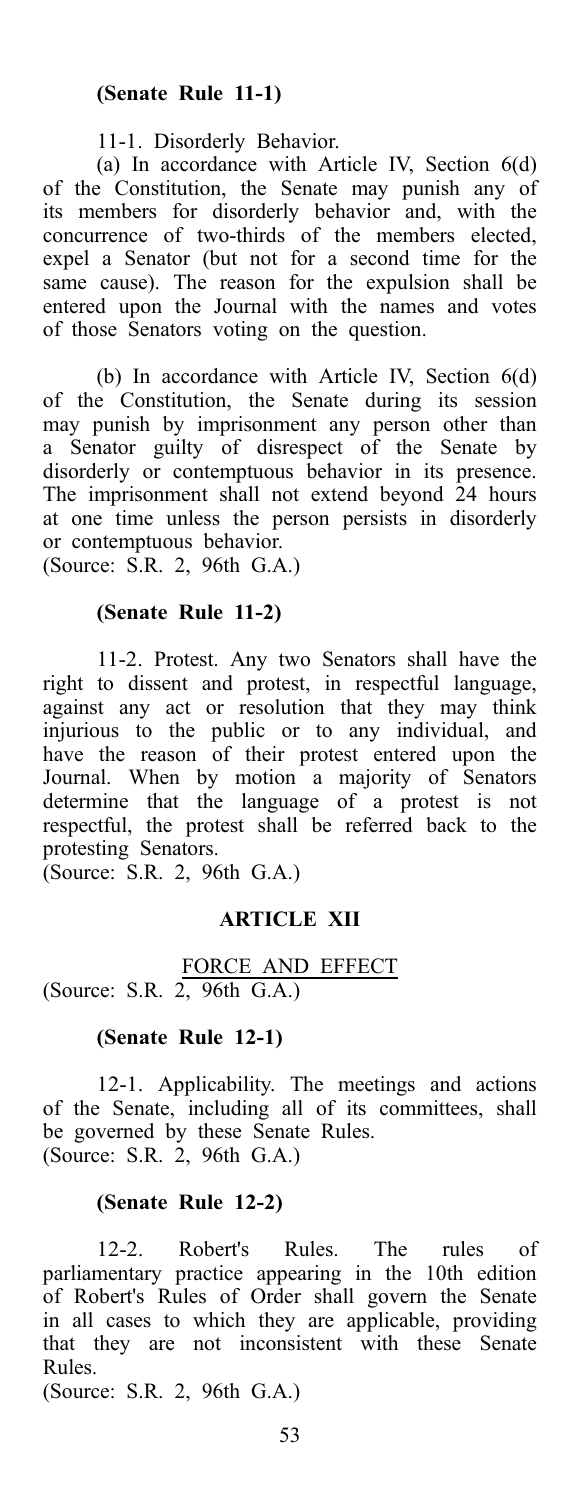11-1. Disorderly Behavior.

(a) In accordance with Article IV, Section 6(d) of the Constitution, the Senate may punish any of its members for disorderly behavior and, with the concurrence of two-thirds of the members elected, expel a Senator (but not for a second time for the same cause). The reason for the expulsion shall be entered upon the Journal with the names and votes of those Senators voting on the question.

(b) In accordance with Article IV, Section 6(d) of the Constitution, the Senate during its session may punish by imprisonment any person other than a Senator guilty of disrespect of the Senate by disorderly or contemptuous behavior in its presence. The imprisonment shall not extend beyond 24 hours at one time unless the person persists in disorderly or contemptuous behavior.

(Source: S.R. 2, 96th G.A.)

#### (Senate Rule 11-2)

11-2. Protest. Any two Senators shall have the right to dissent and protest, in respectful language, against any act or resolution that they may think injurious to the public or to any individual, and have the reason of their protest entered upon the Journal. When by motion a majority of Senators determine that the language of a protest is not respectful, the protest shall be referred back to the protesting Senators.

(Source: S.R. 2, 96th G.A.)

## ARTICLE XII

FORCE AND EFFECT (Source: S.R. 2, 96th G.A.)

## (Senate Rule 12-1)

12-1. Applicability. The meetings and actions of the Senate, including all of its committees, shall be governed by these Senate Rules. (Source: S.R. 2, 96th G.A.)

#### (Senate Rule 12-2)

12-2. Robert's Rules. The rules of parliamentary practice appearing in the 10th edition of Robert's Rules of Order shall govern the Senate in all cases to which they are applicable, providing that they are not inconsistent with these Senate Rules.

(Source: S.R. 2, 96th G.A.)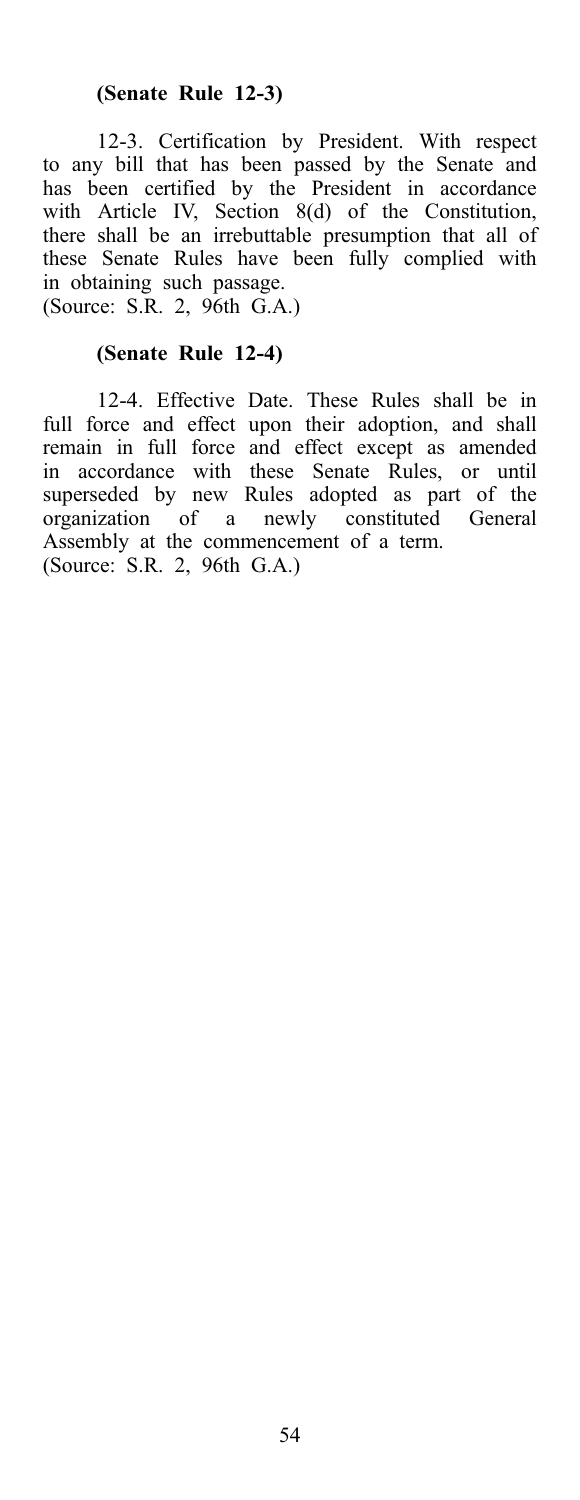12-3. Certification by President. With respect to any bill that has been passed by the Senate and has been certified by the President in accordance with Article IV, Section 8(d) of the Constitution, there shall be an irrebuttable presumption that all of these Senate Rules have been fully complied with in obtaining such passage.

(Source: S.R. 2, 96th G.A.)

#### (Senate Rule 12-4)

12-4. Effective Date. These Rules shall be in full force and effect upon their adoption, and shall remain in full force and effect except as amended in accordance with these Senate Rules, or until superseded by new Rules adopted as part of the organization of a newly constituted General Assembly at the commencement of a term. (Source: S.R. 2, 96th G.A.)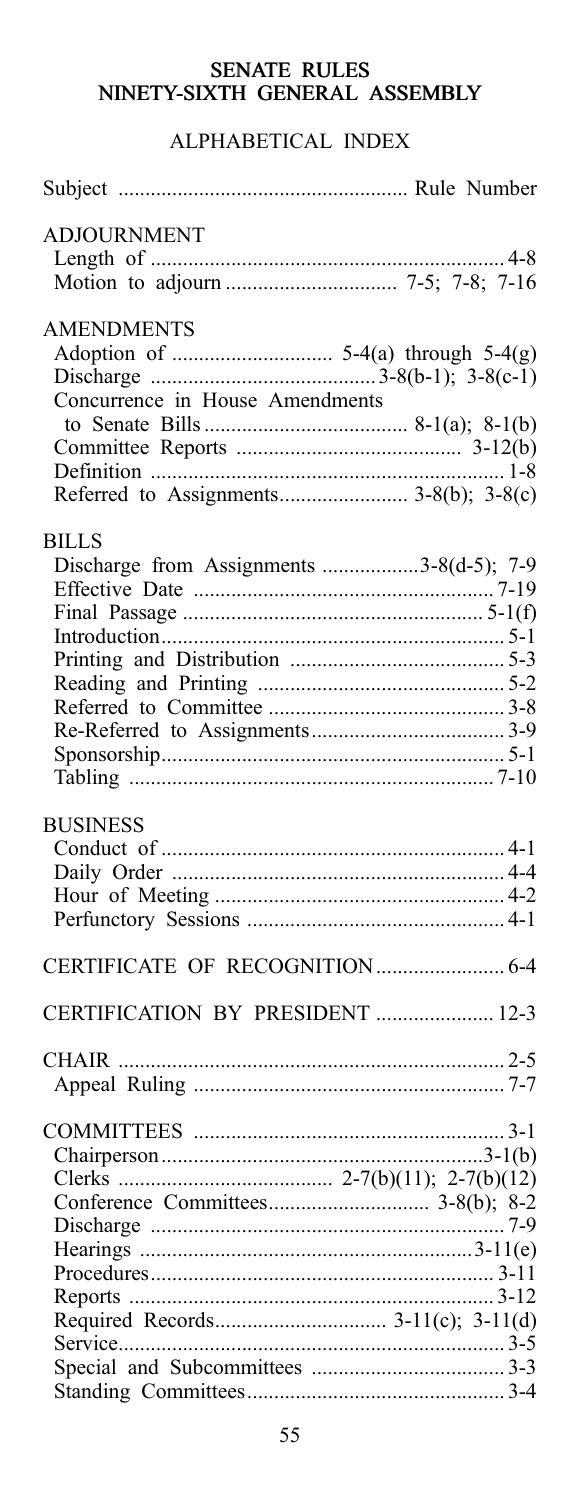## **SENATE RULES** NINETY-SIXTH GENERAL ASSEMBLY

# ALPHABETICAL INDEX

| <b>ADJOURNMENT</b>                       |  |
|------------------------------------------|--|
|                                          |  |
|                                          |  |
|                                          |  |
| <b>AMENDMENTS</b>                        |  |
|                                          |  |
|                                          |  |
| Concurrence in House Amendments          |  |
|                                          |  |
|                                          |  |
|                                          |  |
|                                          |  |
|                                          |  |
| <b>BILLS</b>                             |  |
| Discharge from Assignments 3-8(d-5); 7-9 |  |
|                                          |  |
|                                          |  |
|                                          |  |
|                                          |  |
|                                          |  |
|                                          |  |
|                                          |  |
|                                          |  |
|                                          |  |
|                                          |  |
| <b>BUSINESS</b>                          |  |
|                                          |  |
|                                          |  |
|                                          |  |
|                                          |  |
|                                          |  |
| CERTIFICATION BY PRESIDENT  12-3         |  |
|                                          |  |
|                                          |  |
|                                          |  |
|                                          |  |
|                                          |  |
|                                          |  |
|                                          |  |
|                                          |  |
|                                          |  |
|                                          |  |
|                                          |  |
|                                          |  |
| Required Records 3-11(c); 3-11(d)        |  |
|                                          |  |
|                                          |  |
|                                          |  |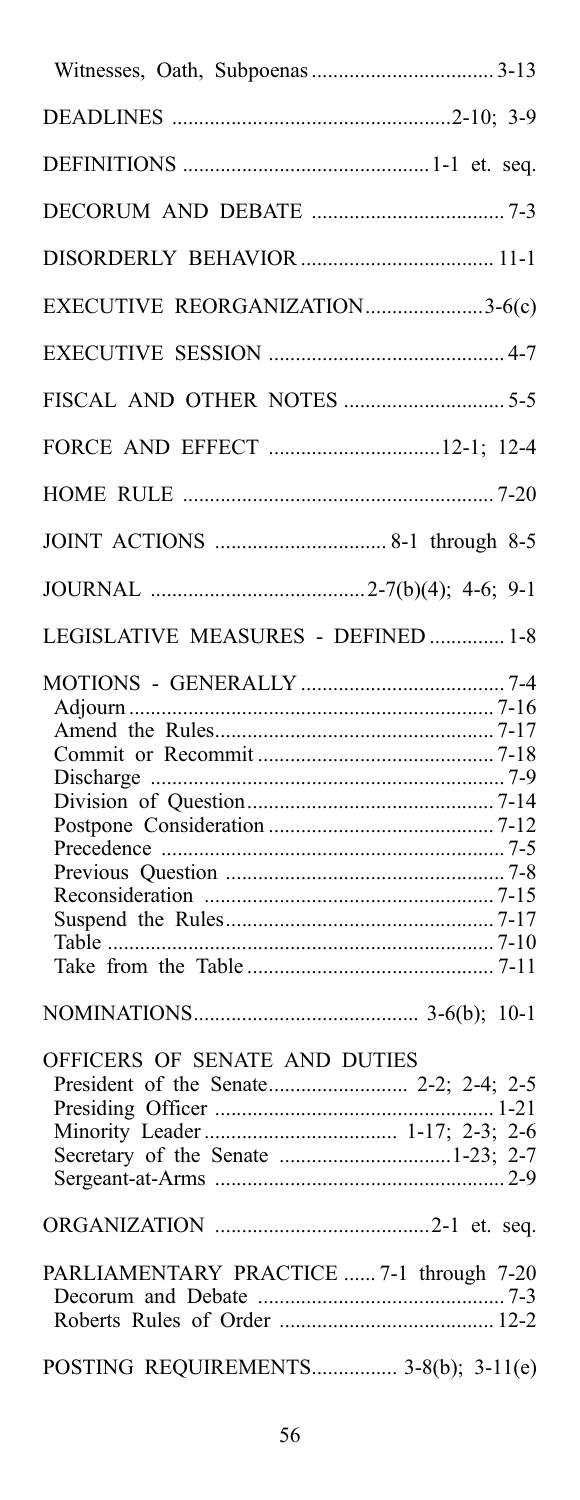| EXECUTIVE REORGANIZATION3-6(c)           |
|------------------------------------------|
|                                          |
|                                          |
| FORCE AND EFFECT 12-1; 12-4              |
|                                          |
|                                          |
|                                          |
| LEGISLATIVE MEASURES - DEFINED  1-8      |
|                                          |
|                                          |
| OFFICERS OF SENATE AND DUTIES            |
|                                          |
| PARLIAMENTARY PRACTICE  7-1 through 7-20 |
| POSTING REQUIREMENTS 3-8(b); 3-11(e)     |